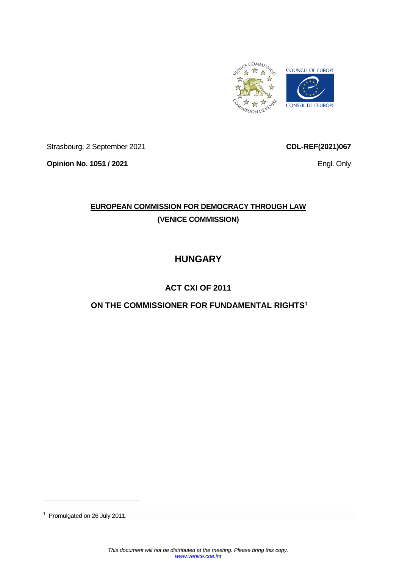

Strasbourg, 2 September 2021

**Opinion No. 1051 / 2021**

**CDL-REF(2021)067**

Engl. Only

# **EUROPEAN COMMISSION FOR DEMOCRACY THROUGH LAW (VENICE COMMISSION)**

# **HUNGARY**

# **ACT CXI OF 2011**

# **ON THE COMMISSIONER FOR FUNDAMENTAL RIGHTS<sup>1</sup>**

<sup>1</sup> Promulgated on 26 July 2011.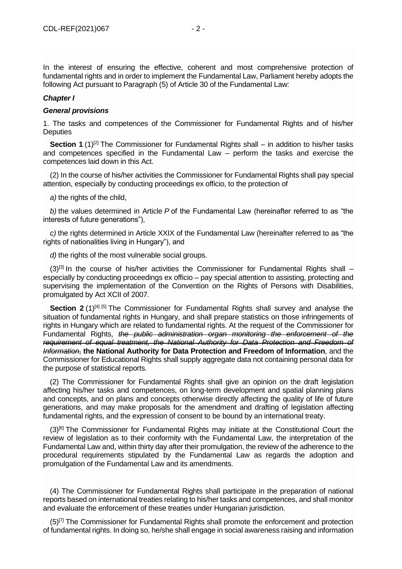## *Chapter I*

## *General provisions*

1. The tasks and competences of the Commissioner for Fundamental Rights and of his/her **Deputies** 

**Section 1** (1)<sup>[\[2\]](file://///obh/dfs/AJBH_NTK_Foosztaly/NemzetkÃ¶zi%20OsztÃ¡ly/HÃ¡tterek,%20tÃ¡jÃ©koztatÃ³%20anyagok,Ã¶sszefoglalÃ³k/TÃ¶rvÃ©nyek,szabÃ¡lyzatok-EN/The%20Ombudsman%20Act_EN_20210223%20(002).docx%23_ftn2)</sup> The Commissioner for Fundamental Rights shall – in addition to his/her tasks and competences specified in the Fundamental Law – perform the tasks and exercise the competences laid down in this Act.

(2) In the course of his/her activities the Commissioner for Fundamental Rights shall pay special attention, especially by conducting proceedings ex officio, to the protection of

*a)* the rights of the child,

*b)* the values determined in Article *P* of the Fundamental Law (hereinafter referred to as "the interests of future generations"),

*c)* the rights determined in Article XXIX of the Fundamental Law (hereinafter referred to as "the rights of nationalities living in Hungary"), and

*d)* the rights of the most vulnerable social groups.

 $(3)^{[3]}$  $(3)^{[3]}$  $(3)^{[3]}$  In the course of his/her activities the Commissioner for Fundamental Rights shall – especially by conducting proceedings ex officio – pay special attention to assisting, protecting and supervising the implementation of the Convention on the Rights of Persons with Disabilities, promulgated by Act XCII of 2007.

**Section 2** (1)<sup>[\[4\]](file://///obh/dfs/AJBH_NTK_Foosztaly/NemzetkÃ¶zi%20OsztÃ¡ly/HÃ¡tterek,%20tÃ¡jÃ©koztatÃ³%20anyagok,Ã¶sszefoglalÃ³k/TÃ¶rvÃ©nyek,szabÃ¡lyzatok-EN/The%20Ombudsman%20Act_EN_20210223%20(002).docx%23_ftn4) [\[5\]](file://///obh/dfs/AJBH_NTK_Foosztaly/NemzetkÃ¶zi%20OsztÃ¡ly/HÃ¡tterek,%20tÃ¡jÃ©koztatÃ³%20anyagok,Ã¶sszefoglalÃ³k/TÃ¶rvÃ©nyek,szabÃ¡lyzatok-EN/The%20Ombudsman%20Act_EN_20210223%20(002).docx%23_ftn5)</sup> The Commissioner for Fundamental Rights shall survey and analyse the situation of fundamental rights in Hungary, and shall prepare statistics on those infringements of rights in Hungary which are related to fundamental rights. At the request of the Commissioner for Fundamental Rights, *the public administration organ monitoring the enforcement of the requirement of equal treatment, the National Authority for Data Protection and Freedom of Information*, **the National Authority for Data Protection and Freedom of Information**, and the Commissioner for Educational Rights shall supply aggregate data not containing personal data for the purpose of statistical reports.

(2) The Commissioner for Fundamental Rights shall give an opinion on the draft legislation affecting his/her tasks and competences, on long-term development and spatial planning plans and concepts, and on plans and concepts otherwise directly affecting the quality of life of future generations, and may make proposals for the amendment and drafting of legislation affecting fundamental rights, and the expression of consent to be bound by an international treaty.

(3)<sup>[\[6\]](file://///obh/dfs/AJBH_NTK_Foosztaly/NemzetkÃ¶zi%20OsztÃ¡ly/HÃ¡tterek,%20tÃ¡jÃ©koztatÃ³%20anyagok,Ã¶sszefoglalÃ³k/TÃ¶rvÃ©nyek,szabÃ¡lyzatok-EN/The%20Ombudsman%20Act_EN_20210223%20(002).docx%23_ftn6)</sup> The Commissioner for Fundamental Rights may initiate at the Constitutional Court the review of legislation as to their conformity with the Fundamental Law, the interpretation of the Fundamental Law and, within thirty day after their promulgation, the review of the adherence to the procedural requirements stipulated by the Fundamental Law as regards the adoption and promulgation of the Fundamental Law and its amendments.

(4) The Commissioner for Fundamental Rights shall participate in the preparation of national reports based on international treaties relating to his/her tasks and competences, and shall monitor and evaluate the enforcement of these treaties under Hungarian jurisdiction.

 $(5)^{7}$  The Commissioner for Fundamental Rights shall promote the enforcement and protection of fundamental rights. In doing so, he/she shall engage in social awareness raising and information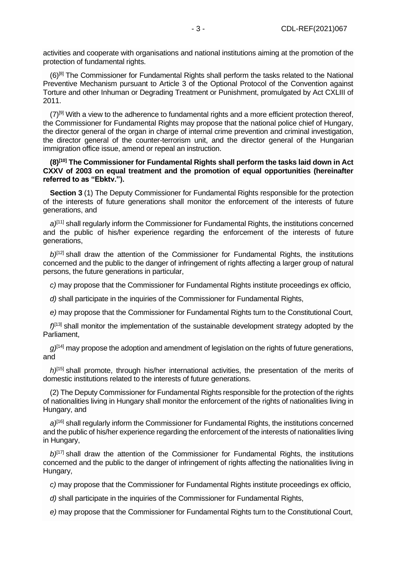activities and cooperate with organisations and national institutions aiming at the promotion of the protection of fundamental rights.

(6)<sup>[\[8\]](file://///obh/dfs/AJBH_NTK_Foosztaly/NemzetkÃ¶zi%20OsztÃ¡ly/HÃ¡tterek,%20tÃ¡jÃ©koztatÃ³%20anyagok,Ã¶sszefoglalÃ³k/TÃ¶rvÃ©nyek,szabÃ¡lyzatok-EN/The%20Ombudsman%20Act_EN_20210223%20(002).docx%23_ftn8)</sup> The Commissioner for Fundamental Rights shall perform the tasks related to the National Preventive Mechanism pursuant to Article 3 of the Optional Protocol of the Convention against Torture and other Inhuman or Degrading Treatment or Punishment, promulgated by Act CXLIII of 2011.

 $(7)^{9}$  With a view to the adherence to fundamental rights and a more efficient protection thereof, the Commissioner for Fundamental Rights may propose that the national police chief of Hungary, the director general of the organ in charge of internal crime prevention and criminal investigation, the director general of the counter-terrorism unit, and the director general of the Hungarian immigration office issue, amend or repeal an instruction.

**(8)[\[10\]](file://///obh/dfs/AJBH_NTK_Foosztaly/NemzetkÃ¶zi%20OsztÃ¡ly/HÃ¡tterek,%20tÃ¡jÃ©koztatÃ³%20anyagok,Ã¶sszefoglalÃ³k/TÃ¶rvÃ©nyek,szabÃ¡lyzatok-EN/The%20Ombudsman%20Act_EN_20210223%20(002).docx%23_ftn10) The Commissioner for Fundamental Rights shall perform the tasks laid down in Act CXXV of 2003 on equal treatment and the promotion of equal opportunities (hereinafter referred to as "Ebktv.").**

**Section 3** (1) The Deputy Commissioner for Fundamental Rights responsible for the protection of the interests of future generations shall monitor the enforcement of the interests of future generations, and

*a)*[\[11\]](file://///obh/dfs/AJBH_NTK_Foosztaly/NemzetkÃ¶zi%20OsztÃ¡ly/HÃ¡tterek,%20tÃ¡jÃ©koztatÃ³%20anyagok,Ã¶sszefoglalÃ³k/TÃ¶rvÃ©nyek,szabÃ¡lyzatok-EN/The%20Ombudsman%20Act_EN_20210223%20(002).docx%23_ftn11) shall regularly inform the Commissioner for Fundamental Rights, the institutions concerned and the public of his/her experience regarding the enforcement of the interests of future generations,

 $b^{[12]}$  $b^{[12]}$  $b^{[12]}$  shall draw the attention of the Commissioner for Fundamental Rights, the institutions concerned and the public to the danger of infringement of rights affecting a larger group of natural persons, the future generations in particular,

*c)* may propose that the Commissioner for Fundamental Rights institute proceedings ex officio,

*d)* shall participate in the inquiries of the Commissioner for Fundamental Rights,

*e)* may propose that the Commissioner for Fundamental Rights turn to the Constitutional Court,

*f)*[\[13\]](file://///obh/dfs/AJBH_NTK_Foosztaly/NemzetkÃ¶zi%20OsztÃ¡ly/HÃ¡tterek,%20tÃ¡jÃ©koztatÃ³%20anyagok,Ã¶sszefoglalÃ³k/TÃ¶rvÃ©nyek,szabÃ¡lyzatok-EN/The%20Ombudsman%20Act_EN_20210223%20(002).docx%23_ftn13) shall monitor the implementation of the sustainable development strategy adopted by the Parliament,

 $q^{[14]}$  $q^{[14]}$  $q^{[14]}$  may propose the adoption and amendment of legislation on the rights of future generations, and

*h)*[\[15\]](file://///obh/dfs/AJBH_NTK_Foosztaly/NemzetkÃ¶zi%20OsztÃ¡ly/HÃ¡tterek,%20tÃ¡jÃ©koztatÃ³%20anyagok,Ã¶sszefoglalÃ³k/TÃ¶rvÃ©nyek,szabÃ¡lyzatok-EN/The%20Ombudsman%20Act_EN_20210223%20(002).docx%23_ftn15) shall promote, through his/her international activities, the presentation of the merits of domestic institutions related to the interests of future generations.

(2) The Deputy Commissioner for Fundamental Rights responsible for the protection of the rights of nationalities living in Hungary shall monitor the enforcement of the rights of nationalities living in Hungary, and

*a)*[\[16\]](file://///obh/dfs/AJBH_NTK_Foosztaly/NemzetkÃ¶zi%20OsztÃ¡ly/HÃ¡tterek,%20tÃ¡jÃ©koztatÃ³%20anyagok,Ã¶sszefoglalÃ³k/TÃ¶rvÃ©nyek,szabÃ¡lyzatok-EN/The%20Ombudsman%20Act_EN_20210223%20(002).docx%23_ftn16) shall regularly inform the Commissioner for Fundamental Rights, the institutions concerned and the public of his/her experience regarding the enforcement of the interests of nationalities living in Hungary,

b)<sup>[\[17\]](file://///obh/dfs/AJBH_NTK_Foosztaly/NemzetkÃ¶zi%20OsztÃ¡ly/HÃ¡tterek,%20tÃ¡jÃ©koztatÃ³%20anyagok,Ã¶sszefoglalÃ³k/TÃ¶rvÃ©nyek,szabÃ¡lyzatok-EN/The%20Ombudsman%20Act_EN_20210223%20(002).docx%23_ftn17)</sup> shall draw the attention of the Commissioner for Fundamental Rights, the institutions concerned and the public to the danger of infringement of rights affecting the nationalities living in Hungary,

*c)* may propose that the Commissioner for Fundamental Rights institute proceedings ex officio,

*d)* shall participate in the inquiries of the Commissioner for Fundamental Rights,

*e)* may propose that the Commissioner for Fundamental Rights turn to the Constitutional Court,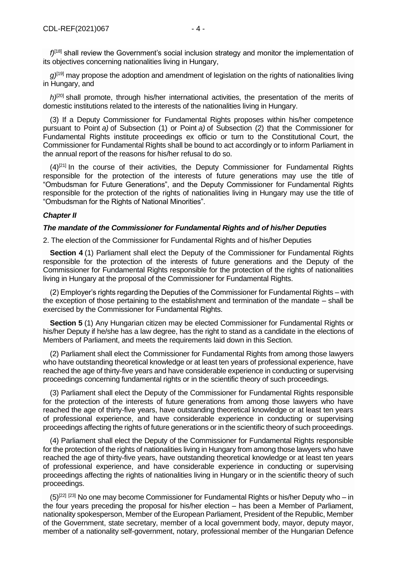*f)*[\[18\]](file://///obh/dfs/AJBH_NTK_Foosztaly/NemzetkÃ¶zi%20OsztÃ¡ly/HÃ¡tterek,%20tÃ¡jÃ©koztatÃ³%20anyagok,Ã¶sszefoglalÃ³k/TÃ¶rvÃ©nyek,szabÃ¡lyzatok-EN/The%20Ombudsman%20Act_EN_20210223%20(002).docx%23_ftn18) shall review the Government's social inclusion strategy and monitor the implementation of its objectives concerning nationalities living in Hungary,

*g)*[\[19\]](file://///obh/dfs/AJBH_NTK_Foosztaly/NemzetkÃ¶zi%20OsztÃ¡ly/HÃ¡tterek,%20tÃ¡jÃ©koztatÃ³%20anyagok,Ã¶sszefoglalÃ³k/TÃ¶rvÃ©nyek,szabÃ¡lyzatok-EN/The%20Ombudsman%20Act_EN_20210223%20(002).docx%23_ftn19) may propose the adoption and amendment of legislation on the rights of nationalities living in Hungary, and

*h*<sup>[\[20\]](file://///obh/dfs/AJBH_NTK_Foosztaly/NemzetkÃ¶zi%20OsztÃ¡ly/HÃ¡tterek,%20tÃ¡jÃ©koztatÃ³%20anyagok,Ã¶sszefoglalÃ³k/TÃ¶rvÃ©nyek,szabÃ¡lyzatok-EN/The%20Ombudsman%20Act_EN_20210223%20(002).docx%23_ftn20)</sup> shall promote, through his/her international activities, the presentation of the merits of domestic institutions related to the interests of the nationalities living in Hungary.

(3) If a Deputy Commissioner for Fundamental Rights proposes within his/her competence pursuant to Point *a)* of Subsection (1) or Point *a)* of Subsection (2) that the Commissioner for Fundamental Rights institute proceedings ex officio or turn to the Constitutional Court, the Commissioner for Fundamental Rights shall be bound to act accordingly or to inform Parliament in the annual report of the reasons for his/her refusal to do so.

 $(4)^{[21]}$  $(4)^{[21]}$  $(4)^{[21]}$  In the course of their activities, the Deputy Commissioner for Fundamental Rights responsible for the protection of the interests of future generations may use the title of "Ombudsman for Future Generations", and the Deputy Commissioner for Fundamental Rights responsible for the protection of the rights of nationalities living in Hungary may use the title of "Ombudsman for the Rights of National Minorities".

#### *Chapter II*

#### *The mandate of the Commissioner for Fundamental Rights and of his/her Deputies*

2. The election of the Commissioner for Fundamental Rights and of his/her Deputies

**Section 4** (1) Parliament shall elect the Deputy of the Commissioner for Fundamental Rights responsible for the protection of the interests of future generations and the Deputy of the Commissioner for Fundamental Rights responsible for the protection of the rights of nationalities living in Hungary at the proposal of the Commissioner for Fundamental Rights.

(2) Employer's rights regarding the Deputies of the Commissioner for Fundamental Rights – with the exception of those pertaining to the establishment and termination of the mandate – shall be exercised by the Commissioner for Fundamental Rights.

**Section 5** (1) Any Hungarian citizen may be elected Commissioner for Fundamental Rights or his/her Deputy if he/she has a law degree, has the right to stand as a candidate in the elections of Members of Parliament, and meets the requirements laid down in this Section.

(2) Parliament shall elect the Commissioner for Fundamental Rights from among those lawyers who have outstanding theoretical knowledge or at least ten years of professional experience, have reached the age of thirty-five years and have considerable experience in conducting or supervising proceedings concerning fundamental rights or in the scientific theory of such proceedings.

(3) Parliament shall elect the Deputy of the Commissioner for Fundamental Rights responsible for the protection of the interests of future generations from among those lawyers who have reached the age of thirty-five years, have outstanding theoretical knowledge or at least ten years of professional experience, and have considerable experience in conducting or supervising proceedings affecting the rights of future generations or in the scientific theory of such proceedings.

(4) Parliament shall elect the Deputy of the Commissioner for Fundamental Rights responsible for the protection of the rights of nationalities living in Hungary from among those lawyers who have reached the age of thirty-five years, have outstanding theoretical knowledge or at least ten years of professional experience, and have considerable experience in conducting or supervising proceedings affecting the rights of nationalities living in Hungary or in the scientific theory of such proceedings.

 $(5)^{[22]}$  $(5)^{[22]}$  $(5)^{[22]}$  [\[23\]](file://///obh/dfs/AJBH_NTK_Foosztaly/NemzetkÃ¶zi%20OsztÃ¡ly/HÃ¡tterek,%20tÃ¡jÃ©koztatÃ³%20anyagok,Ã¶sszefoglalÃ³k/TÃ¶rvÃ©nyek,szabÃ¡lyzatok-EN/The%20Ombudsman%20Act_EN_20210223%20(002).docx%23_ftn23) No one may become Commissioner for Fundamental Rights or his/her Deputy who – in the four years preceding the proposal for his/her election – has been a Member of Parliament, nationality spokesperson, Member of the European Parliament, President of the Republic, Member of the Government, state secretary, member of a local government body, mayor, deputy mayor, member of a nationality self-government, notary, professional member of the Hungarian Defence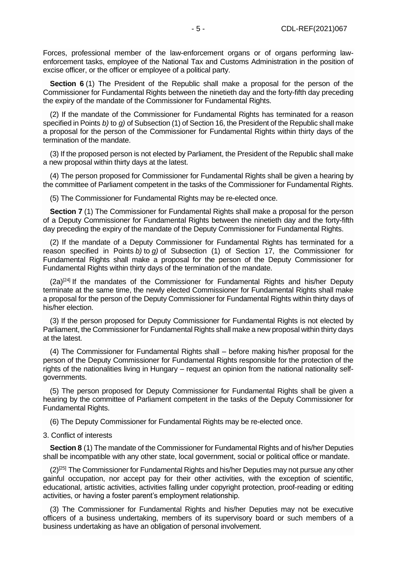Forces, professional member of the law-enforcement organs or of organs performing lawenforcement tasks, employee of the National Tax and Customs Administration in the position of excise officer, or the officer or employee of a political party.

**Section 6** (1) The President of the Republic shall make a proposal for the person of the Commissioner for Fundamental Rights between the ninetieth day and the forty-fifth day preceding the expiry of the mandate of the Commissioner for Fundamental Rights.

(2) If the mandate of the Commissioner for Fundamental Rights has terminated for a reason specified in Points *b)* to *g)* of Subsection (1) of Section 16, the President of the Republic shall make a proposal for the person of the Commissioner for Fundamental Rights within thirty days of the termination of the mandate.

(3) If the proposed person is not elected by Parliament, the President of the Republic shall make a new proposal within thirty days at the latest.

(4) The person proposed for Commissioner for Fundamental Rights shall be given a hearing by the committee of Parliament competent in the tasks of the Commissioner for Fundamental Rights.

(5) The Commissioner for Fundamental Rights may be re-elected once.

**Section 7** (1) The Commissioner for Fundamental Rights shall make a proposal for the person of a Deputy Commissioner for Fundamental Rights between the ninetieth day and the forty-fifth day preceding the expiry of the mandate of the Deputy Commissioner for Fundamental Rights.

(2) If the mandate of a Deputy Commissioner for Fundamental Rights has terminated for a reason specified in Points *b)* to *g)* of Subsection (1) of Section 17, the Commissioner for Fundamental Rights shall make a proposal for the person of the Deputy Commissioner for Fundamental Rights within thirty days of the termination of the mandate.

 $(2a)^{[24]}$  $(2a)^{[24]}$  $(2a)^{[24]}$  If the mandates of the Commissioner for Fundamental Rights and his/her Deputy terminate at the same time, the newly elected Commissioner for Fundamental Rights shall make a proposal for the person of the Deputy Commissioner for Fundamental Rights within thirty days of his/her election.

(3) If the person proposed for Deputy Commissioner for Fundamental Rights is not elected by Parliament, the Commissioner for Fundamental Rights shall make a new proposal within thirty days at the latest.

(4) The Commissioner for Fundamental Rights shall – before making his/her proposal for the person of the Deputy Commissioner for Fundamental Rights responsible for the protection of the rights of the nationalities living in Hungary – request an opinion from the national nationality selfgovernments.

(5) The person proposed for Deputy Commissioner for Fundamental Rights shall be given a hearing by the committee of Parliament competent in the tasks of the Deputy Commissioner for Fundamental Rights.

(6) The Deputy Commissioner for Fundamental Rights may be re-elected once.

#### 3. Conflict of interests

**Section 8** (1) The mandate of the Commissioner for Fundamental Rights and of his/her Deputies shall be incompatible with any other state, local government, social or political office or mandate.

 $(2)^{[25]}$  $(2)^{[25]}$  $(2)^{[25]}$  The Commissioner for Fundamental Rights and his/her Deputies may not pursue any other gainful occupation, nor accept pay for their other activities, with the exception of scientific, educational, artistic activities, activities falling under copyright protection, proof-reading or editing activities, or having a foster parent's employment relationship.

(3) The Commissioner for Fundamental Rights and his/her Deputies may not be executive officers of a business undertaking, members of its supervisory board or such members of a business undertaking as have an obligation of personal involvement.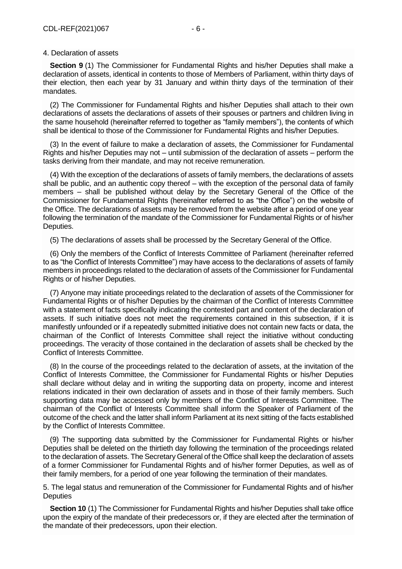#### 4. Declaration of assets

**Section 9** (1) The Commissioner for Fundamental Rights and his/her Deputies shall make a declaration of assets, identical in contents to those of Members of Parliament, within thirty days of their election, then each year by 31 January and within thirty days of the termination of their mandates.

(2) The Commissioner for Fundamental Rights and his/her Deputies shall attach to their own declarations of assets the declarations of assets of their spouses or partners and children living in the same household (hereinafter referred to together as "family members"), the contents of which shall be identical to those of the Commissioner for Fundamental Rights and his/her Deputies.

(3) In the event of failure to make a declaration of assets, the Commissioner for Fundamental Rights and his/her Deputies may not – until submission of the declaration of assets – perform the tasks deriving from their mandate, and may not receive remuneration.

(4) With the exception of the declarations of assets of family members, the declarations of assets shall be public, and an authentic copy thereof – with the exception of the personal data of family members – shall be published without delay by the Secretary General of the Office of the Commissioner for Fundamental Rights (hereinafter referred to as "the Office") on the website of the Office. The declarations of assets may be removed from the website after a period of one year following the termination of the mandate of the Commissioner for Fundamental Rights or of his/her Deputies.

(5) The declarations of assets shall be processed by the Secretary General of the Office.

(6) Only the members of the Conflict of Interests Committee of Parliament (hereinafter referred to as "the Conflict of Interests Committee") may have access to the declarations of assets of family members in proceedings related to the declaration of assets of the Commissioner for Fundamental Rights or of his/her Deputies.

(7) Anyone may initiate proceedings related to the declaration of assets of the Commissioner for Fundamental Rights or of his/her Deputies by the chairman of the Conflict of Interests Committee with a statement of facts specifically indicating the contested part and content of the declaration of assets. If such initiative does not meet the requirements contained in this subsection, if it is manifestly unfounded or if a repeatedly submitted initiative does not contain new facts or data, the chairman of the Conflict of Interests Committee shall reject the initiative without conducting proceedings. The veracity of those contained in the declaration of assets shall be checked by the Conflict of Interests Committee.

(8) In the course of the proceedings related to the declaration of assets, at the invitation of the Conflict of Interests Committee, the Commissioner for Fundamental Rights or his/her Deputies shall declare without delay and in writing the supporting data on property, income and interest relations indicated in their own declaration of assets and in those of their family members. Such supporting data may be accessed only by members of the Conflict of Interests Committee. The chairman of the Conflict of Interests Committee shall inform the Speaker of Parliament of the outcome of the check and the latter shall inform Parliament at its next sitting of the facts established by the Conflict of Interests Committee.

(9) The supporting data submitted by the Commissioner for Fundamental Rights or his/her Deputies shall be deleted on the thirtieth day following the termination of the proceedings related to the declaration of assets. The Secretary General of the Office shall keep the declaration of assets of a former Commissioner for Fundamental Rights and of his/her former Deputies, as well as of their family members, for a period of one year following the termination of their mandates.

5. The legal status and remuneration of the Commissioner for Fundamental Rights and of his/her **Deputies** 

**Section 10** (1) The Commissioner for Fundamental Rights and his/her Deputies shall take office upon the expiry of the mandate of their predecessors or, if they are elected after the termination of the mandate of their predecessors, upon their election.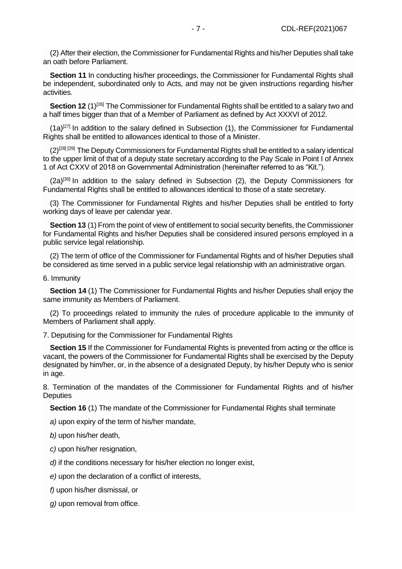(2) After their election, the Commissioner for Fundamental Rights and his/her Deputies shall take an oath before Parliament.

**Section 11** In conducting his/her proceedings, the Commissioner for Fundamental Rights shall be independent, subordinated only to Acts, and may not be given instructions regarding his/her activities.

**Section 12** (1)<sup>[\[26\]](file://///obh/dfs/AJBH_NTK_Foosztaly/NemzetkÃ¶zi%20OsztÃ¡ly/HÃ¡tterek,%20tÃ¡jÃ©koztatÃ³%20anyagok,Ã¶sszefoglalÃ³k/TÃ¶rvÃ©nyek,szabÃ¡lyzatok-EN/The%20Ombudsman%20Act_EN_20210223%20(002).docx%23_ftn26)</sup> The Commissioner for Fundamental Rights shall be entitled to a salary two and a half times bigger than that of a Member of Parliament as defined by Act XXXVI of 2012.

 $(1a)^{[27]}$  $(1a)^{[27]}$  $(1a)^{[27]}$  In addition to the salary defined in Subsection (1), the Commissioner for Fundamental Rights shall be entitled to allowances identical to those of a Minister.

 $(2)^{[28][29]}$  $(2)^{[28][29]}$  $(2)^{[28][29]}$  $(2)^{[28][29]}$  The Deputy Commissioners for Fundamental Rights shall be entitled to a salary identical to the upper limit of that of a deputy state secretary according to the Pay Scale in Point I of Annex 1 of Act CXXV of 2018 on Governmental Administration (hereinafter referred to as "Kit.").

 $(2a)^{[30]}$  $(2a)^{[30]}$  $(2a)^{[30]}$  In addition to the salary defined in Subsection  $(2)$ , the Deputy Commissioners for Fundamental Rights shall be entitled to allowances identical to those of a state secretary.

(3) The Commissioner for Fundamental Rights and his/her Deputies shall be entitled to forty working days of leave per calendar year.

**Section 13** (1) From the point of view of entitlement to social security benefits, the Commissioner for Fundamental Rights and his/her Deputies shall be considered insured persons employed in a public service legal relationship.

(2) The term of office of the Commissioner for Fundamental Rights and of his/her Deputies shall be considered as time served in a public service legal relationship with an administrative organ.

6. Immunity

**Section 14** (1) The Commissioner for Fundamental Rights and his/her Deputies shall enjoy the same immunity as Members of Parliament.

(2) To proceedings related to immunity the rules of procedure applicable to the immunity of Members of Parliament shall apply.

7. Deputising for the Commissioner for Fundamental Rights

**Section 15** If the Commissioner for Fundamental Rights is prevented from acting or the office is vacant, the powers of the Commissioner for Fundamental Rights shall be exercised by the Deputy designated by him/her, or, in the absence of a designated Deputy, by his/her Deputy who is senior in age.

8. Termination of the mandates of the Commissioner for Fundamental Rights and of his/her **Deputies** 

**Section 16** (1) The mandate of the Commissioner for Fundamental Rights shall terminate

*a)* upon expiry of the term of his/her mandate,

*b)* upon his/her death,

*c)* upon his/her resignation,

*d*) if the conditions necessary for his/her election no longer exist,

*e)* upon the declaration of a conflict of interests,

*f)* upon his/her dismissal, or

*g)* upon removal from office.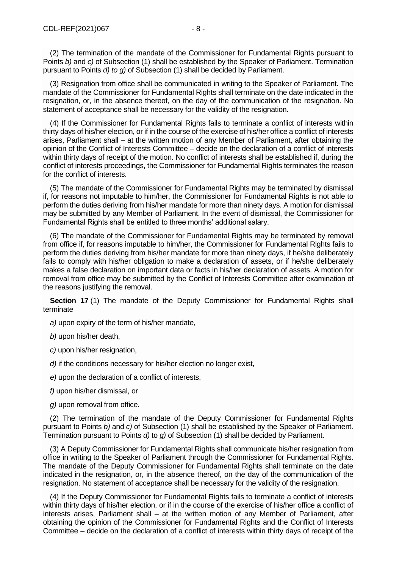(3) Resignation from office shall be communicated in writing to the Speaker of Parliament. The mandate of the Commissioner for Fundamental Rights shall terminate on the date indicated in the resignation, or, in the absence thereof, on the day of the communication of the resignation. No statement of acceptance shall be necessary for the validity of the resignation.

(4) If the Commissioner for Fundamental Rights fails to terminate a conflict of interests within thirty days of his/her election, or if in the course of the exercise of his/her office a conflict of interests arises, Parliament shall – at the written motion of any Member of Parliament, after obtaining the opinion of the Conflict of Interests Committee – decide on the declaration of a conflict of interests within thirty days of receipt of the motion. No conflict of interests shall be established if, during the conflict of interests proceedings, the Commissioner for Fundamental Rights terminates the reason for the conflict of interests.

(5) The mandate of the Commissioner for Fundamental Rights may be terminated by dismissal if, for reasons not imputable to him/her, the Commissioner for Fundamental Rights is not able to perform the duties deriving from his/her mandate for more than ninety days. A motion for dismissal may be submitted by any Member of Parliament. In the event of dismissal, the Commissioner for Fundamental Rights shall be entitled to three months' additional salary.

(6) The mandate of the Commissioner for Fundamental Rights may be terminated by removal from office if, for reasons imputable to him/her, the Commissioner for Fundamental Rights fails to perform the duties deriving from his/her mandate for more than ninety days, if he/she deliberately fails to comply with his/her obligation to make a declaration of assets, or if he/she deliberately makes a false declaration on important data or facts in his/her declaration of assets. A motion for removal from office may be submitted by the Conflict of Interests Committee after examination of the reasons justifying the removal.

**Section 17** (1) The mandate of the Deputy Commissioner for Fundamental Rights shall terminate

*a)* upon expiry of the term of his/her mandate,

*b)* upon his/her death,

*c)* upon his/her resignation,

*d)* if the conditions necessary for his/her election no longer exist,

*e)* upon the declaration of a conflict of interests,

*f)* upon his/her dismissal, or

*g)* upon removal from office.

(2) The termination of the mandate of the Deputy Commissioner for Fundamental Rights pursuant to Points *b)* and *c)* of Subsection (1) shall be established by the Speaker of Parliament. Termination pursuant to Points *d)* to *g)* of Subsection (1) shall be decided by Parliament.

(3) A Deputy Commissioner for Fundamental Rights shall communicate his/her resignation from office in writing to the Speaker of Parliament through the Commissioner for Fundamental Rights. The mandate of the Deputy Commissioner for Fundamental Rights shall terminate on the date indicated in the resignation, or, in the absence thereof, on the day of the communication of the resignation. No statement of acceptance shall be necessary for the validity of the resignation.

(4) If the Deputy Commissioner for Fundamental Rights fails to terminate a conflict of interests within thirty days of his/her election, or if in the course of the exercise of his/her office a conflict of interests arises, Parliament shall – at the written motion of any Member of Parliament, after obtaining the opinion of the Commissioner for Fundamental Rights and the Conflict of Interests Committee – decide on the declaration of a conflict of interests within thirty days of receipt of the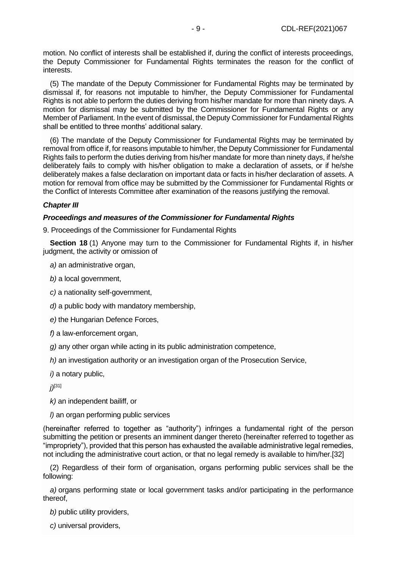motion. No conflict of interests shall be established if, during the conflict of interests proceedings, the Deputy Commissioner for Fundamental Rights terminates the reason for the conflict of interests.

(5) The mandate of the Deputy Commissioner for Fundamental Rights may be terminated by dismissal if, for reasons not imputable to him/her, the Deputy Commissioner for Fundamental Rights is not able to perform the duties deriving from his/her mandate for more than ninety days. A motion for dismissal may be submitted by the Commissioner for Fundamental Rights or any Member of Parliament. In the event of dismissal, the Deputy Commissioner for Fundamental Rights shall be entitled to three months' additional salary.

(6) The mandate of the Deputy Commissioner for Fundamental Rights may be terminated by removal from office if, for reasons imputable to him/her, the Deputy Commissioner for Fundamental Rights fails to perform the duties deriving from his/her mandate for more than ninety days, if he/she deliberately fails to comply with his/her obligation to make a declaration of assets, or if he/she deliberately makes a false declaration on important data or facts in his/her declaration of assets. A motion for removal from office may be submitted by the Commissioner for Fundamental Rights or the Conflict of Interests Committee after examination of the reasons justifying the removal.

## *Chapter III*

## *Proceedings and measures of the Commissioner for Fundamental Rights*

9. Proceedings of the Commissioner for Fundamental Rights

**Section 18** (1) Anyone may turn to the Commissioner for Fundamental Rights if, in his/her judgment, the activity or omission of

*a)* an administrative organ,

*b)* a local government,

*c)* a nationality self-government,

*d)* a public body with mandatory membership,

*e)* the Hungarian Defence Forces,

*f)* a law-enforcement organ,

*g)* any other organ while acting in its public administration competence,

*h)* an investigation authority or an investigation organ of the Prosecution Service,

*i)* a notary public,

*j)*[\[31\]](file://///obh/dfs/AJBH_NTK_Foosztaly/NemzetkÃ¶zi%20OsztÃ¡ly/HÃ¡tterek,%20tÃ¡jÃ©koztatÃ³%20anyagok,Ã¶sszefoglalÃ³k/TÃ¶rvÃ©nyek,szabÃ¡lyzatok-EN/The%20Ombudsman%20Act_EN_20210223%20(002).docx%23_ftn31)

*k)* an independent bailiff, or

*l)* an organ performing public services

(hereinafter referred to together as "authority") infringes a fundamental right of the person submitting the petition or presents an imminent danger thereto (hereinafter referred to together as "impropriety"), provided that this person has exhausted the available administrative legal remedies, not including the administrative court action, or that no legal remedy is available to him/he[r.\[32\]](file://///obh/dfs/AJBH_NTK_Foosztaly/NemzetkÃ¶zi%20OsztÃ¡ly/HÃ¡tterek,%20tÃ¡jÃ©koztatÃ³%20anyagok,Ã¶sszefoglalÃ³k/TÃ¶rvÃ©nyek,szabÃ¡lyzatok-EN/The%20Ombudsman%20Act_EN_20210223%20(002).docx%23_ftn32)

(2) Regardless of their form of organisation, organs performing public services shall be the following:

*a)* organs performing state or local government tasks and/or participating in the performance thereof,

*b)* public utility providers,

*c)* universal providers,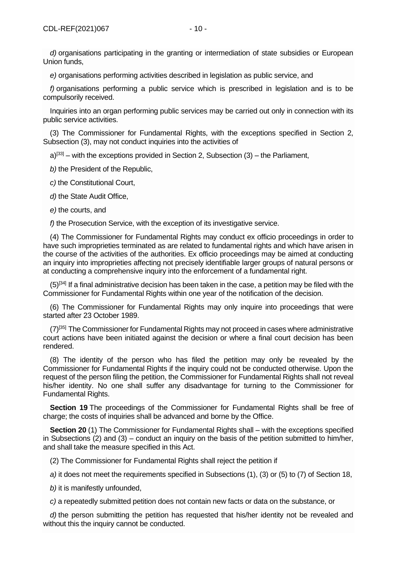*e)* organisations performing activities described in legislation as public service, and

*f)* organisations performing a public service which is prescribed in legislation and is to be compulsorily received.

Inquiries into an organ performing public services may be carried out only in connection with its public service activities.

(3) The Commissioner for Fundamental Rights, with the exceptions specified in Section 2, Subsection (3), may not conduct inquiries into the activities of

 $a^{33}$  – with the exceptions provided in Section 2, Subsection (3) – the Parliament,

*b)* the President of the Republic,

*c)* the Constitutional Court,

*d)* the State Audit Office,

*e)* the courts, and

*f)* the Prosecution Service, with the exception of its investigative service.

(4) The Commissioner for Fundamental Rights may conduct ex officio proceedings in order to have such improprieties terminated as are related to fundamental rights and which have arisen in the course of the activities of the authorities. Ex officio proceedings may be aimed at conducting an inquiry into improprieties affecting not precisely identifiable larger groups of natural persons or at conducting a comprehensive inquiry into the enforcement of a fundamental right.

 $(5)^{[34]}$  $(5)^{[34]}$  $(5)^{[34]}$  If a final administrative decision has been taken in the case, a petition may be filed with the Commissioner for Fundamental Rights within one year of the notification of the decision.

(6) The Commissioner for Fundamental Rights may only inquire into proceedings that were started after 23 October 1989.

 $(7)^{[35]}$  $(7)^{[35]}$  $(7)^{[35]}$  The Commissioner for Fundamental Rights may not proceed in cases where administrative court actions have been initiated against the decision or where a final court decision has been rendered.

(8) The identity of the person who has filed the petition may only be revealed by the Commissioner for Fundamental Rights if the inquiry could not be conducted otherwise. Upon the request of the person filing the petition, the Commissioner for Fundamental Rights shall not reveal his/her identity. No one shall suffer any disadvantage for turning to the Commissioner for Fundamental Rights.

**Section 19** The proceedings of the Commissioner for Fundamental Rights shall be free of charge; the costs of inquiries shall be advanced and borne by the Office.

**Section 20** (1) The Commissioner for Fundamental Rights shall – with the exceptions specified in Subsections (2) and (3) – conduct an inquiry on the basis of the petition submitted to him/her, and shall take the measure specified in this Act.

(2) The Commissioner for Fundamental Rights shall reject the petition if

*a)* it does not meet the requirements specified in Subsections (1), (3) or (5) to (7) of Section 18,

*b)* it is manifestly unfounded,

*c)* a repeatedly submitted petition does not contain new facts or data on the substance, or

*d)* the person submitting the petition has requested that his/her identity not be revealed and without this the inquiry cannot be conducted.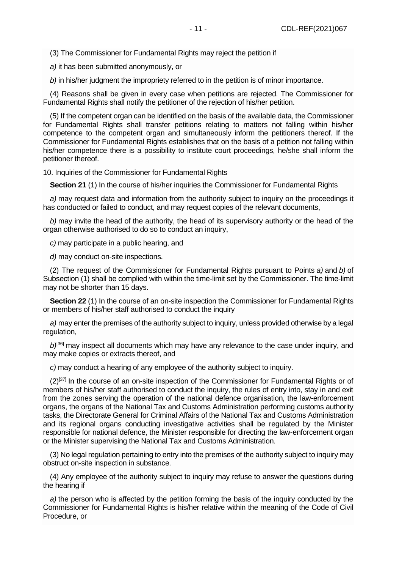(3) The Commissioner for Fundamental Rights may reject the petition if

*a)* it has been submitted anonymously, or

*b)* in his/her judgment the impropriety referred to in the petition is of minor importance.

(4) Reasons shall be given in every case when petitions are rejected. The Commissioner for Fundamental Rights shall notify the petitioner of the rejection of his/her petition.

(5) If the competent organ can be identified on the basis of the available data, the Commissioner for Fundamental Rights shall transfer petitions relating to matters not falling within his/her competence to the competent organ and simultaneously inform the petitioners thereof. If the Commissioner for Fundamental Rights establishes that on the basis of a petition not falling within his/her competence there is a possibility to institute court proceedings, he/she shall inform the petitioner thereof.

10. Inquiries of the Commissioner for Fundamental Rights

**Section 21** (1) In the course of his/her inquiries the Commissioner for Fundamental Rights

*a)* may request data and information from the authority subject to inquiry on the proceedings it has conducted or failed to conduct, and may request copies of the relevant documents,

*b)* may invite the head of the authority, the head of its supervisory authority or the head of the organ otherwise authorised to do so to conduct an inquiry,

*c)* may participate in a public hearing, and

*d)* may conduct on-site inspections.

(2) The request of the Commissioner for Fundamental Rights pursuant to Points *a)* and *b)* of Subsection (1) shall be complied with within the time-limit set by the Commissioner. The time-limit may not be shorter than 15 days.

**Section 22** (1) In the course of an on-site inspection the Commissioner for Fundamental Rights or members of his/her staff authorised to conduct the inquiry

*a)* may enter the premises of the authority subject to inquiry, unless provided otherwise by a legal regulation,

b)<sup>[\[36\]](file://///obh/dfs/AJBH_NTK_Foosztaly/NemzetkÃ¶zi%20OsztÃ¡ly/HÃ¡tterek,%20tÃ¡jÃ©koztatÃ³%20anyagok,Ã¶sszefoglalÃ³k/TÃ¶rvÃ©nyek,szabÃ¡lyzatok-EN/The%20Ombudsman%20Act_EN_20210223%20(002).docx%23_ftn36)</sup> may inspect all documents which may have any relevance to the case under inquiry, and may make copies or extracts thereof, and

*c)* may conduct a hearing of any employee of the authority subject to inquiry.

 $(2)^{[37]}$  $(2)^{[37]}$  $(2)^{[37]}$  In the course of an on-site inspection of the Commissioner for Fundamental Rights or of members of his/her staff authorised to conduct the inquiry, the rules of entry into, stay in and exit from the zones serving the operation of the national defence organisation, the law-enforcement organs, the organs of the National Tax and Customs Administration performing customs authority tasks, the Directorate General for Criminal Affairs of the National Tax and Customs Administration and its regional organs conducting investigative activities shall be regulated by the Minister responsible for national defence, the Minister responsible for directing the law-enforcement organ or the Minister supervising the National Tax and Customs Administration.

(3) No legal regulation pertaining to entry into the premises of the authority subject to inquiry may obstruct on-site inspection in substance.

(4) Any employee of the authority subject to inquiry may refuse to answer the questions during the hearing if

*a)* the person who is affected by the petition forming the basis of the inquiry conducted by the Commissioner for Fundamental Rights is his/her relative within the meaning of the Code of Civil Procedure, or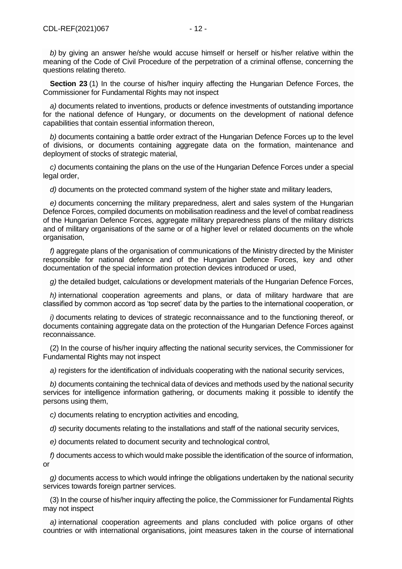**Section 23** (1) In the course of his/her inquiry affecting the Hungarian Defence Forces, the Commissioner for Fundamental Rights may not inspect

*a)* documents related to inventions, products or defence investments of outstanding importance for the national defence of Hungary, or documents on the development of national defence capabilities that contain essential information thereon,

*b)* documents containing a battle order extract of the Hungarian Defence Forces up to the level of divisions, or documents containing aggregate data on the formation, maintenance and deployment of stocks of strategic material,

*c)* documents containing the plans on the use of the Hungarian Defence Forces under a special legal order,

*d*) documents on the protected command system of the higher state and military leaders,

*e)* documents concerning the military preparedness, alert and sales system of the Hungarian Defence Forces, compiled documents on mobilisation readiness and the level of combat readiness of the Hungarian Defence Forces, aggregate military preparedness plans of the military districts and of military organisations of the same or of a higher level or related documents on the whole organisation,

*f)* aggregate plans of the organisation of communications of the Ministry directed by the Minister responsible for national defence and of the Hungarian Defence Forces, key and other documentation of the special information protection devices introduced or used,

*g)* the detailed budget, calculations or development materials of the Hungarian Defence Forces,

*h)* international cooperation agreements and plans, or data of military hardware that are classified by common accord as 'top secret' data by the parties to the international cooperation, or

*i)* documents relating to devices of strategic reconnaissance and to the functioning thereof, or documents containing aggregate data on the protection of the Hungarian Defence Forces against reconnaissance.

(2) In the course of his/her inquiry affecting the national security services, the Commissioner for Fundamental Rights may not inspect

*a)* registers for the identification of individuals cooperating with the national security services,

*b)* documents containing the technical data of devices and methods used by the national security services for intelligence information gathering, or documents making it possible to identify the persons using them,

*c)* documents relating to encryption activities and encoding,

*d)* security documents relating to the installations and staff of the national security services,

*e)* documents related to document security and technological control,

*f)* documents access to which would make possible the identification of the source of information, or

*g)* documents access to which would infringe the obligations undertaken by the national security services towards foreign partner services.

(3) In the course of his/her inquiry affecting the police, the Commissioner for Fundamental Rights may not inspect

*a)* international cooperation agreements and plans concluded with police organs of other countries or with international organisations, joint measures taken in the course of international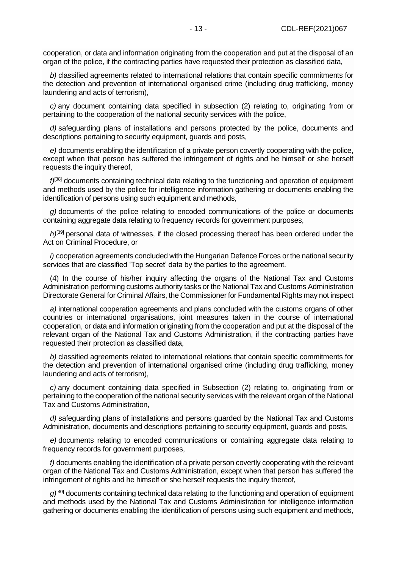cooperation, or data and information originating from the cooperation and put at the disposal of an organ of the police, if the contracting parties have requested their protection as classified data,

*b)* classified agreements related to international relations that contain specific commitments for the detection and prevention of international organised crime (including drug trafficking, money laundering and acts of terrorism),

*c)* any document containing data specified in subsection (2) relating to, originating from or pertaining to the cooperation of the national security services with the police,

*d)* safeguarding plans of installations and persons protected by the police, documents and descriptions pertaining to security equipment, guards and posts,

*e)* documents enabling the identification of a private person covertly cooperating with the police, except when that person has suffered the infringement of rights and he himself or she herself requests the inquiry thereof,

*f)*[\[38\]](file://///obh/dfs/AJBH_NTK_Foosztaly/NemzetkÃ¶zi%20OsztÃ¡ly/HÃ¡tterek,%20tÃ¡jÃ©koztatÃ³%20anyagok,Ã¶sszefoglalÃ³k/TÃ¶rvÃ©nyek,szabÃ¡lyzatok-EN/The%20Ombudsman%20Act_EN_20210223%20(002).docx%23_ftn38) documents containing technical data relating to the functioning and operation of equipment and methods used by the police for intelligence information gathering or documents enabling the identification of persons using such equipment and methods,

*g)* documents of the police relating to encoded communications of the police or documents containing aggregate data relating to frequency records for government purposes,

*h)*[\[39\]](file://///obh/dfs/AJBH_NTK_Foosztaly/NemzetkÃ¶zi%20OsztÃ¡ly/HÃ¡tterek,%20tÃ¡jÃ©koztatÃ³%20anyagok,Ã¶sszefoglalÃ³k/TÃ¶rvÃ©nyek,szabÃ¡lyzatok-EN/The%20Ombudsman%20Act_EN_20210223%20(002).docx%23_ftn39) personal data of witnesses, if the closed processing thereof has been ordered under the Act on Criminal Procedure, or

*i)* cooperation agreements concluded with the Hungarian Defence Forces or the national security services that are classified 'Top secret' data by the parties to the agreement.

(4) In the course of his/her inquiry affecting the organs of the National Tax and Customs Administration performing customs authority tasks or the National Tax and Customs Administration Directorate General for Criminal Affairs, the Commissioner for Fundamental Rights may not inspect

*a)* international cooperation agreements and plans concluded with the customs organs of other countries or international organisations, joint measures taken in the course of international cooperation, or data and information originating from the cooperation and put at the disposal of the relevant organ of the National Tax and Customs Administration, if the contracting parties have requested their protection as classified data,

*b)* classified agreements related to international relations that contain specific commitments for the detection and prevention of international organised crime (including drug trafficking, money laundering and acts of terrorism),

*c)* any document containing data specified in Subsection (2) relating to, originating from or pertaining to the cooperation of the national security services with the relevant organ of the National Tax and Customs Administration,

*d)* safeguarding plans of installations and persons guarded by the National Tax and Customs Administration, documents and descriptions pertaining to security equipment, guards and posts,

*e)* documents relating to encoded communications or containing aggregate data relating to frequency records for government purposes,

*f)* documents enabling the identification of a private person covertly cooperating with the relevant organ of the National Tax and Customs Administration, except when that person has suffered the infringement of rights and he himself or she herself requests the inquiry thereof,

*g)*[\[40\]](file://///obh/dfs/AJBH_NTK_Foosztaly/NemzetkÃ¶zi%20OsztÃ¡ly/HÃ¡tterek,%20tÃ¡jÃ©koztatÃ³%20anyagok,Ã¶sszefoglalÃ³k/TÃ¶rvÃ©nyek,szabÃ¡lyzatok-EN/The%20Ombudsman%20Act_EN_20210223%20(002).docx%23_ftn40) documents containing technical data relating to the functioning and operation of equipment and methods used by the National Tax and Customs Administration for intelligence information gathering or documents enabling the identification of persons using such equipment and methods,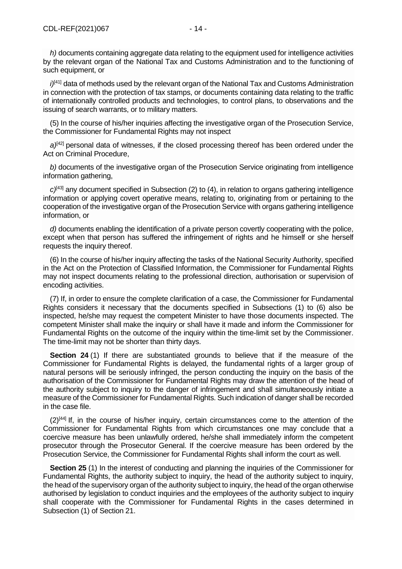*h)* documents containing aggregate data relating to the equipment used for intelligence activities by the relevant organ of the National Tax and Customs Administration and to the functioning of such equipment, or

*i)*<sup>[\[41\]](file://///obh/dfs/AJBH_NTK_Foosztaly/NemzetkÃ¶zi%20OsztÃ¡ly/HÃ¡tterek,%20tÃ¡jÃ©koztatÃ³%20anyagok,Ã¶sszefoglalÃ³k/TÃ¶rvÃ©nyek,szabÃ¡lyzatok-EN/The%20Ombudsman%20Act_EN_20210223%20(002).docx%23_ftn41)</sup> data of methods used by the relevant organ of the National Tax and Customs Administration in connection with the protection of tax stamps, or documents containing data relating to the traffic of internationally controlled products and technologies, to control plans, to observations and the issuing of search warrants, or to military matters.

(5) In the course of his/her inquiries affecting the investigative organ of the Prosecution Service, the Commissioner for Fundamental Rights may not inspect

 $a^{[42]}$  $a^{[42]}$  $a^{[42]}$  personal data of witnesses, if the closed processing thereof has been ordered under the Act on Criminal Procedure,

*b)* documents of the investigative organ of the Prosecution Service originating from intelligence information gathering.

*c)*[\[43\]](file://///obh/dfs/AJBH_NTK_Foosztaly/NemzetkÃ¶zi%20OsztÃ¡ly/HÃ¡tterek,%20tÃ¡jÃ©koztatÃ³%20anyagok,Ã¶sszefoglalÃ³k/TÃ¶rvÃ©nyek,szabÃ¡lyzatok-EN/The%20Ombudsman%20Act_EN_20210223%20(002).docx%23_ftn43) any document specified in Subsection (2) to (4), in relation to organs gathering intelligence information or applying covert operative means, relating to, originating from or pertaining to the cooperation of the investigative organ of the Prosecution Service with organs gathering intelligence information, or

*d)* documents enabling the identification of a private person covertly cooperating with the police, except when that person has suffered the infringement of rights and he himself or she herself requests the inquiry thereof.

(6) In the course of his/her inquiry affecting the tasks of the National Security Authority, specified in the Act on the Protection of Classified Information, the Commissioner for Fundamental Rights may not inspect documents relating to the professional direction, authorisation or supervision of encoding activities.

(7) If, in order to ensure the complete clarification of a case, the Commissioner for Fundamental Rights considers it necessary that the documents specified in Subsections (1) to (6) also be inspected, he/she may request the competent Minister to have those documents inspected. The competent Minister shall make the inquiry or shall have it made and inform the Commissioner for Fundamental Rights on the outcome of the inquiry within the time-limit set by the Commissioner. The time-limit may not be shorter than thirty days.

**Section 24** (1) If there are substantiated grounds to believe that if the measure of the Commissioner for Fundamental Rights is delayed, the fundamental rights of a larger group of natural persons will be seriously infringed, the person conducting the inquiry on the basis of the authorisation of the Commissioner for Fundamental Rights may draw the attention of the head of the authority subject to inquiry to the danger of infringement and shall simultaneously initiate a measure of the Commissioner for Fundamental Rights. Such indication of danger shall be recorded in the case file.

 $(2)^{[44]}$  $(2)^{[44]}$  $(2)^{[44]}$  If, in the course of his/her inquiry, certain circumstances come to the attention of the Commissioner for Fundamental Rights from which circumstances one may conclude that a coercive measure has been unlawfully ordered, he/she shall immediately inform the competent prosecutor through the Prosecutor General. If the coercive measure has been ordered by the Prosecution Service, the Commissioner for Fundamental Rights shall inform the court as well.

**Section 25** (1) In the interest of conducting and planning the inquiries of the Commissioner for Fundamental Rights, the authority subject to inquiry, the head of the authority subject to inquiry, the head of the supervisory organ of the authority subject to inquiry, the head of the organ otherwise authorised by legislation to conduct inquiries and the employees of the authority subject to inquiry shall cooperate with the Commissioner for Fundamental Rights in the cases determined in Subsection (1) of Section 21.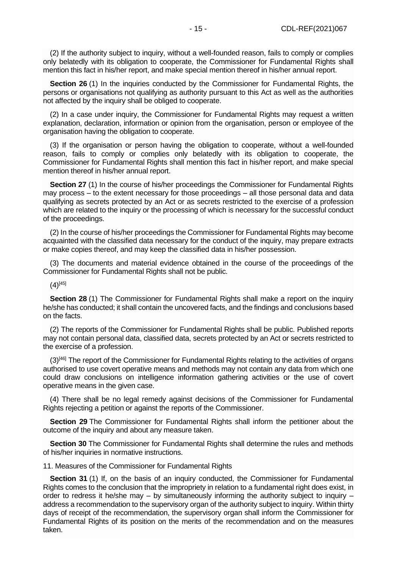(2) If the authority subject to inquiry, without a well-founded reason, fails to comply or complies only belatedly with its obligation to cooperate, the Commissioner for Fundamental Rights shall mention this fact in his/her report, and make special mention thereof in his/her annual report.

**Section 26** (1) In the inquiries conducted by the Commissioner for Fundamental Rights, the persons or organisations not qualifying as authority pursuant to this Act as well as the authorities not affected by the inquiry shall be obliged to cooperate.

(2) In a case under inquiry, the Commissioner for Fundamental Rights may request a written explanation, declaration, information or opinion from the organisation, person or employee of the organisation having the obligation to cooperate.

(3) If the organisation or person having the obligation to cooperate, without a well-founded reason, fails to comply or complies only belatedly with its obligation to cooperate, the Commissioner for Fundamental Rights shall mention this fact in his/her report, and make special mention thereof in his/her annual report.

**Section 27** (1) In the course of his/her proceedings the Commissioner for Fundamental Rights may process – to the extent necessary for those proceedings – all those personal data and data qualifying as secrets protected by an Act or as secrets restricted to the exercise of a profession which are related to the inquiry or the processing of which is necessary for the successful conduct of the proceedings.

(2) In the course of his/her proceedings the Commissioner for Fundamental Rights may become acquainted with the classified data necessary for the conduct of the inquiry, may prepare extracts or make copies thereof, and may keep the classified data in his/her possession.

(3) The documents and material evidence obtained in the course of the proceedings of the Commissioner for Fundamental Rights shall not be public.

 $(4)$ [\[45\]](file://///obh/dfs/AJBH_NTK_Foosztaly/NemzetkÃ¶zi%20OsztÃ¡ly/HÃ¡tterek,%20tÃ¡jÃ©koztatÃ³%20anyagok,Ã¶sszefoglalÃ³k/TÃ¶rvÃ©nyek,szabÃ¡lyzatok-EN/The%20Ombudsman%20Act_EN_20210223%20(002).docx%23_ftn45)

**Section 28** (1) The Commissioner for Fundamental Rights shall make a report on the inquiry he/she has conducted; it shall contain the uncovered facts, and the findings and conclusions based on the facts.

(2) The reports of the Commissioner for Fundamental Rights shall be public. Published reports may not contain personal data, classified data, secrets protected by an Act or secrets restricted to the exercise of a profession.

 $(3)^{[46]}$  $(3)^{[46]}$  $(3)^{[46]}$  The report of the Commissioner for Fundamental Rights relating to the activities of organs authorised to use covert operative means and methods may not contain any data from which one could draw conclusions on intelligence information gathering activities or the use of covert operative means in the given case.

(4) There shall be no legal remedy against decisions of the Commissioner for Fundamental Rights rejecting a petition or against the reports of the Commissioner.

**Section 29** The Commissioner for Fundamental Rights shall inform the petitioner about the outcome of the inquiry and about any measure taken.

**Section 30** The Commissioner for Fundamental Rights shall determine the rules and methods of his/her inquiries in normative instructions.

11. Measures of the Commissioner for Fundamental Rights

**Section 31** (1) If, on the basis of an inquiry conducted, the Commissioner for Fundamental Rights comes to the conclusion that the impropriety in relation to a fundamental right does exist, in order to redress it he/she may  $-$  by simultaneously informing the authority subject to inquiry  $$ address a recommendation to the supervisory organ of the authority subject to inquiry. Within thirty days of receipt of the recommendation, the supervisory organ shall inform the Commissioner for Fundamental Rights of its position on the merits of the recommendation and on the measures taken.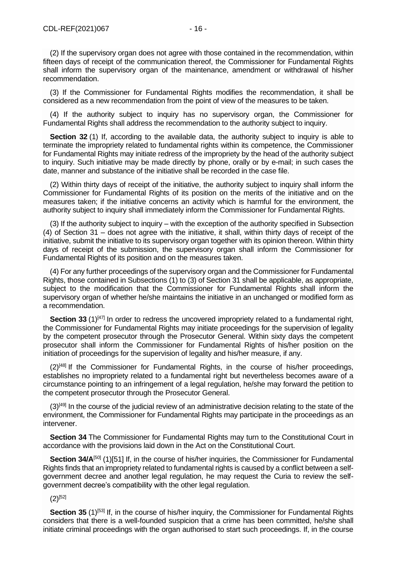(2) If the supervisory organ does not agree with those contained in the recommendation, within fifteen days of receipt of the communication thereof, the Commissioner for Fundamental Rights shall inform the supervisory organ of the maintenance, amendment or withdrawal of his/her recommendation.

(3) If the Commissioner for Fundamental Rights modifies the recommendation, it shall be considered as a new recommendation from the point of view of the measures to be taken.

(4) If the authority subject to inquiry has no supervisory organ, the Commissioner for Fundamental Rights shall address the recommendation to the authority subject to inquiry.

**Section 32** (1) If, according to the available data, the authority subject to inquiry is able to terminate the impropriety related to fundamental rights within its competence, the Commissioner for Fundamental Rights may initiate redress of the impropriety by the head of the authority subject to inquiry. Such initiative may be made directly by phone, orally or by e-mail; in such cases the date, manner and substance of the initiative shall be recorded in the case file.

(2) Within thirty days of receipt of the initiative, the authority subject to inquiry shall inform the Commissioner for Fundamental Rights of its position on the merits of the initiative and on the measures taken; if the initiative concerns an activity which is harmful for the environment, the authority subject to inquiry shall immediately inform the Commissioner for Fundamental Rights.

(3) If the authority subject to inquiry – with the exception of the authority specified in Subsection (4) of Section 31 – does not agree with the initiative, it shall, within thirty days of receipt of the initiative, submit the initiative to its supervisory organ together with its opinion thereon. Within thirty days of receipt of the submission, the supervisory organ shall inform the Commissioner for Fundamental Rights of its position and on the measures taken.

(4) For any further proceedings of the supervisory organ and the Commissioner for Fundamental Rights, those contained in Subsections (1) to (3) of Section 31 shall be applicable, as appropriate, subject to the modification that the Commissioner for Fundamental Rights shall inform the supervisory organ of whether he/she maintains the initiative in an unchanged or modified form as a recommendation.

**Section 33** (1)<sup>[\[47\]](file://///obh/dfs/AJBH_NTK_Foosztaly/NemzetkÃ¶zi%20OsztÃ¡ly/HÃ¡tterek,%20tÃ¡jÃ©koztatÃ³%20anyagok,Ã¶sszefoglalÃ³k/TÃ¶rvÃ©nyek,szabÃ¡lyzatok-EN/The%20Ombudsman%20Act_EN_20210223%20(002).docx%23_ftn47)</sup> In order to redress the uncovered impropriety related to a fundamental right, the Commissioner for Fundamental Rights may initiate proceedings for the supervision of legality by the competent prosecutor through the Prosecutor General. Within sixty days the competent prosecutor shall inform the Commissioner for Fundamental Rights of his/her position on the initiation of proceedings for the supervision of legality and his/her measure, if any.

 $(2)^{[48]}$  $(2)^{[48]}$  $(2)^{[48]}$  If the Commissioner for Fundamental Rights, in the course of his/her proceedings, establishes no impropriety related to a fundamental right but nevertheless becomes aware of a circumstance pointing to an infringement of a legal regulation, he/she may forward the petition to the competent prosecutor through the Prosecutor General.

 $(3)$ <sup>[\[49\]](file://///obh/dfs/AJBH_NTK_Foosztaly/NemzetkÃ¶zi%20OsztÃ¡ly/HÃ¡tterek,%20tÃ¡jÃ©koztatÃ³%20anyagok,Ã¶sszefoglalÃ³k/TÃ¶rvÃ©nyek,szabÃ¡lyzatok-EN/The%20Ombudsman%20Act_EN_20210223%20(002).docx%23_ftn49)</sup> In the course of the judicial review of an administrative decision relating to the state of the environment, the Commissioner for Fundamental Rights may participate in the proceedings as an intervener.

**Section 34** The Commissioner for Fundamental Rights may turn to the Constitutional Court in accordance with the provisions laid down in the Act on the Constitutional Court.

Section 34/A<sup>[\[50\]](file://///obh/dfs/AJBH_NTK_Foosztaly/NemzetkÃ¶zi%20OsztÃ¡ly/HÃ¡tterek,%20tÃ¡jÃ©koztatÃ³%20anyagok,Ã¶sszefoglalÃ³k/TÃ¶rvÃ©nyek,szabÃ¡lyzatok-EN/The%20Ombudsman%20Act_EN_20210223%20(002).docx%23_ftn50)</sup> (1[\)\[51\]](file://///obh/dfs/AJBH_NTK_Foosztaly/NemzetkÃ¶zi%20OsztÃ¡ly/HÃ¡tterek,%20tÃ¡jÃ©koztatÃ³%20anyagok,Ã¶sszefoglalÃ³k/TÃ¶rvÃ©nyek,szabÃ¡lyzatok-EN/The%20Ombudsman%20Act_EN_20210223%20(002).docx%23_ftn51) If, in the course of his/her inquiries, the Commissioner for Fundamental Rights finds that an impropriety related to fundamental rights is caused by a conflict between a selfgovernment decree and another legal regulation, he may request the Curia to review the selfgovernment decree's compatibility with the other legal regulation.

## $(2)^{[52]}$  $(2)^{[52]}$  $(2)^{[52]}$

**Section 35** (1)<sup>[\[53\]](file://///obh/dfs/AJBH_NTK_Foosztaly/NemzetkÃ¶zi%20OsztÃ¡ly/HÃ¡tterek,%20tÃ¡jÃ©koztatÃ³%20anyagok,Ã¶sszefoglalÃ³k/TÃ¶rvÃ©nyek,szabÃ¡lyzatok-EN/The%20Ombudsman%20Act_EN_20210223%20(002).docx%23_ftn53)</sup> If, in the course of his/her inquiry, the Commissioner for Fundamental Rights considers that there is a well-founded suspicion that a crime has been committed, he/she shall initiate criminal proceedings with the organ authorised to start such proceedings. If, in the course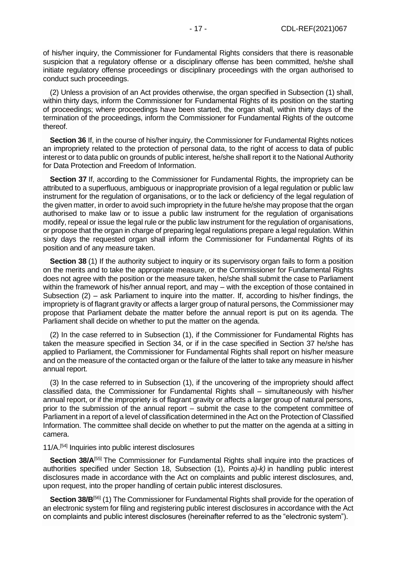of his/her inquiry, the Commissioner for Fundamental Rights considers that there is reasonable suspicion that a regulatory offense or a disciplinary offense has been committed, he/she shall initiate regulatory offense proceedings or disciplinary proceedings with the organ authorised to conduct such proceedings.

(2) Unless a provision of an Act provides otherwise, the organ specified in Subsection (1) shall, within thirty days, inform the Commissioner for Fundamental Rights of its position on the starting of proceedings; where proceedings have been started, the organ shall, within thirty days of the termination of the proceedings, inform the Commissioner for Fundamental Rights of the outcome thereof.

**Section 36** If, in the course of his/her inquiry, the Commissioner for Fundamental Rights notices an impropriety related to the protection of personal data, to the right of access to data of public interest or to data public on grounds of public interest, he/she shall report it to the National Authority for Data Protection and Freedom of Information.

**Section 37** If, according to the Commissioner for Fundamental Rights, the impropriety can be attributed to a superfluous, ambiguous or inappropriate provision of a legal regulation or public law instrument for the regulation of organisations, or to the lack or deficiency of the legal regulation of the given matter, in order to avoid such impropriety in the future he/she may propose that the organ authorised to make law or to issue a public law instrument for the regulation of organisations modify, repeal or issue the legal rule or the public law instrument for the regulation of organisations, or propose that the organ in charge of preparing legal regulations prepare a legal regulation. Within sixty days the requested organ shall inform the Commissioner for Fundamental Rights of its position and of any measure taken.

**Section 38** (1) If the authority subject to inquiry or its supervisory organ fails to form a position on the merits and to take the appropriate measure, or the Commissioner for Fundamental Rights does not agree with the position or the measure taken, he/she shall submit the case to Parliament within the framework of his/her annual report, and may – with the exception of those contained in Subsection (2) – ask Parliament to inquire into the matter. If, according to his/her findings, the impropriety is of flagrant gravity or affects a larger group of natural persons, the Commissioner may propose that Parliament debate the matter before the annual report is put on its agenda. The Parliament shall decide on whether to put the matter on the agenda.

(2) In the case referred to in Subsection (1), if the Commissioner for Fundamental Rights has taken the measure specified in Section 34, or if in the case specified in Section 37 he/she has applied to Parliament, the Commissioner for Fundamental Rights shall report on his/her measure and on the measure of the contacted organ or the failure of the latter to take any measure in his/her annual report.

(3) In the case referred to in Subsection (1), if the uncovering of the impropriety should affect classified data, the Commissioner for Fundamental Rights shall – simultaneously with his/her annual report, or if the impropriety is of flagrant gravity or affects a larger group of natural persons, prior to the submission of the annual report – submit the case to the competent committee of Parliament in a report of a level of classification determined in the Act on the Protection of Classified Information. The committee shall decide on whether to put the matter on the agenda at a sitting in camera.

## 11/A.[\[54\]](file://///obh/dfs/AJBH_NTK_Foosztaly/NemzetkÃ¶zi%20OsztÃ¡ly/HÃ¡tterek,%20tÃ¡jÃ©koztatÃ³%20anyagok,Ã¶sszefoglalÃ³k/TÃ¶rvÃ©nyek,szabÃ¡lyzatok-EN/The%20Ombudsman%20Act_EN_20210223%20(002).docx%23_ftn54) Inquiries into public interest disclosures

**Section 38/A**<sup>[\[55\]](file://///obh/dfs/AJBH_NTK_Foosztaly/NemzetkÃ¶zi%20OsztÃ¡ly/HÃ¡tterek,%20tÃ¡jÃ©koztatÃ³%20anyagok,Ã¶sszefoglalÃ³k/TÃ¶rvÃ©nyek,szabÃ¡lyzatok-EN/The%20Ombudsman%20Act_EN_20210223%20(002).docx%23_ftn55)</sup> The Commissioner for Fundamental Rights shall inquire into the practices of authorities specified under Section 18, Subsection (1), Points *a)-k)* in handling public interest disclosures made in accordance with the Act on complaints and public interest disclosures, and, upon request, into the proper handling of certain public interest disclosures.

**Section 38/B**<sup>[\[56\]](file://///obh/dfs/AJBH_NTK_Foosztaly/NemzetkÃ¶zi%20OsztÃ¡ly/HÃ¡tterek,%20tÃ¡jÃ©koztatÃ³%20anyagok,Ã¶sszefoglalÃ³k/TÃ¶rvÃ©nyek,szabÃ¡lyzatok-EN/The%20Ombudsman%20Act_EN_20210223%20(002).docx%23_ftn56)</sup> (1) The Commissioner for Fundamental Rights shall provide for the operation of an electronic system for filing and registering public interest disclosures in accordance with the Act on complaints and public interest disclosures (hereinafter referred to as the "electronic system").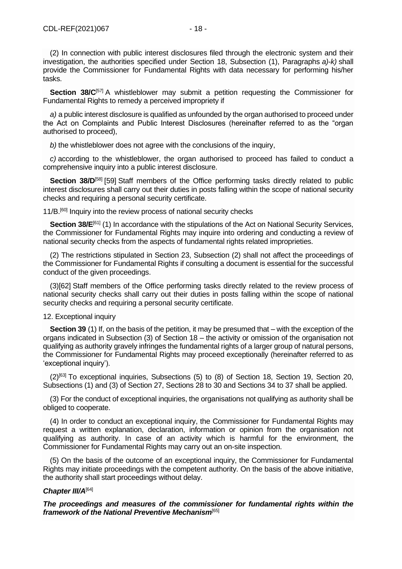(2) In connection with public interest disclosures filed through the electronic system and their investigation, the authorities specified under Section 18, Subsection (1), Paragraphs *a)-k)* shall provide the Commissioner for Fundamental Rights with data necessary for performing his/her tasks.

**Section 38/C**<sup>[\[57\]](file://///obh/dfs/AJBH_NTK_Foosztaly/NemzetkÃ¶zi%20OsztÃ¡ly/HÃ¡tterek,%20tÃ¡jÃ©koztatÃ³%20anyagok,Ã¶sszefoglalÃ³k/TÃ¶rvÃ©nyek,szabÃ¡lyzatok-EN/The%20Ombudsman%20Act_EN_20210223%20(002).docx%23_ftn57)</sup> A whistleblower may submit a petition requesting the Commissioner for Fundamental Rights to remedy a perceived impropriety if

*a)* a public interest disclosure is qualified as unfounded by the organ authorised to proceed under the Act on Complaints and Public Interest Disclosures (hereinafter referred to as the "organ authorised to proceed),

*b)* the whistleblower does not agree with the conclusions of the inquiry,

*c)* according to the whistleblower, the organ authorised to proceed has failed to conduct a comprehensive inquiry into a public interest disclosure.

**Section 38/D[\[58\]](file://///obh/dfs/AJBH_NTK_Foosztaly/NemzetkÃ¶zi%20OsztÃ¡ly/HÃ¡tterek,%20tÃ¡jÃ©koztatÃ³%20anyagok,Ã¶sszefoglalÃ³k/TÃ¶rvÃ©nyek,szabÃ¡lyzatok-EN/The%20Ombudsman%20Act_EN_20210223%20(002).docx%23_ftn58)** [\[59\]](file://///obh/dfs/AJBH_NTK_Foosztaly/NemzetkÃ¶zi%20OsztÃ¡ly/HÃ¡tterek,%20tÃ¡jÃ©koztatÃ³%20anyagok,Ã¶sszefoglalÃ³k/TÃ¶rvÃ©nyek,szabÃ¡lyzatok-EN/The%20Ombudsman%20Act_EN_20210223%20(002).docx%23_ftn59) Staff members of the Office performing tasks directly related to public interest disclosures shall carry out their duties in posts falling within the scope of national security checks and requiring a personal security certificate.

11/B.<sup>[\[60\]](file://///obh/dfs/AJBH_NTK_Foosztaly/NemzetkÃ¶zi%20OsztÃ¡ly/HÃ¡tterek,%20tÃ¡jÃ©koztatÃ³%20anyagok,Ã¶sszefoglalÃ³k/TÃ¶rvÃ©nyek,szabÃ¡lyzatok-EN/The%20Ombudsman%20Act_EN_20210223%20(002).docx%23_ftn60)</sup> Inquiry into the review process of national security checks

**Section 38/E**<sup>[\[61\]](file://///obh/dfs/AJBH_NTK_Foosztaly/NemzetkÃ¶zi%20OsztÃ¡ly/HÃ¡tterek,%20tÃ¡jÃ©koztatÃ³%20anyagok,Ã¶sszefoglalÃ³k/TÃ¶rvÃ©nyek,szabÃ¡lyzatok-EN/The%20Ombudsman%20Act_EN_20210223%20(002).docx%23_ftn61)</sup> (1) In accordance with the stipulations of the Act on National Security Services, the Commissioner for Fundamental Rights may inquire into ordering and conducting a review of national security checks from the aspects of fundamental rights related improprieties.

(2) The restrictions stipulated in Section 23, Subsection (2) shall not affect the proceedings of the Commissioner for Fundamental Rights if consulting a document is essential for the successful conduct of the given proceedings.

(3[\)\[62\]](file://///obh/dfs/AJBH_NTK_Foosztaly/NemzetkÃ¶zi%20OsztÃ¡ly/HÃ¡tterek,%20tÃ¡jÃ©koztatÃ³%20anyagok,Ã¶sszefoglalÃ³k/TÃ¶rvÃ©nyek,szabÃ¡lyzatok-EN/The%20Ombudsman%20Act_EN_20210223%20(002).docx%23_ftn62) Staff members of the Office performing tasks directly related to the review process of national security checks shall carry out their duties in posts falling within the scope of national security checks and requiring a personal security certificate.

# 12. Exceptional inquiry

**Section 39** (1) If, on the basis of the petition, it may be presumed that – with the exception of the organs indicated in Subsection (3) of Section 18 – the activity or omission of the organisation not qualifying as authority gravely infringes the fundamental rights of a larger group of natural persons, the Commissioner for Fundamental Rights may proceed exceptionally (hereinafter referred to as 'exceptional inquiry').

 $(2)$ <sup>[\[63\]](file://///obh/dfs/AJBH_NTK_Foosztaly/NemzetkÃ¶zi%20OsztÃ¡ly/HÃ¡tterek,%20tÃ¡jÃ©koztatÃ³%20anyagok,Ã¶sszefoglalÃ³k/TÃ¶rvÃ©nyek,szabÃ¡lyzatok-EN/The%20Ombudsman%20Act_EN_20210223%20(002).docx%23_ftn63)</sup> To exceptional inquiries, Subsections (5) to (8) of Section 18, Section 19, Section 20, Subsections (1) and (3) of Section 27, Sections 28 to 30 and Sections 34 to 37 shall be applied.

(3) For the conduct of exceptional inquiries, the organisations not qualifying as authority shall be obliged to cooperate.

(4) In order to conduct an exceptional inquiry, the Commissioner for Fundamental Rights may request a written explanation, declaration, information or opinion from the organisation not qualifying as authority. In case of an activity which is harmful for the environment, the Commissioner for Fundamental Rights may carry out an on-site inspection.

(5) On the basis of the outcome of an exceptional inquiry, the Commissioner for Fundamental Rights may initiate proceedings with the competent authority. On the basis of the above initiative, the authority shall start proceedings without delay.

# *Chapter III/A*[\[64\]](file://///obh/dfs/AJBH_NTK_Foosztaly/NemzetkÃ¶zi%20OsztÃ¡ly/HÃ¡tterek,%20tÃ¡jÃ©koztatÃ³%20anyagok,Ã¶sszefoglalÃ³k/TÃ¶rvÃ©nyek,szabÃ¡lyzatok-EN/The%20Ombudsman%20Act_EN_20210223%20(002).docx%23_ftn64)

*The proceedings and measures of the commissioner for fundamental rights within the framework of the National Preventive Mechanism*[\[65\]](file://///obh/dfs/AJBH_NTK_Foosztaly/NemzetkÃ¶zi%20OsztÃ¡ly/HÃ¡tterek,%20tÃ¡jÃ©koztatÃ³%20anyagok,Ã¶sszefoglalÃ³k/TÃ¶rvÃ©nyek,szabÃ¡lyzatok-EN/The%20Ombudsman%20Act_EN_20210223%20(002).docx%23_ftn65)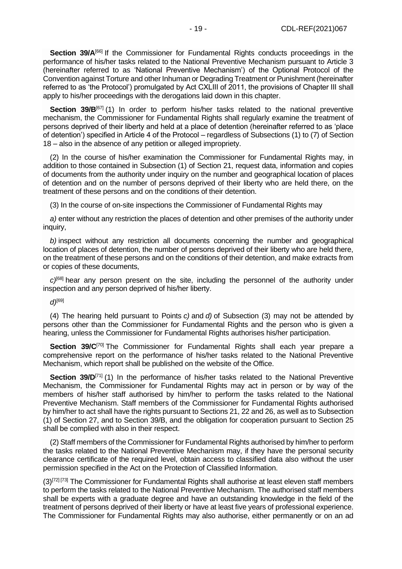**Section 39/A**[\[66\]](file://///obh/dfs/AJBH_NTK_Foosztaly/NemzetkÃ¶zi%20OsztÃ¡ly/HÃ¡tterek,%20tÃ¡jÃ©koztatÃ³%20anyagok,Ã¶sszefoglalÃ³k/TÃ¶rvÃ©nyek,szabÃ¡lyzatok-EN/The%20Ombudsman%20Act_EN_20210223%20(002).docx%23_ftn66) If the Commissioner for Fundamental Rights conducts proceedings in the performance of his/her tasks related to the National Preventive Mechanism pursuant to Article 3 (hereinafter referred to as 'National Preventive Mechanism') of the Optional Protocol of the Convention against Torture and other Inhuman or Degrading Treatment or Punishment (hereinafter referred to as 'the Protocol') promulgated by Act CXLIII of 2011, the provisions of Chapter III shall apply to his/her proceedings with the derogations laid down in this chapter.

**Section 39/B**<sup>[\[67\]](file://///obh/dfs/AJBH_NTK_Foosztaly/NemzetkÃ¶zi%20OsztÃ¡ly/HÃ¡tterek,%20tÃ¡jÃ©koztatÃ³%20anyagok,Ã¶sszefoglalÃ³k/TÃ¶rvÃ©nyek,szabÃ¡lyzatok-EN/The%20Ombudsman%20Act_EN_20210223%20(002).docx%23_ftn67)</sup> (1) In order to perform his/her tasks related to the national preventive mechanism, the Commissioner for Fundamental Rights shall regularly examine the treatment of persons deprived of their liberty and held at a place of detention (hereinafter referred to as 'place of detention') specified in Article 4 of the Protocol – regardless of Subsections (1) to (7) of Section 18 – also in the absence of any petition or alleged impropriety.

(2) In the course of his/her examination the Commissioner for Fundamental Rights may, in addition to those contained in Subsection (1) of Section 21, request data, information and copies of documents from the authority under inquiry on the number and geographical location of places of detention and on the number of persons deprived of their liberty who are held there, on the treatment of these persons and on the conditions of their detention.

(3) In the course of on-site inspections the Commissioner of Fundamental Rights may

*a)* enter without any restriction the places of detention and other premises of the authority under inquiry,

*b)* inspect without any restriction all documents concerning the number and geographical location of places of detention, the number of persons deprived of their liberty who are held there, on the treatment of these persons and on the conditions of their detention, and make extracts from or copies of these documents,

*c)*[\[68\]](file://///obh/dfs/AJBH_NTK_Foosztaly/NemzetkÃ¶zi%20OsztÃ¡ly/HÃ¡tterek,%20tÃ¡jÃ©koztatÃ³%20anyagok,Ã¶sszefoglalÃ³k/TÃ¶rvÃ©nyek,szabÃ¡lyzatok-EN/The%20Ombudsman%20Act_EN_20210223%20(002).docx%23_ftn68) hear any person present on the site, including the personnel of the authority under inspection and any person deprived of his/her liberty.

*d)*[\[69\]](file://///obh/dfs/AJBH_NTK_Foosztaly/NemzetkÃ¶zi%20OsztÃ¡ly/HÃ¡tterek,%20tÃ¡jÃ©koztatÃ³%20anyagok,Ã¶sszefoglalÃ³k/TÃ¶rvÃ©nyek,szabÃ¡lyzatok-EN/The%20Ombudsman%20Act_EN_20210223%20(002).docx%23_ftn69)

(4) The hearing held pursuant to Points *c)* and *d)* of Subsection (3) may not be attended by persons other than the Commissioner for Fundamental Rights and the person who is given a hearing, unless the Commissioner for Fundamental Rights authorises his/her participation.

**Section 39/C**<sup>[\[70\]](file://///obh/dfs/AJBH_NTK_Foosztaly/NemzetkÃ¶zi%20OsztÃ¡ly/HÃ¡tterek,%20tÃ¡jÃ©koztatÃ³%20anyagok,Ã¶sszefoglalÃ³k/TÃ¶rvÃ©nyek,szabÃ¡lyzatok-EN/The%20Ombudsman%20Act_EN_20210223%20(002).docx%23_ftn70)</sup> The Commissioner for Fundamental Rights shall each year prepare a comprehensive report on the performance of his/her tasks related to the National Preventive Mechanism, which report shall be published on the website of the Office.

**Section 39/D**<sup>[\[71\]](file://///obh/dfs/AJBH_NTK_Foosztaly/NemzetkÃ¶zi%20OsztÃ¡ly/HÃ¡tterek,%20tÃ¡jÃ©koztatÃ³%20anyagok,Ã¶sszefoglalÃ³k/TÃ¶rvÃ©nyek,szabÃ¡lyzatok-EN/The%20Ombudsman%20Act_EN_20210223%20(002).docx%23_ftn71)</sup> (1) In the performance of his/her tasks related to the National Preventive Mechanism, the Commissioner for Fundamental Rights may act in person or by way of the members of his/her staff authorised by him/her to perform the tasks related to the National Preventive Mechanism. Staff members of the Commissioner for Fundamental Rights authorised by him/her to act shall have the rights pursuant to Sections 21, 22 and 26, as well as to Subsection (1) of Section 27, and to Section 39/B, and the obligation for cooperation pursuant to Section 25 shall be complied with also in their respect.

(2) Staff members of the Commissioner for Fundamental Rights authorised by him/her to perform the tasks related to the National Preventive Mechanism may, if they have the personal security clearance certificate of the required level, obtain access to classified data also without the user permission specified in the Act on the Protection of Classified Information.

 $(3)^{[72][73]}$  $(3)^{[72][73]}$  $(3)^{[72][73]}$  $(3)^{[72][73]}$  The Commissioner for Fundamental Rights shall authorise at least eleven staff members to perform the tasks related to the National Preventive Mechanism. The authorised staff members shall be experts with a graduate degree and have an outstanding knowledge in the field of the treatment of persons deprived of their liberty or have at least five years of professional experience. The Commissioner for Fundamental Rights may also authorise, either permanently or on an ad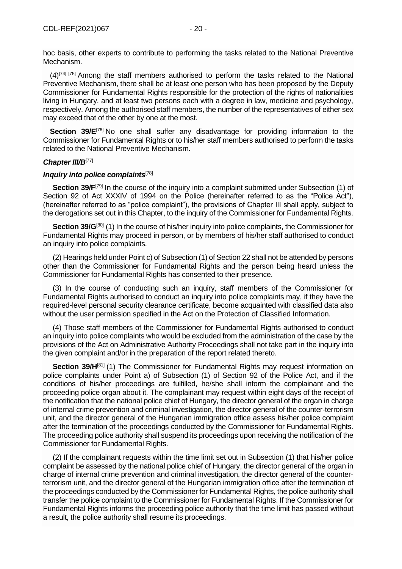hoc basis, other experts to contribute to performing the tasks related to the National Preventive Mechanism.

 $(4)^{[74]}$  $(4)^{[74]}$  $(4)^{[74]}$   $[75]$  Among the staff members authorised to perform the tasks related to the National Preventive Mechanism, there shall be at least one person who has been proposed by the Deputy Commissioner for Fundamental Rights responsible for the protection of the rights of nationalities living in Hungary, and at least two persons each with a degree in law, medicine and psychology, respectively. Among the authorised staff members, the number of the representatives of either sex may exceed that of the other by one at the most.

**Section 39/E**<sup>[\[76\]](file://///obh/dfs/AJBH_NTK_Foosztaly/NemzetkÃ¶zi%20OsztÃ¡ly/HÃ¡tterek,%20tÃ¡jÃ©koztatÃ³%20anyagok,Ã¶sszefoglalÃ³k/TÃ¶rvÃ©nyek,szabÃ¡lyzatok-EN/The%20Ombudsman%20Act_EN_20210223%20(002).docx%23_ftn76)</sup> No one shall suffer any disadvantage for providing information to the Commissioner for Fundamental Rights or to his/her staff members authorised to perform the tasks related to the National Preventive Mechanism.

## *Chapter III/B*[\[77\]](file://///obh/dfs/AJBH_NTK_Foosztaly/NemzetkÃ¶zi%20OsztÃ¡ly/HÃ¡tterek,%20tÃ¡jÃ©koztatÃ³%20anyagok,Ã¶sszefoglalÃ³k/TÃ¶rvÃ©nyek,szabÃ¡lyzatok-EN/The%20Ombudsman%20Act_EN_20210223%20(002).docx%23_ftn77)

#### *Inquiry into police complaints*[\[78\]](file://///obh/dfs/AJBH_NTK_Foosztaly/NemzetkÃ¶zi%20OsztÃ¡ly/HÃ¡tterek,%20tÃ¡jÃ©koztatÃ³%20anyagok,Ã¶sszefoglalÃ³k/TÃ¶rvÃ©nyek,szabÃ¡lyzatok-EN/The%20Ombudsman%20Act_EN_20210223%20(002).docx%23_ftn78)

**Section 39/F<sup>[\[79\]](file://///obh/dfs/AJBH_NTK_Foosztaly/NemzetkÃ¶zi%20OsztÃ¡ly/HÃ¡tterek,%20tÃ¡jÃ©koztatÃ³%20anyagok,Ã¶sszefoglalÃ³k/TÃ¶rvÃ©nyek,szabÃ¡lyzatok-EN/The%20Ombudsman%20Act_EN_20210223%20(002).docx%23_ftn79)</sup>** In the course of the inquiry into a complaint submitted under Subsection (1) of Section 92 of Act XXXIV of 1994 on the Police (hereinafter referred to as the "Police Act"), (hereinafter referred to as "police complaint"), the provisions of Chapter III shall apply, subject to the derogations set out in this Chapter, to the inquiry of the Commissioner for Fundamental Rights.

**Section 39/G**<sup>[\[80\]](file://///obh/dfs/AJBH_NTK_Foosztaly/NemzetkÃ¶zi%20OsztÃ¡ly/HÃ¡tterek,%20tÃ¡jÃ©koztatÃ³%20anyagok,Ã¶sszefoglalÃ³k/TÃ¶rvÃ©nyek,szabÃ¡lyzatok-EN/The%20Ombudsman%20Act_EN_20210223%20(002).docx%23_ftn80)</sup> (1) In the course of his/her inquiry into police complaints, the Commissioner for Fundamental Rights may proceed in person, or by members of his/her staff authorised to conduct an inquiry into police complaints.

(2) Hearings held under Point c) of Subsection (1) of Section 22 shall not be attended by persons other than the Commissioner for Fundamental Rights and the person being heard unless the Commissioner for Fundamental Rights has consented to their presence.

(3) In the course of conducting such an inquiry, staff members of the Commissioner for Fundamental Rights authorised to conduct an inquiry into police complaints may, if they have the required-level personal security clearance certificate, become acquainted with classified data also without the user permission specified in the Act on the Protection of Classified Information.

(4) Those staff members of the Commissioner for Fundamental Rights authorised to conduct an inquiry into police complaints who would be excluded from the administration of the case by the provisions of the Act on Administrative Authority Proceedings shall not take part in the inquiry into the given complaint and/or in the preparation of the report related thereto.

**Section 39/H**<sup>[\[81\]](file://///obh/dfs/AJBH_NTK_Foosztaly/NemzetkÃ¶zi%20OsztÃ¡ly/HÃ¡tterek,%20tÃ¡jÃ©koztatÃ³%20anyagok,Ã¶sszefoglalÃ³k/TÃ¶rvÃ©nyek,szabÃ¡lyzatok-EN/The%20Ombudsman%20Act_EN_20210223%20(002).docx%23_ftn81)</sup> (1) The Commissioner for Fundamental Rights may request information on police complaints under Point a) of Subsection (1) of Section 92 of the Police Act, and if the conditions of his/her proceedings are fulfilled, he/she shall inform the complainant and the proceeding police organ about it. The complainant may request within eight days of the receipt of the notification that the national police chief of Hungary, the director general of the organ in charge of internal crime prevention and criminal investigation, the director general of the counter-terrorism unit, and the director general of the Hungarian immigration office assess his/her police complaint after the termination of the proceedings conducted by the Commissioner for Fundamental Rights. The proceeding police authority shall suspend its proceedings upon receiving the notification of the Commissioner for Fundamental Rights.

(2) If the complainant requests within the time limit set out in Subsection (1) that his/her police complaint be assessed by the national police chief of Hungary, the director general of the organ in charge of internal crime prevention and criminal investigation, the director general of the counterterrorism unit, and the director general of the Hungarian immigration office after the termination of the proceedings conducted by the Commissioner for Fundamental Rights, the police authority shall transfer the police complaint to the Commissioner for Fundamental Rights. If the Commissioner for Fundamental Rights informs the proceeding police authority that the time limit has passed without a result, the police authority shall resume its proceedings.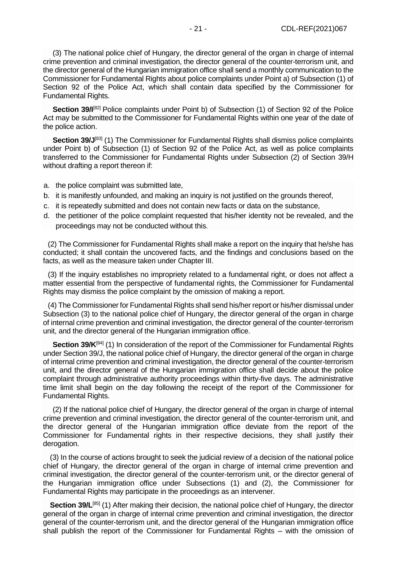(3) The national police chief of Hungary, the director general of the organ in charge of internal crime prevention and criminal investigation, the director general of the counter-terrorism unit, and the director general of the Hungarian immigration office shall send a monthly communication to the Commissioner for Fundamental Rights about police complaints under Point a) of Subsection (1) of Section 92 of the Police Act, which shall contain data specified by the Commissioner for Fundamental Rights.

**Section 39/I**<sup>[\[82\]](file://///obh/dfs/AJBH_NTK_Foosztaly/NemzetkÃ¶zi%20OsztÃ¡ly/HÃ¡tterek,%20tÃ¡jÃ©koztatÃ³%20anyagok,Ã¶sszefoglalÃ³k/TÃ¶rvÃ©nyek,szabÃ¡lyzatok-EN/The%20Ombudsman%20Act_EN_20210223%20(002).docx%23_ftn82)</sup> Police complaints under Point b) of Subsection (1) of Section 92 of the Police Act may be submitted to the Commissioner for Fundamental Rights within one year of the date of the police action.

**Section 39/J**<sup>[\[83\]](file://///obh/dfs/AJBH_NTK_Foosztaly/NemzetkÃ¶zi%20OsztÃ¡ly/HÃ¡tterek,%20tÃ¡jÃ©koztatÃ³%20anyagok,Ã¶sszefoglalÃ³k/TÃ¶rvÃ©nyek,szabÃ¡lyzatok-EN/The%20Ombudsman%20Act_EN_20210223%20(002).docx%23_ftn83)</sup> (1) The Commissioner for Fundamental Rights shall dismiss police complaints under Point b) of Subsection (1) of Section 92 of the Police Act, as well as police complaints transferred to the Commissioner for Fundamental Rights under Subsection (2) of Section 39/H without drafting a report thereon if:

- a. the police complaint was submitted late,
- b. it is manifestly unfounded, and making an inquiry is not justified on the grounds thereof,
- c. it is repeatedly submitted and does not contain new facts or data on the substance,
- d. the petitioner of the police complaint requested that his/her identity not be revealed, and the proceedings may not be conducted without this.

(2) The Commissioner for Fundamental Rights shall make a report on the inquiry that he/she has conducted; it shall contain the uncovered facts, and the findings and conclusions based on the facts, as well as the measure taken under Chapter III.

(3) If the inquiry establishes no impropriety related to a fundamental right, or does not affect a matter essential from the perspective of fundamental rights, the Commissioner for Fundamental Rights may dismiss the police complaint by the omission of making a report.

(4) The Commissioner for Fundamental Rights shall send his/her report or his/her dismissal under Subsection (3) to the national police chief of Hungary, the director general of the organ in charge of internal crime prevention and criminal investigation, the director general of the counter-terrorism unit, and the director general of the Hungarian immigration office.

**Section 39/K**<sup>[\[84\]](file://///obh/dfs/AJBH_NTK_Foosztaly/NemzetkÃ¶zi%20OsztÃ¡ly/HÃ¡tterek,%20tÃ¡jÃ©koztatÃ³%20anyagok,Ã¶sszefoglalÃ³k/TÃ¶rvÃ©nyek,szabÃ¡lyzatok-EN/The%20Ombudsman%20Act_EN_20210223%20(002).docx%23_ftn84)</sup> (1) In consideration of the report of the Commissioner for Fundamental Rights under Section 39/J, the national police chief of Hungary, the director general of the organ in charge of internal crime prevention and criminal investigation, the director general of the counter-terrorism unit, and the director general of the Hungarian immigration office shall decide about the police complaint through administrative authority proceedings within thirty-five days. The administrative time limit shall begin on the day following the receipt of the report of the Commissioner for Fundamental Rights.

(2) If the national police chief of Hungary, the director general of the organ in charge of internal crime prevention and criminal investigation, the director general of the counter-terrorism unit, and the director general of the Hungarian immigration office deviate from the report of the Commissioner for Fundamental rights in their respective decisions, they shall justify their derogation.

(3) In the course of actions brought to seek the judicial review of a decision of the national police chief of Hungary, the director general of the organ in charge of internal crime prevention and criminal investigation, the director general of the counter-terrorism unit, or the director general of the Hungarian immigration office under Subsections (1) and (2), the Commissioner for Fundamental Rights may participate in the proceedings as an intervener.

**Section 39/L**<sup>[\[85\]](file://///obh/dfs/AJBH_NTK_Foosztaly/NemzetkÃ¶zi%20OsztÃ¡ly/HÃ¡tterek,%20tÃ¡jÃ©koztatÃ³%20anyagok,Ã¶sszefoglalÃ³k/TÃ¶rvÃ©nyek,szabÃ¡lyzatok-EN/The%20Ombudsman%20Act_EN_20210223%20(002).docx%23_ftn85)</sup> (1) After making their decision, the national police chief of Hungary, the director general of the organ in charge of internal crime prevention and criminal investigation, the director general of the counter-terrorism unit, and the director general of the Hungarian immigration office shall publish the report of the Commissioner for Fundamental Rights – with the omission of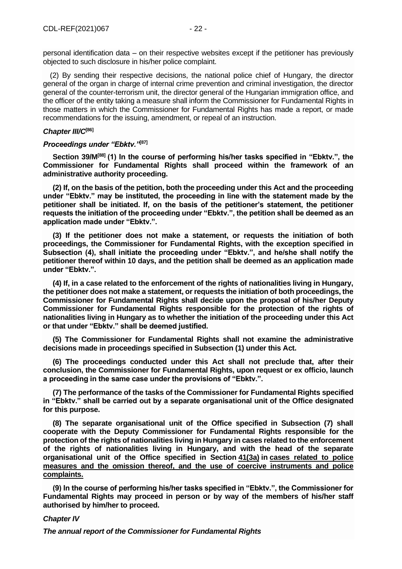personal identification data – on their respective websites except if the petitioner has previously objected to such disclosure in his/her police complaint.

(2) By sending their respective decisions, the national police chief of Hungary, the director general of the organ in charge of internal crime prevention and criminal investigation, the director general of the counter-terrorism unit, the director general of the Hungarian immigration office, and the officer of the entity taking a measure shall inform the Commissioner for Fundamental Rights in those matters in which the Commissioner for Fundamental Rights has made a report, or made recommendations for the issuing, amendment, or repeal of an instruction.

### *Chapter III/C***[\[86\]](file://///obh/dfs/AJBH_NTK_Foosztaly/NemzetkÃ¶zi%20OsztÃ¡ly/HÃ¡tterek,%20tÃ¡jÃ©koztatÃ³%20anyagok,Ã¶sszefoglalÃ³k/TÃ¶rvÃ©nyek,szabÃ¡lyzatok-EN/The%20Ombudsman%20Act_EN_20210223%20(002).docx%23_ftn86)**

## *Proceedings under "Ebktv."***[\[87\]](file://///obh/dfs/AJBH_NTK_Foosztaly/NemzetkÃ¶zi%20OsztÃ¡ly/HÃ¡tterek,%20tÃ¡jÃ©koztatÃ³%20anyagok,Ã¶sszefoglalÃ³k/TÃ¶rvÃ©nyek,szabÃ¡lyzatok-EN/The%20Ombudsman%20Act_EN_20210223%20(002).docx%23_ftn87)**

**Section 39/M[\[88\]](file://///obh/dfs/AJBH_NTK_Foosztaly/NemzetkÃ¶zi%20OsztÃ¡ly/HÃ¡tterek,%20tÃ¡jÃ©koztatÃ³%20anyagok,Ã¶sszefoglalÃ³k/TÃ¶rvÃ©nyek,szabÃ¡lyzatok-EN/The%20Ombudsman%20Act_EN_20210223%20(002).docx%23_ftn88) (1) In the course of performing his/her tasks specified in "Ebktv.", the Commissioner for Fundamental Rights shall proceed within the framework of an administrative authority proceeding.**

**(2) If, on the basis of the petition, both the proceeding under this Act and the proceeding under "Ebktv." may be instituted, the proceeding in line with the statement made by the petitioner shall be initiated. If, on the basis of the petitioner's statement, the petitioner requests the initiation of the proceeding under "Ebktv.", the petition shall be deemed as an application made under "Ebktv.".**

**(3) If the petitioner does not make a statement, or requests the initiation of both proceedings, the Commissioner for Fundamental Rights, with the exception specified in Subsection (4), shall initiate the proceeding under "Ebktv.", and he/she shall notify the petitioner thereof within 10 days, and the petition shall be deemed as an application made under "Ebktv.".**

**(4) If, in a case related to the enforcement of the rights of nationalities living in Hungary, the petitioner does not make a statement, or requests the initiation of both proceedings, the Commissioner for Fundamental Rights shall decide upon the proposal of his/her Deputy Commissioner for Fundamental Rights responsible for the protection of the rights of nationalities living in Hungary as to whether the initiation of the proceeding under this Act or that under "Ebktv." shall be deemed justified.**

**(5) The Commissioner for Fundamental Rights shall not examine the administrative decisions made in proceedings specified in Subsection (1) under this Act.**

**(6) The proceedings conducted under this Act shall not preclude that, after their conclusion, the Commissioner for Fundamental Rights, upon request or ex officio, launch a proceeding in the same case under the provisions of "Ebktv.".**

**(7) The performance of the tasks of the Commissioner for Fundamental Rights specified in "Ebktv." shall be carried out by a separate organisational unit of the Office designated for this purpose.**

**(8) The separate organisational unit of the Office specified in Subsection (7) shall cooperate with the Deputy Commissioner for Fundamental Rights responsible for the protection of the rights of nationalities living in Hungary in cases related to the enforcement of the rights of nationalities living in Hungary, and with the head of the separate organisational unit of the Office specified in Section 41(3a) in cases related to police measures and the omission thereof, and the use of coercive instruments and police complaints.**

**(9) In the course of performing his/her tasks specified in "Ebktv.", the Commissioner for Fundamental Rights may proceed in person or by way of the members of his/her staff authorised by him/her to proceed.**

#### *Chapter IV*

*The annual report of the Commissioner for Fundamental Rights*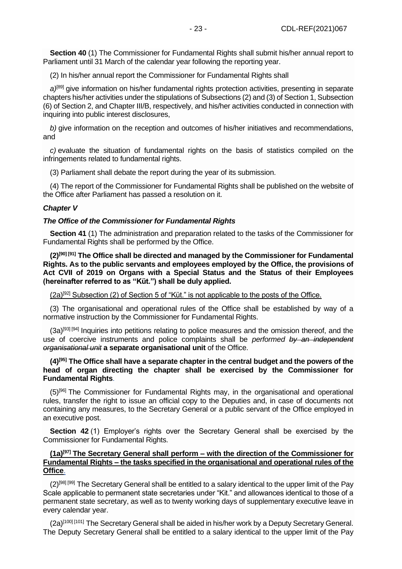**Section 40** (1) The Commissioner for Fundamental Rights shall submit his/her annual report to Parliament until 31 March of the calendar year following the reporting year.

(2) In his/her annual report the Commissioner for Fundamental Rights shall

*a)*[\[89\]](file://///obh/dfs/AJBH_NTK_Foosztaly/NemzetkÃ¶zi%20OsztÃ¡ly/HÃ¡tterek,%20tÃ¡jÃ©koztatÃ³%20anyagok,Ã¶sszefoglalÃ³k/TÃ¶rvÃ©nyek,szabÃ¡lyzatok-EN/The%20Ombudsman%20Act_EN_20210223%20(002).docx%23_ftn89) give information on his/her fundamental rights protection activities, presenting in separate chapters his/her activities under the stipulations of Subsections (2) and (3) of Section 1, Subsection (6) of Section 2, and Chapter III/B, respectively, and his/her activities conducted in connection with inquiring into public interest disclosures,

*b)* give information on the reception and outcomes of his/her initiatives and recommendations, and

*c)* evaluate the situation of fundamental rights on the basis of statistics compiled on the infringements related to fundamental rights.

(3) Parliament shall debate the report during the year of its submission.

(4) The report of the Commissioner for Fundamental Rights shall be published on the website of the Office after Parliament has passed a resolution on it.

#### *Chapter V*

#### *The Office of the Commissioner for Fundamental Rights*

**Section 41** (1) The administration and preparation related to the tasks of the Commissioner for Fundamental Rights shall be performed by the Office.

**(2)[\[90\]](file://///obh/dfs/AJBH_NTK_Foosztaly/NemzetkÃ¶zi%20OsztÃ¡ly/HÃ¡tterek,%20tÃ¡jÃ©koztatÃ³%20anyagok,Ã¶sszefoglalÃ³k/TÃ¶rvÃ©nyek,szabÃ¡lyzatok-EN/The%20Ombudsman%20Act_EN_20210223%20(002).docx%23_ftn90) [\[91\]](file://///obh/dfs/AJBH_NTK_Foosztaly/NemzetkÃ¶zi%20OsztÃ¡ly/HÃ¡tterek,%20tÃ¡jÃ©koztatÃ³%20anyagok,Ã¶sszefoglalÃ³k/TÃ¶rvÃ©nyek,szabÃ¡lyzatok-EN/The%20Ombudsman%20Act_EN_20210223%20(002).docx%23_ftn91) The Office shall be directed and managed by the Commissioner for Fundamental Rights. As to the public servants and employees employed by the Office, the provisions of Act CVII of 2019 on Organs with a Special Status and the Status of their Employees (hereinafter referred to as "Küt.") shall be duly applied.**

 $(2a)^{[92]}$  $(2a)^{[92]}$  $(2a)^{[92]}$  Subsection (2) of Section 5 of "Küt." is not applicable to the posts of the Office.

(3) The organisational and operational rules of the Office shall be established by way of a normative instruction by the Commissioner for Fundamental Rights.

 $(3a)^{[93]}$  $(3a)^{[93]}$  $(3a)^{[93]}$  [93] [\[94\]](file://///obh/dfs/AJBH_NTK_Foosztaly/NemzetkÃ¶zi%20OsztÃ¡ly/HÃ¡tterek,%20tÃ¡jÃ©koztatÃ³%20anyagok,Ã¶sszefoglalÃ³k/TÃ¶rvÃ©nyek,szabÃ¡lyzatok-EN/The%20Ombudsman%20Act_EN_20210223%20(002).docx%23_ftn94) Inquiries into petitions relating to police measures and the omission thereof, and the use of coercive instruments and police complaints shall be *performed by an independent organisational unit* **a separate organisational unit** of the Office.

## **(4)[\[95\]](file://///obh/dfs/AJBH_NTK_Foosztaly/NemzetkÃ¶zi%20OsztÃ¡ly/HÃ¡tterek,%20tÃ¡jÃ©koztatÃ³%20anyagok,Ã¶sszefoglalÃ³k/TÃ¶rvÃ©nyek,szabÃ¡lyzatok-EN/The%20Ombudsman%20Act_EN_20210223%20(002).docx%23_ftn95) The Office shall have a separate chapter in the central budget and the powers of the head of organ directing the chapter shall be exercised by the Commissioner for Fundamental Rights**.

(5)[\[96\]](file://///obh/dfs/AJBH_NTK_Foosztaly/NemzetkÃ¶zi%20OsztÃ¡ly/HÃ¡tterek,%20tÃ¡jÃ©koztatÃ³%20anyagok,Ã¶sszefoglalÃ³k/TÃ¶rvÃ©nyek,szabÃ¡lyzatok-EN/The%20Ombudsman%20Act_EN_20210223%20(002).docx%23_ftn96) The Commissioner for Fundamental Rights may, in the organisational and operational rules, transfer the right to issue an official copy to the Deputies and, in case of documents not containing any measures, to the Secretary General or a public servant of the Office employed in an executive post.

**Section 42** (1) Employer's rights over the Secretary General shall be exercised by the Commissioner for Fundamental Rights.

## **(1a)[\[97\]](file://///obh/dfs/AJBH_NTK_Foosztaly/NemzetkÃ¶zi%20OsztÃ¡ly/HÃ¡tterek,%20tÃ¡jÃ©koztatÃ³%20anyagok,Ã¶sszefoglalÃ³k/TÃ¶rvÃ©nyek,szabÃ¡lyzatok-EN/The%20Ombudsman%20Act_EN_20210223%20(002).docx%23_ftn97) The Secretary General shall perform – with the direction of the Commissioner for Fundamental Rights – the tasks specified in the organisational and operational rules of the Office**.

 $(2)^{[98]}$  $(2)^{[98]}$  $(2)^{[98]}$  The Secretary General shall be entitled to a salary identical to the upper limit of the Pay Scale applicable to permanent state secretaries under "Kit." and allowances identical to those of a permanent state secretary, as well as to twenty working days of supplementary executive leave in every calendar year.

(2a)[\[100\]](file://///obh/dfs/AJBH_NTK_Foosztaly/NemzetkÃ¶zi%20OsztÃ¡ly/HÃ¡tterek,%20tÃ¡jÃ©koztatÃ³%20anyagok,Ã¶sszefoglalÃ³k/TÃ¶rvÃ©nyek,szabÃ¡lyzatok-EN/The%20Ombudsman%20Act_EN_20210223%20(002).docx%23_ftn100) [\[101\]](file://///obh/dfs/AJBH_NTK_Foosztaly/NemzetkÃ¶zi%20OsztÃ¡ly/HÃ¡tterek,%20tÃ¡jÃ©koztatÃ³%20anyagok,Ã¶sszefoglalÃ³k/TÃ¶rvÃ©nyek,szabÃ¡lyzatok-EN/The%20Ombudsman%20Act_EN_20210223%20(002).docx%23_ftn101) The Secretary General shall be aided in his/her work by a Deputy Secretary General. The Deputy Secretary General shall be entitled to a salary identical to the upper limit of the Pay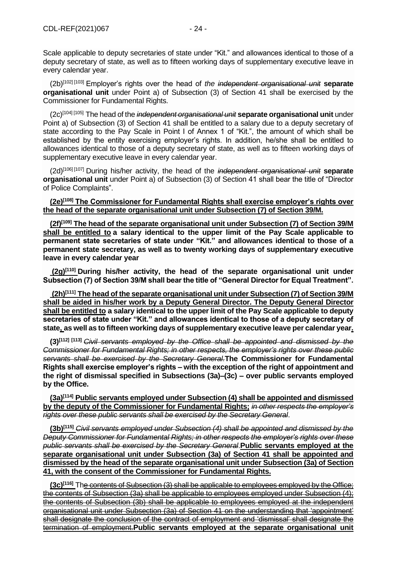Scale applicable to deputy secretaries of state under "Kit." and allowances identical to those of a deputy secretary of state, as well as to fifteen working days of supplementary executive leave in every calendar year.

(2b)[\[102\]](file://///obh/dfs/AJBH_NTK_Foosztaly/NemzetkÃ¶zi%20OsztÃ¡ly/HÃ¡tterek,%20tÃ¡jÃ©koztatÃ³%20anyagok,Ã¶sszefoglalÃ³k/TÃ¶rvÃ©nyek,szabÃ¡lyzatok-EN/The%20Ombudsman%20Act_EN_20210223%20(002).docx%23_ftn102) [\[103\]](file://///obh/dfs/AJBH_NTK_Foosztaly/NemzetkÃ¶zi%20OsztÃ¡ly/HÃ¡tterek,%20tÃ¡jÃ©koztatÃ³%20anyagok,Ã¶sszefoglalÃ³k/TÃ¶rvÃ©nyek,szabÃ¡lyzatok-EN/The%20Ombudsman%20Act_EN_20210223%20(002).docx%23_ftn103) Employer's rights over the head of *the independent organisational unit* **separate organisational unit** under Point a) of Subsection (3) of Section 41 shall be exercised by the Commissioner for Fundamental Rights.

(2c)[\[104\]](file://///obh/dfs/AJBH_NTK_Foosztaly/NemzetkÃ¶zi%20OsztÃ¡ly/HÃ¡tterek,%20tÃ¡jÃ©koztatÃ³%20anyagok,Ã¶sszefoglalÃ³k/TÃ¶rvÃ©nyek,szabÃ¡lyzatok-EN/The%20Ombudsman%20Act_EN_20210223%20(002).docx%23_ftn104) [\[105\]](file://///obh/dfs/AJBH_NTK_Foosztaly/NemzetkÃ¶zi%20OsztÃ¡ly/HÃ¡tterek,%20tÃ¡jÃ©koztatÃ³%20anyagok,Ã¶sszefoglalÃ³k/TÃ¶rvÃ©nyek,szabÃ¡lyzatok-EN/The%20Ombudsman%20Act_EN_20210223%20(002).docx%23_ftn105) The head of the *independent organisational unit* **separate organisational unit** under Point a) of Subsection (3) of Section 41 shall be entitled to a salary due to a deputy secretary of state according to the Pay Scale in Point I of Annex 1 of "Kit.", the amount of which shall be established by the entity exercising employer's rights. In addition, he/she shall be entitled to allowances identical to those of a deputy secretary of state, as well as to fifteen working days of supplementary executive leave in every calendar year.

(2d)[\[106\]](file://///obh/dfs/AJBH_NTK_Foosztaly/NemzetkÃ¶zi%20OsztÃ¡ly/HÃ¡tterek,%20tÃ¡jÃ©koztatÃ³%20anyagok,Ã¶sszefoglalÃ³k/TÃ¶rvÃ©nyek,szabÃ¡lyzatok-EN/The%20Ombudsman%20Act_EN_20210223%20(002).docx%23_ftn106) [\[107\]](file://///obh/dfs/AJBH_NTK_Foosztaly/NemzetkÃ¶zi%20OsztÃ¡ly/HÃ¡tterek,%20tÃ¡jÃ©koztatÃ³%20anyagok,Ã¶sszefoglalÃ³k/TÃ¶rvÃ©nyek,szabÃ¡lyzatok-EN/The%20Ombudsman%20Act_EN_20210223%20(002).docx%23_ftn107) During his/her activity, the head of the *independent organisational unit* **separate organisational unit** under Point a) of Subsection (3) of Section 41 shall bear the title of "Director of Police Complaints".

**(2e)[\[108\]](file://///obh/dfs/AJBH_NTK_Foosztaly/NemzetkÃ¶zi%20OsztÃ¡ly/HÃ¡tterek,%20tÃ¡jÃ©koztatÃ³%20anyagok,Ã¶sszefoglalÃ³k/TÃ¶rvÃ©nyek,szabÃ¡lyzatok-EN/The%20Ombudsman%20Act_EN_20210223%20(002).docx%23_ftn108) The Commissioner for Fundamental Rights shall exercise employer's rights over the head of the separate organisational unit under Subsection (7) of Section 39/M.**

**(2f)[\[109\]](file://///obh/dfs/AJBH_NTK_Foosztaly/NemzetkÃ¶zi%20OsztÃ¡ly/HÃ¡tterek,%20tÃ¡jÃ©koztatÃ³%20anyagok,Ã¶sszefoglalÃ³k/TÃ¶rvÃ©nyek,szabÃ¡lyzatok-EN/The%20Ombudsman%20Act_EN_20210223%20(002).docx%23_ftn109) The head of the separate organisational unit under Subsection (7) of Section 39/M shall be entitled to a salary identical to the upper limit of the Pay Scale applicable to permanent state secretaries of state under "Kit." and allowances identical to those of a permanent state secretary, as well as to twenty working days of supplementary executive leave in every calendar year**

**(2g)[\[110\]](file://///obh/dfs/AJBH_NTK_Foosztaly/NemzetkÃ¶zi%20OsztÃ¡ly/HÃ¡tterek,%20tÃ¡jÃ©koztatÃ³%20anyagok,Ã¶sszefoglalÃ³k/TÃ¶rvÃ©nyek,szabÃ¡lyzatok-EN/The%20Ombudsman%20Act_EN_20210223%20(002).docx%23_ftn110) During his/her activity, the head of the separate organisational unit under Subsection (7) of Section 39/M shall bear the title of "General Director for Equal Treatment".**

**(2h)[\[111\]](file://///obh/dfs/AJBH_NTK_Foosztaly/NemzetkÃ¶zi%20OsztÃ¡ly/HÃ¡tterek,%20tÃ¡jÃ©koztatÃ³%20anyagok,Ã¶sszefoglalÃ³k/TÃ¶rvÃ©nyek,szabÃ¡lyzatok-EN/The%20Ombudsman%20Act_EN_20210223%20(002).docx%23_ftn111) The head of the separate organisational unit under Subsection (7) of Section 39/M shall be aided in his/her work by a Deputy General Director. The Deputy General Director shall be entitled to a salary identical to the upper limit of the Pay Scale applicable to deputy secretaries of state under "Kit." and allowances identical to those of a deputy secretary of state, as well as to fifteen working days of supplementary executive leave per calendar year.**

**(3)[\[112\]](file://///obh/dfs/AJBH_NTK_Foosztaly/NemzetkÃ¶zi%20OsztÃ¡ly/HÃ¡tterek,%20tÃ¡jÃ©koztatÃ³%20anyagok,Ã¶sszefoglalÃ³k/TÃ¶rvÃ©nyek,szabÃ¡lyzatok-EN/The%20Ombudsman%20Act_EN_20210223%20(002).docx%23_ftn112) [\[113\]](file://///obh/dfs/AJBH_NTK_Foosztaly/NemzetkÃ¶zi%20OsztÃ¡ly/HÃ¡tterek,%20tÃ¡jÃ©koztatÃ³%20anyagok,Ã¶sszefoglalÃ³k/TÃ¶rvÃ©nyek,szabÃ¡lyzatok-EN/The%20Ombudsman%20Act_EN_20210223%20(002).docx%23_ftn113)** *Civil servants employed by the Office shall be appointed and dismissed by the Commissioner for Fundamental Rights; in other respects, the employer's rights over these public servants shall be exercised by the Secretary General.***The Commissioner for Fundamental Rights shall exercise employer's rights – with the exception of the right of appointment and the right of dismissal specified in Subsections (3a)–(3c) – over public servants employed by the Office.**

**(3a)[\[114\]](file://///obh/dfs/AJBH_NTK_Foosztaly/NemzetkÃ¶zi%20OsztÃ¡ly/HÃ¡tterek,%20tÃ¡jÃ©koztatÃ³%20anyagok,Ã¶sszefoglalÃ³k/TÃ¶rvÃ©nyek,szabÃ¡lyzatok-EN/The%20Ombudsman%20Act_EN_20210223%20(002).docx%23_ftn114) Public servants employed under Subsection (4) shall be appointed and dismissed by the deputy of the Commissioner for Fundamental Rights;** *in other respects the employer's rights over these public servants shall be exercised by the Secretary General*.

**(3b)[\[115\]](file://///obh/dfs/AJBH_NTK_Foosztaly/NemzetkÃ¶zi%20OsztÃ¡ly/HÃ¡tterek,%20tÃ¡jÃ©koztatÃ³%20anyagok,Ã¶sszefoglalÃ³k/TÃ¶rvÃ©nyek,szabÃ¡lyzatok-EN/The%20Ombudsman%20Act_EN_20210223%20(002).docx%23_ftn115)** *Civil servants employed under Subsection (4) shall be appointed and dismissed by the Deputy Commissioner for Fundamental Rights; in other respects the employer's rights over these public servants shall be exercised by the Secretary General*.**Public servants employed at the separate organisational unit under Subsection (3a) of Section 41 shall be appointed and dismissed by the head of the separate organisational unit under Subsection (3a) of Section 41, with the consent of the Commissioner for Fundamental Rights.**

**(3c)[\[116\]](file://///obh/dfs/AJBH_NTK_Foosztaly/NemzetkÃ¶zi%20OsztÃ¡ly/HÃ¡tterek,%20tÃ¡jÃ©koztatÃ³%20anyagok,Ã¶sszefoglalÃ³k/TÃ¶rvÃ©nyek,szabÃ¡lyzatok-EN/The%20Ombudsman%20Act_EN_20210223%20(002).docx%23_ftn116)** The contents of Subsection (3) shall be applicable to employees employed by the Office; the contents of Subsection (3a) shall be applicable to employees employed under Subsection (4); the contents of Subsection (3b) shall be applicable to employees employed at the independent organisational unit under Subsection (3a) of Section 41 on the understanding that 'appointment' shall designate the conclusion of the contract of employment and 'dismissal' shall designate the termination of employment.**Public servants employed at the separate organisational unit**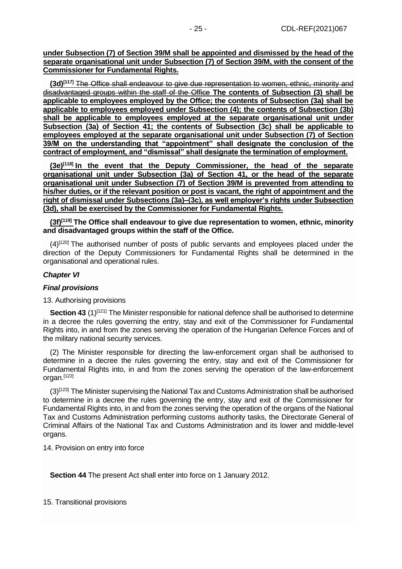**under Subsection (7) of Section 39/M shall be appointed and dismissed by the head of the separate organisational unit under Subsection (7) of Section 39/M, with the consent of the Commissioner for Fundamental Rights.**

**(3d)[\[117\]](file://///obh/dfs/AJBH_NTK_Foosztaly/NemzetkÃ¶zi%20OsztÃ¡ly/HÃ¡tterek,%20tÃ¡jÃ©koztatÃ³%20anyagok,Ã¶sszefoglalÃ³k/TÃ¶rvÃ©nyek,szabÃ¡lyzatok-EN/The%20Ombudsman%20Act_EN_20210223%20(002).docx%23_ftn117)** The Office shall endeavour to give due representation to women, ethnic, minority and disadvantaged groups within the staff of the Office **The contents of Subsection (3) shall be applicable to employees employed by the Office; the contents of Subsection (3a) shall be applicable to employees employed under Subsection (4); the contents of Subsection (3b) shall be applicable to employees employed at the separate organisational unit under Subsection (3a) of Section 41; the contents of Subsection (3c) shall be applicable to employees employed at the separate organisational unit under Subsection (7) of Section 39/M on the understanding that "appointment" shall designate the conclusion of the contract of employment, and "dismissal" shall designate the termination of employment.**

**(3e)[\[118\]](file://///obh/dfs/AJBH_NTK_Foosztaly/NemzetkÃ¶zi%20OsztÃ¡ly/HÃ¡tterek,%20tÃ¡jÃ©koztatÃ³%20anyagok,Ã¶sszefoglalÃ³k/TÃ¶rvÃ©nyek,szabÃ¡lyzatok-EN/The%20Ombudsman%20Act_EN_20210223%20(002).docx%23_ftn118) In the event that the Deputy Commissioner, the head of the separate organisational unit under Subsection (3a) of Section 41, or the head of the separate organisational unit under Subsection (7) of Section 39/M is prevented from attending to his/her duties, or if the relevant position or post is vacant, the right of appointment and the right of dismissal under Subsections (3a)–(3c), as well employer's rights under Subsection (3d), shall be exercised by the Commissioner for Fundamental Rights.**

**(3f)[\[119\]](file://///obh/dfs/AJBH_NTK_Foosztaly/NemzetkÃ¶zi%20OsztÃ¡ly/HÃ¡tterek,%20tÃ¡jÃ©koztatÃ³%20anyagok,Ã¶sszefoglalÃ³k/TÃ¶rvÃ©nyek,szabÃ¡lyzatok-EN/The%20Ombudsman%20Act_EN_20210223%20(002).docx%23_ftn119) The Office shall endeavour to give due representation to women, ethnic, minority and disadvantaged groups within the staff of the Office.**

 $(4)$ <sup>[\[120\]](file://///obh/dfs/AJBH_NTK_Foosztaly/NemzetkÃ¶zi%20OsztÃ¡ly/HÃ¡tterek,%20tÃ¡jÃ©koztatÃ³%20anyagok,Ã¶sszefoglalÃ³k/TÃ¶rvÃ©nyek,szabÃ¡lyzatok-EN/The%20Ombudsman%20Act_EN_20210223%20(002).docx%23_ftn120)</sup> The authorised number of posts of public servants and employees placed under the direction of the Deputy Commissioners for Fundamental Rights shall be determined in the organisational and operational rules.

#### *Chapter VI*

## *Final provisions*

#### 13. Authorising provisions

**Section 43** (1)<sup>[\[121\]](file://///obh/dfs/AJBH_NTK_Foosztaly/NemzetkÃ¶zi%20OsztÃ¡ly/HÃ¡tterek,%20tÃ¡jÃ©koztatÃ³%20anyagok,Ã¶sszefoglalÃ³k/TÃ¶rvÃ©nyek,szabÃ¡lyzatok-EN/The%20Ombudsman%20Act_EN_20210223%20(002).docx%23_ftn121)</sup> The Minister responsible for national defence shall be authorised to determine in a decree the rules governing the entry, stay and exit of the Commissioner for Fundamental Rights into, in and from the zones serving the operation of the Hungarian Defence Forces and of the military national security services.

(2) The Minister responsible for directing the law-enforcement organ shall be authorised to determine in a decree the rules governing the entry, stay and exit of the Commissioner for Fundamental Rights into, in and from the zones serving the operation of the law-enforcement organ.[\[122\]](file://///obh/dfs/AJBH_NTK_Foosztaly/NemzetkÃ¶zi%20OsztÃ¡ly/HÃ¡tterek,%20tÃ¡jÃ©koztatÃ³%20anyagok,Ã¶sszefoglalÃ³k/TÃ¶rvÃ©nyek,szabÃ¡lyzatok-EN/The%20Ombudsman%20Act_EN_20210223%20(002).docx%23_ftn122)

(3)[\[123\]](file://///obh/dfs/AJBH_NTK_Foosztaly/NemzetkÃ¶zi%20OsztÃ¡ly/HÃ¡tterek,%20tÃ¡jÃ©koztatÃ³%20anyagok,Ã¶sszefoglalÃ³k/TÃ¶rvÃ©nyek,szabÃ¡lyzatok-EN/The%20Ombudsman%20Act_EN_20210223%20(002).docx%23_ftn123) The Minister supervising the National Tax and Customs Administration shall be authorised to determine in a decree the rules governing the entry, stay and exit of the Commissioner for Fundamental Rights into, in and from the zones serving the operation of the organs of the National Tax and Customs Administration performing customs authority tasks, the Directorate General of Criminal Affairs of the National Tax and Customs Administration and its lower and middle-level organs.

14. Provision on entry into force

**Section 44** The present Act shall enter into force on 1 January 2012.

15. Transitional provisions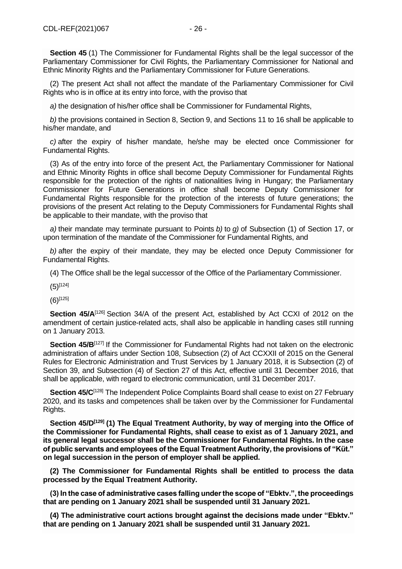**Section 45** (1) The Commissioner for Fundamental Rights shall be the legal successor of the Parliamentary Commissioner for Civil Rights, the Parliamentary Commissioner for National and Ethnic Minority Rights and the Parliamentary Commissioner for Future Generations.

(2) The present Act shall not affect the mandate of the Parliamentary Commissioner for Civil Rights who is in office at its entry into force, with the proviso that

*a)* the designation of his/her office shall be Commissioner for Fundamental Rights,

*b)* the provisions contained in Section 8, Section 9, and Sections 11 to 16 shall be applicable to his/her mandate, and

*c)* after the expiry of his/her mandate, he/she may be elected once Commissioner for Fundamental Rights.

(3) As of the entry into force of the present Act, the Parliamentary Commissioner for National and Ethnic Minority Rights in office shall become Deputy Commissioner for Fundamental Rights responsible for the protection of the rights of nationalities living in Hungary; the Parliamentary Commissioner for Future Generations in office shall become Deputy Commissioner for Fundamental Rights responsible for the protection of the interests of future generations; the provisions of the present Act relating to the Deputy Commissioners for Fundamental Rights shall be applicable to their mandate, with the proviso that

*a)* their mandate may terminate pursuant to Points *b)* to *g)* of Subsection (1) of Section 17, or upon termination of the mandate of the Commissioner for Fundamental Rights, and

*b)* after the expiry of their mandate, they may be elected once Deputy Commissioner for Fundamental Rights.

(4) The Office shall be the legal successor of the Office of the Parliamentary Commissioner.

 $(5)^{[124]}$  $(5)^{[124]}$  $(5)^{[124]}$ 

(6)[\[125\]](file://///obh/dfs/AJBH_NTK_Foosztaly/NemzetkÃ¶zi%20OsztÃ¡ly/HÃ¡tterek,%20tÃ¡jÃ©koztatÃ³%20anyagok,Ã¶sszefoglalÃ³k/TÃ¶rvÃ©nyek,szabÃ¡lyzatok-EN/The%20Ombudsman%20Act_EN_20210223%20(002).docx%23_ftn125)

**Section 45/A**<sup>[\[126\]](file://///obh/dfs/AJBH_NTK_Foosztaly/NemzetkÃ¶zi%20OsztÃ¡ly/HÃ¡tterek,%20tÃ¡jÃ©koztatÃ³%20anyagok,Ã¶sszefoglalÃ³k/TÃ¶rvÃ©nyek,szabÃ¡lyzatok-EN/The%20Ombudsman%20Act_EN_20210223%20(002).docx%23_ftn126)</sup> Section 34/A of the present Act, established by Act CCXI of 2012 on the amendment of certain justice-related acts, shall also be applicable in handling cases still running on 1 January 2013.

**Section 45/B**<sup>[\[127\]](file://///obh/dfs/AJBH_NTK_Foosztaly/NemzetkÃ¶zi%20OsztÃ¡ly/HÃ¡tterek,%20tÃ¡jÃ©koztatÃ³%20anyagok,Ã¶sszefoglalÃ³k/TÃ¶rvÃ©nyek,szabÃ¡lyzatok-EN/The%20Ombudsman%20Act_EN_20210223%20(002).docx%23_ftn127)</sup> If the Commissioner for Fundamental Rights had not taken on the electronic administration of affairs under Section 108, Subsection (2) of Act CCXXII of 2015 on the General Rules for Electronic Administration and Trust Services by 1 January 2018, it is Subsection (2) of Section 39, and Subsection (4) of Section 27 of this Act, effective until 31 December 2016, that shall be applicable, with regard to electronic communication, until 31 December 2017.

**Section 45/C**<sup>[\[128\]](file://///obh/dfs/AJBH_NTK_Foosztaly/NemzetkÃ¶zi%20OsztÃ¡ly/HÃ¡tterek,%20tÃ¡jÃ©koztatÃ³%20anyagok,Ã¶sszefoglalÃ³k/TÃ¶rvÃ©nyek,szabÃ¡lyzatok-EN/The%20Ombudsman%20Act_EN_20210223%20(002).docx%23_ftn128)</sup> The Independent Police Complaints Board shall cease to exist on 27 February 2020, and its tasks and competences shall be taken over by the Commissioner for Fundamental Rights.

**Section 45/D[\[129\]](file://///obh/dfs/AJBH_NTK_Foosztaly/NemzetkÃ¶zi%20OsztÃ¡ly/HÃ¡tterek,%20tÃ¡jÃ©koztatÃ³%20anyagok,Ã¶sszefoglalÃ³k/TÃ¶rvÃ©nyek,szabÃ¡lyzatok-EN/The%20Ombudsman%20Act_EN_20210223%20(002).docx%23_ftn129) (1) The Equal Treatment Authority, by way of merging into the Office of the Commissioner for Fundamental Rights, shall cease to exist as of 1 January 2021, and its general legal successor shall be the Commissioner for Fundamental Rights. In the case of public servants and employees of the Equal Treatment Authority, the provisions of "Küt." on legal succession in the person of employer shall be applied.**

**(2) The Commissioner for Fundamental Rights shall be entitled to process the data processed by the Equal Treatment Authority.**

**(3) In the case of administrative cases falling under the scope of "Ebktv.", the proceedings that are pending on 1 January 2021 shall be suspended until 31 January 2021.**

**(4) The administrative court actions brought against the decisions made under "Ebktv." that are pending on 1 January 2021 shall be suspended until 31 January 2021.**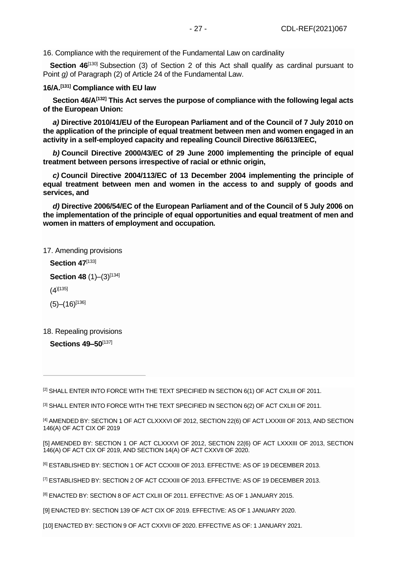16. Compliance with the requirement of the Fundamental Law on cardinality

**Section 46**<sup>[\[130\]](file://///obh/dfs/AJBH_NTK_Foosztaly/NemzetkÃ¶zi%20OsztÃ¡ly/HÃ¡tterek,%20tÃ¡jÃ©koztatÃ³%20anyagok,Ã¶sszefoglalÃ³k/TÃ¶rvÃ©nyek,szabÃ¡lyzatok-EN/The%20Ombudsman%20Act_EN_20210223%20(002).docx%23_ftn130)</sup> Subsection (3) of Section 2 of this Act shall qualify as cardinal pursuant to Point *g)* of Paragraph (2) of Article 24 of the Fundamental Law.

## **16/A.[\[131\]](file://///obh/dfs/AJBH_NTK_Foosztaly/NemzetkÃ¶zi%20OsztÃ¡ly/HÃ¡tterek,%20tÃ¡jÃ©koztatÃ³%20anyagok,Ã¶sszefoglalÃ³k/TÃ¶rvÃ©nyek,szabÃ¡lyzatok-EN/The%20Ombudsman%20Act_EN_20210223%20(002).docx%23_ftn131) Compliance with EU law**

**Section 46/A[\[132\]](file://///obh/dfs/AJBH_NTK_Foosztaly/NemzetkÃ¶zi%20OsztÃ¡ly/HÃ¡tterek,%20tÃ¡jÃ©koztatÃ³%20anyagok,Ã¶sszefoglalÃ³k/TÃ¶rvÃ©nyek,szabÃ¡lyzatok-EN/The%20Ombudsman%20Act_EN_20210223%20(002).docx%23_ftn132) This Act serves the purpose of compliance with the following legal acts of the European Union:**

*a)* **Directive 2010/41/EU of the European Parliament and of the Council of 7 July 2010 on the application of the principle of equal treatment between men and women engaged in an activity in a self-employed capacity and repealing Council Directive 86/613/EEC,**

*b)* **Council Directive 2000/43/EC of 29 June 2000 implementing the principle of equal treatment between persons irrespective of racial or ethnic origin,**

*c)* **Council Directive 2004/113/EC of 13 December 2004 implementing the principle of equal treatment between men and women in the access to and supply of goods and services, and**

*d)* **Directive 2006/54/EC of the European Parliament and of the Council of 5 July 2006 on the implementation of the principle of equal opportunities and equal treatment of men and women in matters of employment and occupation***.*

### 17. Amending provisions

Section 47<sup>[\[133\]](file://///obh/dfs/AJBH_NTK_Foosztaly/NemzetkÃ¶zi%20OsztÃ¡ly/HÃ¡tterek,%20tÃ¡jÃ©koztatÃ³%20anyagok,Ã¶sszefoglalÃ³k/TÃ¶rvÃ©nyek,szabÃ¡lyzatok-EN/The%20Ombudsman%20Act_EN_20210223%20(002).docx%23_ftn133)</sup>

**Section 48** (1)–(3)<sup>[\[134\]](file://///obh/dfs/AJBH_NTK_Foosztaly/NemzetkÃ¶zi%20OsztÃ¡ly/HÃ¡tterek,%20tÃ¡jÃ©koztatÃ³%20anyagok,Ã¶sszefoglalÃ³k/TÃ¶rvÃ©nyek,szabÃ¡lyzatok-EN/The%20Ombudsman%20Act_EN_20210223%20(002).docx%23_ftn134)</sup>

 $(4)$ [135]

 $(5)$ – $(16)$ <sup>[\[136\]](file://///obh/dfs/AJBH_NTK_Foosztaly/NemzetkÃ¶zi%20OsztÃ¡ly/HÃ¡tterek,%20tÃ¡jÃ©koztatÃ³%20anyagok,Ã¶sszefoglalÃ³k/TÃ¶rvÃ©nyek,szabÃ¡lyzatok-EN/The%20Ombudsman%20Act_EN_20210223%20(002).docx%23_ftn136)</sup>

18. Repealing provisions

**Sections 49–50**[\[137\]](file://///obh/dfs/AJBH_NTK_Foosztaly/NemzetkÃ¶zi%20OsztÃ¡ly/HÃ¡tterek,%20tÃ¡jÃ©koztatÃ³%20anyagok,Ã¶sszefoglalÃ³k/TÃ¶rvÃ©nyek,szabÃ¡lyzatok-EN/The%20Ombudsman%20Act_EN_20210223%20(002).docx%23_ftn137)

<sup>[\[2\]](file://///obh/dfs/AJBH_NTK_Foosztaly/NemzetkÃ¶zi%20OsztÃ¡ly/HÃ¡tterek,%20tÃ¡jÃ©koztatÃ³%20anyagok,Ã¶sszefoglalÃ³k/TÃ¶rvÃ©nyek,szabÃ¡lyzatok-EN/The%20Ombudsman%20Act_EN_20210223%20(002).docx%23_ftnref2)</sup> SHALL ENTER INTO FORCE WITH THE TEXT SPECIFIED IN SECTION 6(1) OF ACT CXLIII OF 2011.

[\[3\]](file://///obh/dfs/AJBH_NTK_Foosztaly/NemzetkÃ¶zi%20OsztÃ¡ly/HÃ¡tterek,%20tÃ¡jÃ©koztatÃ³%20anyagok,Ã¶sszefoglalÃ³k/TÃ¶rvÃ©nyek,szabÃ¡lyzatok-EN/The%20Ombudsman%20Act_EN_20210223%20(002).docx%23_ftnref3) SHALL ENTER INTO FORCE WITH THE TEXT SPECIFIED IN SECTION 6(2) OF ACT CXLIII OF 2011.

[\[4\]](file://///obh/dfs/AJBH_NTK_Foosztaly/NemzetkÃ¶zi%20OsztÃ¡ly/HÃ¡tterek,%20tÃ¡jÃ©koztatÃ³%20anyagok,Ã¶sszefoglalÃ³k/TÃ¶rvÃ©nyek,szabÃ¡lyzatok-EN/The%20Ombudsman%20Act_EN_20210223%20(002).docx%23_ftnref4) AMENDED BY: SECTION 1 OF ACT CLXXXVI OF 2012, SECTION 22(6) OF ACT LXXXIII OF 2013, AND SECTION 146(A) OF ACT CIX OF 2019

[\[5\]](file://///obh/dfs/AJBH_NTK_Foosztaly/NemzetkÃ¶zi%20OsztÃ¡ly/HÃ¡tterek,%20tÃ¡jÃ©koztatÃ³%20anyagok,Ã¶sszefoglalÃ³k/TÃ¶rvÃ©nyek,szabÃ¡lyzatok-EN/The%20Ombudsman%20Act_EN_20210223%20(002).docx%23_ftnref5) AMENDED BY: SECTION 1 OF ACT CLXXXVI OF 2012, SECTION 22(6) OF ACT LXXXIII OF 2013, SECTION 146(A) OF ACT CIX OF 2019, AND SECTION 14(A) OF ACT CXXVII OF 2020.

[\[6\]](file://///obh/dfs/AJBH_NTK_Foosztaly/NemzetkÃ¶zi%20OsztÃ¡ly/HÃ¡tterek,%20tÃ¡jÃ©koztatÃ³%20anyagok,Ã¶sszefoglalÃ³k/TÃ¶rvÃ©nyek,szabÃ¡lyzatok-EN/The%20Ombudsman%20Act_EN_20210223%20(002).docx%23_ftnref6) ESTABLISHED BY: SECTION 1 OF ACT CCXXIII OF 2013. EFFECTIVE: AS OF 19 DECEMBER 2013.

[\[7\]](file://///obh/dfs/AJBH_NTK_Foosztaly/NemzetkÃ¶zi%20OsztÃ¡ly/HÃ¡tterek,%20tÃ¡jÃ©koztatÃ³%20anyagok,Ã¶sszefoglalÃ³k/TÃ¶rvÃ©nyek,szabÃ¡lyzatok-EN/The%20Ombudsman%20Act_EN_20210223%20(002).docx%23_ftnref7) ESTABLISHED BY: SECTION 2 OF ACT CCXXIII OF 2013. EFFECTIVE: AS OF 19 DECEMBER 2013.

[\[8\]](file://///obh/dfs/AJBH_NTK_Foosztaly/NemzetkÃ¶zi%20OsztÃ¡ly/HÃ¡tterek,%20tÃ¡jÃ©koztatÃ³%20anyagok,Ã¶sszefoglalÃ³k/TÃ¶rvÃ©nyek,szabÃ¡lyzatok-EN/The%20Ombudsman%20Act_EN_20210223%20(002).docx%23_ftnref8) ENACTED BY: SECTION 8 OF ACT CXLIII OF 2011. EFFECTIVE: AS OF 1 JANUARY 2015.

[\[9\]](file://///obh/dfs/AJBH_NTK_Foosztaly/NemzetkÃ¶zi%20OsztÃ¡ly/HÃ¡tterek,%20tÃ¡jÃ©koztatÃ³%20anyagok,Ã¶sszefoglalÃ³k/TÃ¶rvÃ©nyek,szabÃ¡lyzatok-EN/The%20Ombudsman%20Act_EN_20210223%20(002).docx%23_ftnref9) ENACTED BY: SECTION 139 OF ACT CIX OF 2019. EFFECTIVE: AS OF 1 JANUARY 2020.

[\[10\]](file://///obh/dfs/AJBH_NTK_Foosztaly/NemzetkÃ¶zi%20OsztÃ¡ly/HÃ¡tterek,%20tÃ¡jÃ©koztatÃ³%20anyagok,Ã¶sszefoglalÃ³k/TÃ¶rvÃ©nyek,szabÃ¡lyzatok-EN/The%20Ombudsman%20Act_EN_20210223%20(002).docx%23_ftnref10) ENACTED BY: SECTION 9 OF ACT CXXVII OF 2020. EFFECTIVE AS OF: 1 JANUARY 2021.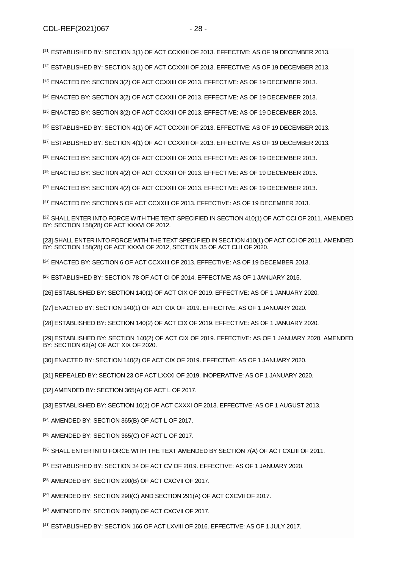[\[11\]](file://///obh/dfs/AJBH_NTK_Foosztaly/NemzetkÃ¶zi%20OsztÃ¡ly/HÃ¡tterek,%20tÃ¡jÃ©koztatÃ³%20anyagok,Ã¶sszefoglalÃ³k/TÃ¶rvÃ©nyek,szabÃ¡lyzatok-EN/The%20Ombudsman%20Act_EN_20210223%20(002).docx%23_ftnref11) ESTABLISHED BY: SECTION 3(1) OF ACT CCXXIII OF 2013. EFFECTIVE: AS OF 19 DECEMBER 2013.

[\[12\]](file://///obh/dfs/AJBH_NTK_Foosztaly/NemzetkÃ¶zi%20OsztÃ¡ly/HÃ¡tterek,%20tÃ¡jÃ©koztatÃ³%20anyagok,Ã¶sszefoglalÃ³k/TÃ¶rvÃ©nyek,szabÃ¡lyzatok-EN/The%20Ombudsman%20Act_EN_20210223%20(002).docx%23_ftnref12) ESTABLISHED BY: SECTION 3(1) OF ACT CCXXIII OF 2013. EFFECTIVE: AS OF 19 DECEMBER 2013.

[\[13\]](file://///obh/dfs/AJBH_NTK_Foosztaly/NemzetkÃ¶zi%20OsztÃ¡ly/HÃ¡tterek,%20tÃ¡jÃ©koztatÃ³%20anyagok,Ã¶sszefoglalÃ³k/TÃ¶rvÃ©nyek,szabÃ¡lyzatok-EN/The%20Ombudsman%20Act_EN_20210223%20(002).docx%23_ftnref13) ENACTED BY: SECTION 3(2) OF ACT CCXXIII OF 2013. EFFECTIVE: AS OF 19 DECEMBER 2013.

[\[14\]](file://///obh/dfs/AJBH_NTK_Foosztaly/NemzetkÃ¶zi%20OsztÃ¡ly/HÃ¡tterek,%20tÃ¡jÃ©koztatÃ³%20anyagok,Ã¶sszefoglalÃ³k/TÃ¶rvÃ©nyek,szabÃ¡lyzatok-EN/The%20Ombudsman%20Act_EN_20210223%20(002).docx%23_ftnref14) ENACTED BY: SECTION 3(2) OF ACT CCXXIII OF 2013. EFFECTIVE: AS OF 19 DECEMBER 2013.

[\[15\]](file://///obh/dfs/AJBH_NTK_Foosztaly/NemzetkÃ¶zi%20OsztÃ¡ly/HÃ¡tterek,%20tÃ¡jÃ©koztatÃ³%20anyagok,Ã¶sszefoglalÃ³k/TÃ¶rvÃ©nyek,szabÃ¡lyzatok-EN/The%20Ombudsman%20Act_EN_20210223%20(002).docx%23_ftnref15) ENACTED BY: SECTION 3(2) OF ACT CCXXIII OF 2013. EFFECTIVE: AS OF 19 DECEMBER 2013.

[\[16\]](file://///obh/dfs/AJBH_NTK_Foosztaly/NemzetkÃ¶zi%20OsztÃ¡ly/HÃ¡tterek,%20tÃ¡jÃ©koztatÃ³%20anyagok,Ã¶sszefoglalÃ³k/TÃ¶rvÃ©nyek,szabÃ¡lyzatok-EN/The%20Ombudsman%20Act_EN_20210223%20(002).docx%23_ftnref16) ESTABLISHED BY: SECTION 4(1) OF ACT CCXXIII OF 2013. EFFECTIVE: AS OF 19 DECEMBER 2013.

[\[17\]](file://///obh/dfs/AJBH_NTK_Foosztaly/NemzetkÃ¶zi%20OsztÃ¡ly/HÃ¡tterek,%20tÃ¡jÃ©koztatÃ³%20anyagok,Ã¶sszefoglalÃ³k/TÃ¶rvÃ©nyek,szabÃ¡lyzatok-EN/The%20Ombudsman%20Act_EN_20210223%20(002).docx%23_ftnref17) ESTABLISHED BY: SECTION 4(1) OF ACT CCXXIII OF 2013. EFFECTIVE: AS OF 19 DECEMBER 2013.

[\[18\]](file://///obh/dfs/AJBH_NTK_Foosztaly/NemzetkÃ¶zi%20OsztÃ¡ly/HÃ¡tterek,%20tÃ¡jÃ©koztatÃ³%20anyagok,Ã¶sszefoglalÃ³k/TÃ¶rvÃ©nyek,szabÃ¡lyzatok-EN/The%20Ombudsman%20Act_EN_20210223%20(002).docx%23_ftnref18) ENACTED BY: SECTION 4(2) OF ACT CCXXIII OF 2013. EFFECTIVE: AS OF 19 DECEMBER 2013.

[\[19\]](file://///obh/dfs/AJBH_NTK_Foosztaly/NemzetkÃ¶zi%20OsztÃ¡ly/HÃ¡tterek,%20tÃ¡jÃ©koztatÃ³%20anyagok,Ã¶sszefoglalÃ³k/TÃ¶rvÃ©nyek,szabÃ¡lyzatok-EN/The%20Ombudsman%20Act_EN_20210223%20(002).docx%23_ftnref19) ENACTED BY: SECTION 4(2) OF ACT CCXXIII OF 2013. EFFECTIVE: AS OF 19 DECEMBER 2013.

<sup>[\[20\]](file://///obh/dfs/AJBH_NTK_Foosztaly/NemzetkÃ¶zi%20OsztÃ¡ly/HÃ¡tterek,%20tÃ¡jÃ©koztatÃ³%20anyagok,Ã¶sszefoglalÃ³k/TÃ¶rvÃ©nyek,szabÃ¡lyzatok-EN/The%20Ombudsman%20Act_EN_20210223%20(002).docx%23_ftnref20)</sup> ENACTED BY: SECTION 4(2) OF ACT CCXXIII OF 2013. EFFECTIVE: AS OF 19 DECEMBER 2013.

 $[21]$  ENACTED BY: SECTION 5 OF ACT CCXXIII OF 2013. EFFECTIVE: AS OF 19 DECEMBER 2013.

[\[22\]](file://///obh/dfs/AJBH_NTK_Foosztaly/NemzetkÃ¶zi%20OsztÃ¡ly/HÃ¡tterek,%20tÃ¡jÃ©koztatÃ³%20anyagok,Ã¶sszefoglalÃ³k/TÃ¶rvÃ©nyek,szabÃ¡lyzatok-EN/The%20Ombudsman%20Act_EN_20210223%20(002).docx%23_ftnref22) SHALL ENTER INTO FORCE WITH THE TEXT SPECIFIED IN SECTION 410(1) OF ACT CCI OF 2011. AMENDED BY: SECTION 158(28) OF ACT XXXVI OF 2012.

[\[23\]](file://///obh/dfs/AJBH_NTK_Foosztaly/NemzetkÃ¶zi%20OsztÃ¡ly/HÃ¡tterek,%20tÃ¡jÃ©koztatÃ³%20anyagok,Ã¶sszefoglalÃ³k/TÃ¶rvÃ©nyek,szabÃ¡lyzatok-EN/The%20Ombudsman%20Act_EN_20210223%20(002).docx%23_ftnref23) SHALL ENTER INTO FORCE WITH THE TEXT SPECIFIED IN SECTION 410(1) OF ACT CCI OF 2011. AMENDED BY: SECTION 158(28) OF ACT XXXVI OF 2012, SECTION 35 OF ACT CLII OF 2020.

[\[24\]](file://///obh/dfs/AJBH_NTK_Foosztaly/NemzetkÃ¶zi%20OsztÃ¡ly/HÃ¡tterek,%20tÃ¡jÃ©koztatÃ³%20anyagok,Ã¶sszefoglalÃ³k/TÃ¶rvÃ©nyek,szabÃ¡lyzatok-EN/The%20Ombudsman%20Act_EN_20210223%20(002).docx%23_ftnref24) ENACTED BY: SECTION 6 OF ACT CCXXIII OF 2013. EFFECTIVE: AS OF 19 DECEMBER 2013.

[\[25\]](file://///obh/dfs/AJBH_NTK_Foosztaly/NemzetkÃ¶zi%20OsztÃ¡ly/HÃ¡tterek,%20tÃ¡jÃ©koztatÃ³%20anyagok,Ã¶sszefoglalÃ³k/TÃ¶rvÃ©nyek,szabÃ¡lyzatok-EN/The%20Ombudsman%20Act_EN_20210223%20(002).docx%23_ftnref25) ESTABLISHED BY: SECTION 78 OF ACT CI OF 2014. EFFECTIVE: AS OF 1 JANUARY 2015.

[\[26\]](file://///obh/dfs/AJBH_NTK_Foosztaly/NemzetkÃ¶zi%20OsztÃ¡ly/HÃ¡tterek,%20tÃ¡jÃ©koztatÃ³%20anyagok,Ã¶sszefoglalÃ³k/TÃ¶rvÃ©nyek,szabÃ¡lyzatok-EN/The%20Ombudsman%20Act_EN_20210223%20(002).docx%23_ftnref26) ESTABLISHED BY: SECTION 140(1) OF ACT CIX OF 2019. EFFECTIVE: AS OF 1 JANUARY 2020.

[\[27\]](file://///obh/dfs/AJBH_NTK_Foosztaly/NemzetkÃ¶zi%20OsztÃ¡ly/HÃ¡tterek,%20tÃ¡jÃ©koztatÃ³%20anyagok,Ã¶sszefoglalÃ³k/TÃ¶rvÃ©nyek,szabÃ¡lyzatok-EN/The%20Ombudsman%20Act_EN_20210223%20(002).docx%23_ftnref27) ENACTED BY: SECTION 140(1) OF ACT CIX OF 2019. EFFECTIVE: AS OF 1 JANUARY 2020.

[\[28\]](file://///obh/dfs/AJBH_NTK_Foosztaly/NemzetkÃ¶zi%20OsztÃ¡ly/HÃ¡tterek,%20tÃ¡jÃ©koztatÃ³%20anyagok,Ã¶sszefoglalÃ³k/TÃ¶rvÃ©nyek,szabÃ¡lyzatok-EN/The%20Ombudsman%20Act_EN_20210223%20(002).docx%23_ftnref28) ESTABLISHED BY: SECTION 140(2) OF ACT CIX OF 2019. EFFECTIVE: AS OF 1 JANUARY 2020.

[\[29\]](file://///obh/dfs/AJBH_NTK_Foosztaly/NemzetkÃ¶zi%20OsztÃ¡ly/HÃ¡tterek,%20tÃ¡jÃ©koztatÃ³%20anyagok,Ã¶sszefoglalÃ³k/TÃ¶rvÃ©nyek,szabÃ¡lyzatok-EN/The%20Ombudsman%20Act_EN_20210223%20(002).docx%23_ftnref29) ESTABLISHED BY: SECTION 140(2) OF ACT CIX OF 2019. EFFECTIVE: AS OF 1 JANUARY 2020. AMENDED BY: SECTION 62(A) OF ACT XIX OF 2020.

[\[30\]](file://///obh/dfs/AJBH_NTK_Foosztaly/NemzetkÃ¶zi%20OsztÃ¡ly/HÃ¡tterek,%20tÃ¡jÃ©koztatÃ³%20anyagok,Ã¶sszefoglalÃ³k/TÃ¶rvÃ©nyek,szabÃ¡lyzatok-EN/The%20Ombudsman%20Act_EN_20210223%20(002).docx%23_ftnref30) ENACTED BY: SECTION 140(2) OF ACT CIX OF 2019. EFFECTIVE: AS OF 1 JANUARY 2020.

[\[31\]](file://///obh/dfs/AJBH_NTK_Foosztaly/NemzetkÃ¶zi%20OsztÃ¡ly/HÃ¡tterek,%20tÃ¡jÃ©koztatÃ³%20anyagok,Ã¶sszefoglalÃ³k/TÃ¶rvÃ©nyek,szabÃ¡lyzatok-EN/The%20Ombudsman%20Act_EN_20210223%20(002).docx%23_ftnref31) REPEALED BY: SECTION 23 OF ACT LXXXI OF 2019. INOPERATIVE: AS OF 1 JANUARY 2020.

[\[32\]](file://///obh/dfs/AJBH_NTK_Foosztaly/NemzetkÃ¶zi%20OsztÃ¡ly/HÃ¡tterek,%20tÃ¡jÃ©koztatÃ³%20anyagok,Ã¶sszefoglalÃ³k/TÃ¶rvÃ©nyek,szabÃ¡lyzatok-EN/The%20Ombudsman%20Act_EN_20210223%20(002).docx%23_ftnref32) AMENDED BY: SECTION 365(A) OF ACT L OF 2017.

[\[33\]](file://///obh/dfs/AJBH_NTK_Foosztaly/NemzetkÃ¶zi%20OsztÃ¡ly/HÃ¡tterek,%20tÃ¡jÃ©koztatÃ³%20anyagok,Ã¶sszefoglalÃ³k/TÃ¶rvÃ©nyek,szabÃ¡lyzatok-EN/The%20Ombudsman%20Act_EN_20210223%20(002).docx%23_ftnref33) ESTABLISHED BY: SECTION 10(2) OF ACT CXXXI OF 2013. EFFECTIVE: AS OF 1 AUGUST 2013.

[\[34\]](file://///obh/dfs/AJBH_NTK_Foosztaly/NemzetkÃ¶zi%20OsztÃ¡ly/HÃ¡tterek,%20tÃ¡jÃ©koztatÃ³%20anyagok,Ã¶sszefoglalÃ³k/TÃ¶rvÃ©nyek,szabÃ¡lyzatok-EN/The%20Ombudsman%20Act_EN_20210223%20(002).docx%23_ftnref34) AMENDED BY: SECTION 365(B) OF ACT L OF 2017.

[\[35\]](file://///obh/dfs/AJBH_NTK_Foosztaly/NemzetkÃ¶zi%20OsztÃ¡ly/HÃ¡tterek,%20tÃ¡jÃ©koztatÃ³%20anyagok,Ã¶sszefoglalÃ³k/TÃ¶rvÃ©nyek,szabÃ¡lyzatok-EN/The%20Ombudsman%20Act_EN_20210223%20(002).docx%23_ftnref35) AMENDED BY: SECTION 365(C) OF ACT L OF 2017.

[\[36\]](file://///obh/dfs/AJBH_NTK_Foosztaly/NemzetkÃ¶zi%20OsztÃ¡ly/HÃ¡tterek,%20tÃ¡jÃ©koztatÃ³%20anyagok,Ã¶sszefoglalÃ³k/TÃ¶rvÃ©nyek,szabÃ¡lyzatok-EN/The%20Ombudsman%20Act_EN_20210223%20(002).docx%23_ftnref36) SHALL ENTER INTO FORCE WITH THE TEXT AMENDED BY SECTION 7(A) OF ACT CXLIII OF 2011.

[\[37\]](file://///obh/dfs/AJBH_NTK_Foosztaly/NemzetkÃ¶zi%20OsztÃ¡ly/HÃ¡tterek,%20tÃ¡jÃ©koztatÃ³%20anyagok,Ã¶sszefoglalÃ³k/TÃ¶rvÃ©nyek,szabÃ¡lyzatok-EN/The%20Ombudsman%20Act_EN_20210223%20(002).docx%23_ftnref37) ESTABLISHED BY: SECTION 34 OF ACT CV OF 2019. EFFECTIVE: AS OF 1 JANUARY 2020.

[\[38\]](file://///obh/dfs/AJBH_NTK_Foosztaly/NemzetkÃ¶zi%20OsztÃ¡ly/HÃ¡tterek,%20tÃ¡jÃ©koztatÃ³%20anyagok,Ã¶sszefoglalÃ³k/TÃ¶rvÃ©nyek,szabÃ¡lyzatok-EN/The%20Ombudsman%20Act_EN_20210223%20(002).docx%23_ftnref38) AMENDED BY: SECTION 290(B) OF ACT CXCVII OF 2017.

[\[39\]](file://///obh/dfs/AJBH_NTK_Foosztaly/NemzetkÃ¶zi%20OsztÃ¡ly/HÃ¡tterek,%20tÃ¡jÃ©koztatÃ³%20anyagok,Ã¶sszefoglalÃ³k/TÃ¶rvÃ©nyek,szabÃ¡lyzatok-EN/The%20Ombudsman%20Act_EN_20210223%20(002).docx%23_ftnref39) AMENDED BY: SECTION 290(C) AND SECTION 291(A) OF ACT CXCVII OF 2017.

[\[40\]](file://///obh/dfs/AJBH_NTK_Foosztaly/NemzetkÃ¶zi%20OsztÃ¡ly/HÃ¡tterek,%20tÃ¡jÃ©koztatÃ³%20anyagok,Ã¶sszefoglalÃ³k/TÃ¶rvÃ©nyek,szabÃ¡lyzatok-EN/The%20Ombudsman%20Act_EN_20210223%20(002).docx%23_ftnref40) AMENDED BY: SECTION 290(B) OF ACT CXCVII OF 2017.

[\[41\]](file://///obh/dfs/AJBH_NTK_Foosztaly/NemzetkÃ¶zi%20OsztÃ¡ly/HÃ¡tterek,%20tÃ¡jÃ©koztatÃ³%20anyagok,Ã¶sszefoglalÃ³k/TÃ¶rvÃ©nyek,szabÃ¡lyzatok-EN/The%20Ombudsman%20Act_EN_20210223%20(002).docx%23_ftnref41) ESTABLISHED BY: SECTION 166 OF ACT LXVIII OF 2016. EFFECTIVE: AS OF 1 JULY 2017.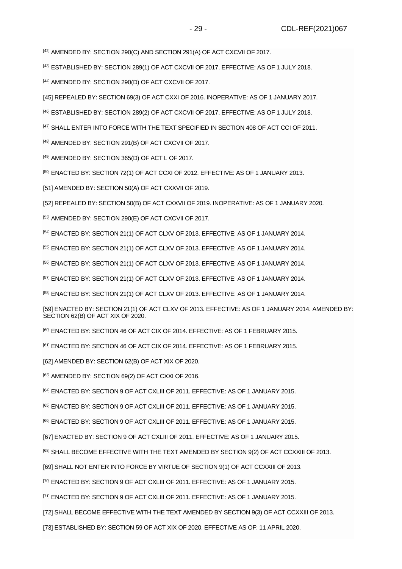[\[43\]](file://///obh/dfs/AJBH_NTK_Foosztaly/NemzetkÃ¶zi%20OsztÃ¡ly/HÃ¡tterek,%20tÃ¡jÃ©koztatÃ³%20anyagok,Ã¶sszefoglalÃ³k/TÃ¶rvÃ©nyek,szabÃ¡lyzatok-EN/The%20Ombudsman%20Act_EN_20210223%20(002).docx%23_ftnref43) ESTABLISHED BY: SECTION 289(1) OF ACT CXCVII OF 2017. EFFECTIVE: AS OF 1 JULY 2018.

[\[44\]](file://///obh/dfs/AJBH_NTK_Foosztaly/NemzetkÃ¶zi%20OsztÃ¡ly/HÃ¡tterek,%20tÃ¡jÃ©koztatÃ³%20anyagok,Ã¶sszefoglalÃ³k/TÃ¶rvÃ©nyek,szabÃ¡lyzatok-EN/The%20Ombudsman%20Act_EN_20210223%20(002).docx%23_ftnref44) AMENDED BY: SECTION 290(D) OF ACT CXCVII OF 2017.

[\[45\]](file://///obh/dfs/AJBH_NTK_Foosztaly/NemzetkÃ¶zi%20OsztÃ¡ly/HÃ¡tterek,%20tÃ¡jÃ©koztatÃ³%20anyagok,Ã¶sszefoglalÃ³k/TÃ¶rvÃ©nyek,szabÃ¡lyzatok-EN/The%20Ombudsman%20Act_EN_20210223%20(002).docx%23_ftnref45) REPEALED BY: SECTION 69(3) OF ACT CXXI OF 2016. INOPERATIVE: AS OF 1 JANUARY 2017.

[\[46\]](file://///obh/dfs/AJBH_NTK_Foosztaly/NemzetkÃ¶zi%20OsztÃ¡ly/HÃ¡tterek,%20tÃ¡jÃ©koztatÃ³%20anyagok,Ã¶sszefoglalÃ³k/TÃ¶rvÃ©nyek,szabÃ¡lyzatok-EN/The%20Ombudsman%20Act_EN_20210223%20(002).docx%23_ftnref46) ESTABLISHED BY: SECTION 289(2) OF ACT CXCVII OF 2017. EFFECTIVE: AS OF 1 JULY 2018.

[\[47\]](file://///obh/dfs/AJBH_NTK_Foosztaly/NemzetkÃ¶zi%20OsztÃ¡ly/HÃ¡tterek,%20tÃ¡jÃ©koztatÃ³%20anyagok,Ã¶sszefoglalÃ³k/TÃ¶rvÃ©nyek,szabÃ¡lyzatok-EN/The%20Ombudsman%20Act_EN_20210223%20(002).docx%23_ftnref47) SHALL ENTER INTO FORCE WITH THE TEXT SPECIFIED IN SECTION 408 OF ACT CCI OF 2011.

[\[48\]](file://///obh/dfs/AJBH_NTK_Foosztaly/NemzetkÃ¶zi%20OsztÃ¡ly/HÃ¡tterek,%20tÃ¡jÃ©koztatÃ³%20anyagok,Ã¶sszefoglalÃ³k/TÃ¶rvÃ©nyek,szabÃ¡lyzatok-EN/The%20Ombudsman%20Act_EN_20210223%20(002).docx%23_ftnref48) AMENDED BY: SECTION 291(B) OF ACT CXCVII OF 2017.

[\[49\]](file://///obh/dfs/AJBH_NTK_Foosztaly/NemzetkÃ¶zi%20OsztÃ¡ly/HÃ¡tterek,%20tÃ¡jÃ©koztatÃ³%20anyagok,Ã¶sszefoglalÃ³k/TÃ¶rvÃ©nyek,szabÃ¡lyzatok-EN/The%20Ombudsman%20Act_EN_20210223%20(002).docx%23_ftnref49) AMENDED BY: SECTION 365(D) OF ACT L OF 2017.

[\[50\]](file://///obh/dfs/AJBH_NTK_Foosztaly/NemzetkÃ¶zi%20OsztÃ¡ly/HÃ¡tterek,%20tÃ¡jÃ©koztatÃ³%20anyagok,Ã¶sszefoglalÃ³k/TÃ¶rvÃ©nyek,szabÃ¡lyzatok-EN/The%20Ombudsman%20Act_EN_20210223%20(002).docx%23_ftnref50) ENACTED BY: SECTION 72(1) OF ACT CCXI OF 2012. EFFECTIVE: AS OF 1 JANUARY 2013.

[\[51\]](file://///obh/dfs/AJBH_NTK_Foosztaly/NemzetkÃ¶zi%20OsztÃ¡ly/HÃ¡tterek,%20tÃ¡jÃ©koztatÃ³%20anyagok,Ã¶sszefoglalÃ³k/TÃ¶rvÃ©nyek,szabÃ¡lyzatok-EN/The%20Ombudsman%20Act_EN_20210223%20(002).docx%23_ftnref51) AMENDED BY: SECTION 50(A) OF ACT CXXVII OF 2019.

[\[52\]](file://///obh/dfs/AJBH_NTK_Foosztaly/NemzetkÃ¶zi%20OsztÃ¡ly/HÃ¡tterek,%20tÃ¡jÃ©koztatÃ³%20anyagok,Ã¶sszefoglalÃ³k/TÃ¶rvÃ©nyek,szabÃ¡lyzatok-EN/The%20Ombudsman%20Act_EN_20210223%20(002).docx%23_ftnref52) REPEALED BY: SECTION 50(B) OF ACT CXXVII OF 2019. INOPERATIVE: AS OF 1 JANUARY 2020.

[\[53\]](file://///obh/dfs/AJBH_NTK_Foosztaly/NemzetkÃ¶zi%20OsztÃ¡ly/HÃ¡tterek,%20tÃ¡jÃ©koztatÃ³%20anyagok,Ã¶sszefoglalÃ³k/TÃ¶rvÃ©nyek,szabÃ¡lyzatok-EN/The%20Ombudsman%20Act_EN_20210223%20(002).docx%23_ftnref53) AMENDED BY: SECTION 290(E) OF ACT CXCVII OF 2017.

[\[54\]](file://///obh/dfs/AJBH_NTK_Foosztaly/NemzetkÃ¶zi%20OsztÃ¡ly/HÃ¡tterek,%20tÃ¡jÃ©koztatÃ³%20anyagok,Ã¶sszefoglalÃ³k/TÃ¶rvÃ©nyek,szabÃ¡lyzatok-EN/The%20Ombudsman%20Act_EN_20210223%20(002).docx%23_ftnref54) ENACTED BY: SECTION 21(1) OF ACT CLXV OF 2013. EFFECTIVE: AS OF 1 JANUARY 2014.

[\[55\]](file://///obh/dfs/AJBH_NTK_Foosztaly/NemzetkÃ¶zi%20OsztÃ¡ly/HÃ¡tterek,%20tÃ¡jÃ©koztatÃ³%20anyagok,Ã¶sszefoglalÃ³k/TÃ¶rvÃ©nyek,szabÃ¡lyzatok-EN/The%20Ombudsman%20Act_EN_20210223%20(002).docx%23_ftnref55) ENACTED BY: SECTION 21(1) OF ACT CLXV OF 2013. EFFECTIVE: AS OF 1 JANUARY 2014.

[\[56\]](file://///obh/dfs/AJBH_NTK_Foosztaly/NemzetkÃ¶zi%20OsztÃ¡ly/HÃ¡tterek,%20tÃ¡jÃ©koztatÃ³%20anyagok,Ã¶sszefoglalÃ³k/TÃ¶rvÃ©nyek,szabÃ¡lyzatok-EN/The%20Ombudsman%20Act_EN_20210223%20(002).docx%23_ftnref56) ENACTED BY: SECTION 21(1) OF ACT CLXV OF 2013. EFFECTIVE: AS OF 1 JANUARY 2014.

[\[57\]](file://///obh/dfs/AJBH_NTK_Foosztaly/NemzetkÃ¶zi%20OsztÃ¡ly/HÃ¡tterek,%20tÃ¡jÃ©koztatÃ³%20anyagok,Ã¶sszefoglalÃ³k/TÃ¶rvÃ©nyek,szabÃ¡lyzatok-EN/The%20Ombudsman%20Act_EN_20210223%20(002).docx%23_ftnref57) ENACTED BY: SECTION 21(1) OF ACT CLXV OF 2013. EFFECTIVE: AS OF 1 JANUARY 2014.

[\[58\]](file://///obh/dfs/AJBH_NTK_Foosztaly/NemzetkÃ¶zi%20OsztÃ¡ly/HÃ¡tterek,%20tÃ¡jÃ©koztatÃ³%20anyagok,Ã¶sszefoglalÃ³k/TÃ¶rvÃ©nyek,szabÃ¡lyzatok-EN/The%20Ombudsman%20Act_EN_20210223%20(002).docx%23_ftnref58) ENACTED BY: SECTION 21(1) OF ACT CLXV OF 2013. EFFECTIVE: AS OF 1 JANUARY 2014.

[\[59\]](file://///obh/dfs/AJBH_NTK_Foosztaly/NemzetkÃ¶zi%20OsztÃ¡ly/HÃ¡tterek,%20tÃ¡jÃ©koztatÃ³%20anyagok,Ã¶sszefoglalÃ³k/TÃ¶rvÃ©nyek,szabÃ¡lyzatok-EN/The%20Ombudsman%20Act_EN_20210223%20(002).docx%23_ftnref59) ENACTED BY: SECTION 21(1) OF ACT CLXV OF 2013. EFFECTIVE: AS OF 1 JANUARY 2014. AMENDED BY: SECTION 62(B) OF ACT XIX OF 2020.

[\[60\]](file://///obh/dfs/AJBH_NTK_Foosztaly/NemzetkÃ¶zi%20OsztÃ¡ly/HÃ¡tterek,%20tÃ¡jÃ©koztatÃ³%20anyagok,Ã¶sszefoglalÃ³k/TÃ¶rvÃ©nyek,szabÃ¡lyzatok-EN/The%20Ombudsman%20Act_EN_20210223%20(002).docx%23_ftnref60) ENACTED BY: SECTION 46 OF ACT CIX OF 2014. EFFECTIVE: AS OF 1 FEBRUARY 2015.

[\[61\]](file://///obh/dfs/AJBH_NTK_Foosztaly/NemzetkÃ¶zi%20OsztÃ¡ly/HÃ¡tterek,%20tÃ¡jÃ©koztatÃ³%20anyagok,Ã¶sszefoglalÃ³k/TÃ¶rvÃ©nyek,szabÃ¡lyzatok-EN/The%20Ombudsman%20Act_EN_20210223%20(002).docx%23_ftnref61) ENACTED BY: SECTION 46 OF ACT CIX OF 2014. EFFECTIVE: AS OF 1 FEBRUARY 2015.

[\[62\]](file://///obh/dfs/AJBH_NTK_Foosztaly/NemzetkÃ¶zi%20OsztÃ¡ly/HÃ¡tterek,%20tÃ¡jÃ©koztatÃ³%20anyagok,Ã¶sszefoglalÃ³k/TÃ¶rvÃ©nyek,szabÃ¡lyzatok-EN/The%20Ombudsman%20Act_EN_20210223%20(002).docx%23_ftnref62) AMENDED BY: SECTION 62(B) OF ACT XIX OF 2020.

[\[63\]](file://///obh/dfs/AJBH_NTK_Foosztaly/NemzetkÃ¶zi%20OsztÃ¡ly/HÃ¡tterek,%20tÃ¡jÃ©koztatÃ³%20anyagok,Ã¶sszefoglalÃ³k/TÃ¶rvÃ©nyek,szabÃ¡lyzatok-EN/The%20Ombudsman%20Act_EN_20210223%20(002).docx%23_ftnref63) AMENDED BY: SECTION 69(2) OF ACT CXXI OF 2016.

[\[64\]](file://///obh/dfs/AJBH_NTK_Foosztaly/NemzetkÃ¶zi%20OsztÃ¡ly/HÃ¡tterek,%20tÃ¡jÃ©koztatÃ³%20anyagok,Ã¶sszefoglalÃ³k/TÃ¶rvÃ©nyek,szabÃ¡lyzatok-EN/The%20Ombudsman%20Act_EN_20210223%20(002).docx%23_ftnref64) ENACTED BY: SECTION 9 OF ACT CXLIII OF 2011. EFFECTIVE: AS OF 1 JANUARY 2015.

[\[65\]](file://///obh/dfs/AJBH_NTK_Foosztaly/NemzetkÃ¶zi%20OsztÃ¡ly/HÃ¡tterek,%20tÃ¡jÃ©koztatÃ³%20anyagok,Ã¶sszefoglalÃ³k/TÃ¶rvÃ©nyek,szabÃ¡lyzatok-EN/The%20Ombudsman%20Act_EN_20210223%20(002).docx%23_ftnref65) ENACTED BY: SECTION 9 OF ACT CXLIII OF 2011. EFFECTIVE: AS OF 1 JANUARY 2015.

[\[66\]](file://///obh/dfs/AJBH_NTK_Foosztaly/NemzetkÃ¶zi%20OsztÃ¡ly/HÃ¡tterek,%20tÃ¡jÃ©koztatÃ³%20anyagok,Ã¶sszefoglalÃ³k/TÃ¶rvÃ©nyek,szabÃ¡lyzatok-EN/The%20Ombudsman%20Act_EN_20210223%20(002).docx%23_ftnref66) ENACTED BY: SECTION 9 OF ACT CXLIII OF 2011. EFFECTIVE: AS OF 1 JANUARY 2015.

[\[67\]](file://///obh/dfs/AJBH_NTK_Foosztaly/NemzetkÃ¶zi%20OsztÃ¡ly/HÃ¡tterek,%20tÃ¡jÃ©koztatÃ³%20anyagok,Ã¶sszefoglalÃ³k/TÃ¶rvÃ©nyek,szabÃ¡lyzatok-EN/The%20Ombudsman%20Act_EN_20210223%20(002).docx%23_ftnref67) ENACTED BY: SECTION 9 OF ACT CXLIII OF 2011. EFFECTIVE: AS OF 1 JANUARY 2015.

[\[68\]](file://///obh/dfs/AJBH_NTK_Foosztaly/NemzetkÃ¶zi%20OsztÃ¡ly/HÃ¡tterek,%20tÃ¡jÃ©koztatÃ³%20anyagok,Ã¶sszefoglalÃ³k/TÃ¶rvÃ©nyek,szabÃ¡lyzatok-EN/The%20Ombudsman%20Act_EN_20210223%20(002).docx%23_ftnref68) SHALL BECOME EFFECTIVE WITH THE TEXT AMENDED BY SECTION 9(2) OF ACT CCXXIII OF 2013.

[\[69\]](file://///obh/dfs/AJBH_NTK_Foosztaly/NemzetkÃ¶zi%20OsztÃ¡ly/HÃ¡tterek,%20tÃ¡jÃ©koztatÃ³%20anyagok,Ã¶sszefoglalÃ³k/TÃ¶rvÃ©nyek,szabÃ¡lyzatok-EN/The%20Ombudsman%20Act_EN_20210223%20(002).docx%23_ftnref69) SHALL NOT ENTER INTO FORCE BY VIRTUE OF SECTION 9(1) OF ACT CCXXIII OF 2013.

[\[70\]](file://///obh/dfs/AJBH_NTK_Foosztaly/NemzetkÃ¶zi%20OsztÃ¡ly/HÃ¡tterek,%20tÃ¡jÃ©koztatÃ³%20anyagok,Ã¶sszefoglalÃ³k/TÃ¶rvÃ©nyek,szabÃ¡lyzatok-EN/The%20Ombudsman%20Act_EN_20210223%20(002).docx%23_ftnref70) ENACTED BY: SECTION 9 OF ACT CXLIII OF 2011. EFFECTIVE: AS OF 1 JANUARY 2015.

[\[71\]](file://///obh/dfs/AJBH_NTK_Foosztaly/NemzetkÃ¶zi%20OsztÃ¡ly/HÃ¡tterek,%20tÃ¡jÃ©koztatÃ³%20anyagok,Ã¶sszefoglalÃ³k/TÃ¶rvÃ©nyek,szabÃ¡lyzatok-EN/The%20Ombudsman%20Act_EN_20210223%20(002).docx%23_ftnref71) ENACTED BY: SECTION 9 OF ACT CXLIII OF 2011. EFFECTIVE: AS OF 1 JANUARY 2015.

[\[72\]](file://///obh/dfs/AJBH_NTK_Foosztaly/NemzetkÃ¶zi%20OsztÃ¡ly/HÃ¡tterek,%20tÃ¡jÃ©koztatÃ³%20anyagok,Ã¶sszefoglalÃ³k/TÃ¶rvÃ©nyek,szabÃ¡lyzatok-EN/The%20Ombudsman%20Act_EN_20210223%20(002).docx%23_ftnref72) SHALL BECOME EFFECTIVE WITH THE TEXT AMENDED BY SECTION 9(3) OF ACT CCXXIII OF 2013.

[\[73\]](file://///obh/dfs/AJBH_NTK_Foosztaly/NemzetkÃ¶zi%20OsztÃ¡ly/HÃ¡tterek,%20tÃ¡jÃ©koztatÃ³%20anyagok,Ã¶sszefoglalÃ³k/TÃ¶rvÃ©nyek,szabÃ¡lyzatok-EN/The%20Ombudsman%20Act_EN_20210223%20(002).docx%23_ftnref73) ESTABLISHED BY: SECTION 59 OF ACT XIX OF 2020. EFFECTIVE AS OF: 11 APRIL 2020.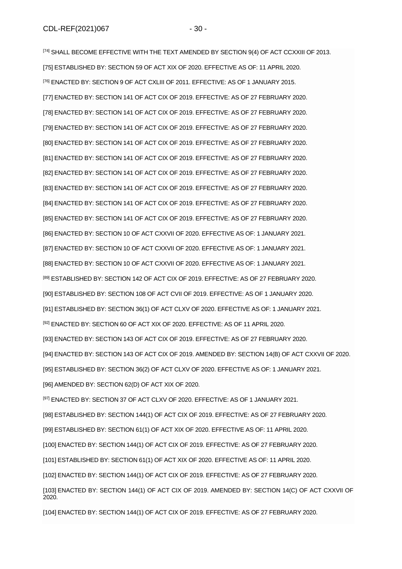[\[74\]](file://///obh/dfs/AJBH_NTK_Foosztaly/NemzetkÃ¶zi%20OsztÃ¡ly/HÃ¡tterek,%20tÃ¡jÃ©koztatÃ³%20anyagok,Ã¶sszefoglalÃ³k/TÃ¶rvÃ©nyek,szabÃ¡lyzatok-EN/The%20Ombudsman%20Act_EN_20210223%20(002).docx%23_ftnref74) SHALL BECOME EFFECTIVE WITH THE TEXT AMENDED BY SECTION 9(4) OF ACT CCXXIII OF 2013. [\[75\]](file://///obh/dfs/AJBH_NTK_Foosztaly/NemzetkÃ¶zi%20OsztÃ¡ly/HÃ¡tterek,%20tÃ¡jÃ©koztatÃ³%20anyagok,Ã¶sszefoglalÃ³k/TÃ¶rvÃ©nyek,szabÃ¡lyzatok-EN/The%20Ombudsman%20Act_EN_20210223%20(002).docx%23_ftnref75) ESTABLISHED BY: SECTION 59 OF ACT XIX OF 2020. EFFECTIVE AS OF: 11 APRIL 2020. [\[76\]](file://///obh/dfs/AJBH_NTK_Foosztaly/NemzetkÃ¶zi%20OsztÃ¡ly/HÃ¡tterek,%20tÃ¡jÃ©koztatÃ³%20anyagok,Ã¶sszefoglalÃ³k/TÃ¶rvÃ©nyek,szabÃ¡lyzatok-EN/The%20Ombudsman%20Act_EN_20210223%20(002).docx%23_ftnref76) ENACTED BY: SECTION 9 OF ACT CXLIII OF 2011. EFFECTIVE: AS OF 1 JANUARY 2015. [\[77\]](file://///obh/dfs/AJBH_NTK_Foosztaly/NemzetkÃ¶zi%20OsztÃ¡ly/HÃ¡tterek,%20tÃ¡jÃ©koztatÃ³%20anyagok,Ã¶sszefoglalÃ³k/TÃ¶rvÃ©nyek,szabÃ¡lyzatok-EN/The%20Ombudsman%20Act_EN_20210223%20(002).docx%23_ftnref77) ENACTED BY: SECTION 141 OF ACT CIX OF 2019. EFFECTIVE: AS OF 27 FEBRUARY 2020. [\[78\]](file://///obh/dfs/AJBH_NTK_Foosztaly/NemzetkÃ¶zi%20OsztÃ¡ly/HÃ¡tterek,%20tÃ¡jÃ©koztatÃ³%20anyagok,Ã¶sszefoglalÃ³k/TÃ¶rvÃ©nyek,szabÃ¡lyzatok-EN/The%20Ombudsman%20Act_EN_20210223%20(002).docx%23_ftnref78) ENACTED BY: SECTION 141 OF ACT CIX OF 2019. EFFECTIVE: AS OF 27 FEBRUARY 2020. [\[79\]](file://///obh/dfs/AJBH_NTK_Foosztaly/NemzetkÃ¶zi%20OsztÃ¡ly/HÃ¡tterek,%20tÃ¡jÃ©koztatÃ³%20anyagok,Ã¶sszefoglalÃ³k/TÃ¶rvÃ©nyek,szabÃ¡lyzatok-EN/The%20Ombudsman%20Act_EN_20210223%20(002).docx%23_ftnref79) ENACTED BY: SECTION 141 OF ACT CIX OF 2019. EFFECTIVE: AS OF 27 FEBRUARY 2020. [\[80\]](file://///obh/dfs/AJBH_NTK_Foosztaly/NemzetkÃ¶zi%20OsztÃ¡ly/HÃ¡tterek,%20tÃ¡jÃ©koztatÃ³%20anyagok,Ã¶sszefoglalÃ³k/TÃ¶rvÃ©nyek,szabÃ¡lyzatok-EN/The%20Ombudsman%20Act_EN_20210223%20(002).docx%23_ftnref80) ENACTED BY: SECTION 141 OF ACT CIX OF 2019. EFFECTIVE: AS OF 27 FEBRUARY 2020. [\[81\]](file://///obh/dfs/AJBH_NTK_Foosztaly/NemzetkÃ¶zi%20OsztÃ¡ly/HÃ¡tterek,%20tÃ¡jÃ©koztatÃ³%20anyagok,Ã¶sszefoglalÃ³k/TÃ¶rvÃ©nyek,szabÃ¡lyzatok-EN/The%20Ombudsman%20Act_EN_20210223%20(002).docx%23_ftnref81) ENACTED BY: SECTION 141 OF ACT CIX OF 2019. EFFECTIVE: AS OF 27 FEBRUARY 2020. [\[82\]](file://///obh/dfs/AJBH_NTK_Foosztaly/NemzetkÃ¶zi%20OsztÃ¡ly/HÃ¡tterek,%20tÃ¡jÃ©koztatÃ³%20anyagok,Ã¶sszefoglalÃ³k/TÃ¶rvÃ©nyek,szabÃ¡lyzatok-EN/The%20Ombudsman%20Act_EN_20210223%20(002).docx%23_ftnref82) ENACTED BY: SECTION 141 OF ACT CIX OF 2019. EFFECTIVE: AS OF 27 FEBRUARY 2020. [\[83\]](file://///obh/dfs/AJBH_NTK_Foosztaly/NemzetkÃ¶zi%20OsztÃ¡ly/HÃ¡tterek,%20tÃ¡jÃ©koztatÃ³%20anyagok,Ã¶sszefoglalÃ³k/TÃ¶rvÃ©nyek,szabÃ¡lyzatok-EN/The%20Ombudsman%20Act_EN_20210223%20(002).docx%23_ftnref83) ENACTED BY: SECTION 141 OF ACT CIX OF 2019. EFFECTIVE: AS OF 27 FEBRUARY 2020. [\[84\]](file://///obh/dfs/AJBH_NTK_Foosztaly/NemzetkÃ¶zi%20OsztÃ¡ly/HÃ¡tterek,%20tÃ¡jÃ©koztatÃ³%20anyagok,Ã¶sszefoglalÃ³k/TÃ¶rvÃ©nyek,szabÃ¡lyzatok-EN/The%20Ombudsman%20Act_EN_20210223%20(002).docx%23_ftnref84) ENACTED BY: SECTION 141 OF ACT CIX OF 2019. EFFECTIVE: AS OF 27 FEBRUARY 2020. [\[85\]](file://///obh/dfs/AJBH_NTK_Foosztaly/NemzetkÃ¶zi%20OsztÃ¡ly/HÃ¡tterek,%20tÃ¡jÃ©koztatÃ³%20anyagok,Ã¶sszefoglalÃ³k/TÃ¶rvÃ©nyek,szabÃ¡lyzatok-EN/The%20Ombudsman%20Act_EN_20210223%20(002).docx%23_ftnref85) ENACTED BY: SECTION 141 OF ACT CIX OF 2019. EFFECTIVE: AS OF 27 FEBRUARY 2020. [\[86\]](file://///obh/dfs/AJBH_NTK_Foosztaly/NemzetkÃ¶zi%20OsztÃ¡ly/HÃ¡tterek,%20tÃ¡jÃ©koztatÃ³%20anyagok,Ã¶sszefoglalÃ³k/TÃ¶rvÃ©nyek,szabÃ¡lyzatok-EN/The%20Ombudsman%20Act_EN_20210223%20(002).docx%23_ftnref86) ENACTED BY: SECTION 10 OF ACT CXXVII OF 2020. EFFECTIVE AS OF: 1 JANUARY 2021. [\[87\]](file://///obh/dfs/AJBH_NTK_Foosztaly/NemzetkÃ¶zi%20OsztÃ¡ly/HÃ¡tterek,%20tÃ¡jÃ©koztatÃ³%20anyagok,Ã¶sszefoglalÃ³k/TÃ¶rvÃ©nyek,szabÃ¡lyzatok-EN/The%20Ombudsman%20Act_EN_20210223%20(002).docx%23_ftnref87) ENACTED BY: SECTION 10 OF ACT CXXVII OF 2020. EFFECTIVE AS OF: 1 JANUARY 2021. [\[88\]](file://///obh/dfs/AJBH_NTK_Foosztaly/NemzetkÃ¶zi%20OsztÃ¡ly/HÃ¡tterek,%20tÃ¡jÃ©koztatÃ³%20anyagok,Ã¶sszefoglalÃ³k/TÃ¶rvÃ©nyek,szabÃ¡lyzatok-EN/The%20Ombudsman%20Act_EN_20210223%20(002).docx%23_ftnref88) ENACTED BY: SECTION 10 OF ACT CXXVII OF 2020. EFFECTIVE AS OF: 1 JANUARY 2021. [\[89\]](file://///obh/dfs/AJBH_NTK_Foosztaly/NemzetkÃ¶zi%20OsztÃ¡ly/HÃ¡tterek,%20tÃ¡jÃ©koztatÃ³%20anyagok,Ã¶sszefoglalÃ³k/TÃ¶rvÃ©nyek,szabÃ¡lyzatok-EN/The%20Ombudsman%20Act_EN_20210223%20(002).docx%23_ftnref89) ESTABLISHED BY: SECTION 142 OF ACT CIX OF 2019. EFFECTIVE: AS OF 27 FEBRUARY 2020. [\[90\]](file://///obh/dfs/AJBH_NTK_Foosztaly/NemzetkÃ¶zi%20OsztÃ¡ly/HÃ¡tterek,%20tÃ¡jÃ©koztatÃ³%20anyagok,Ã¶sszefoglalÃ³k/TÃ¶rvÃ©nyek,szabÃ¡lyzatok-EN/The%20Ombudsman%20Act_EN_20210223%20(002).docx%23_ftnref90) ESTABLISHED BY: SECTION 108 OF ACT CVII OF 2019. EFFECTIVE: AS OF 1 JANUARY 2020. [\[91\]](file://///obh/dfs/AJBH_NTK_Foosztaly/NemzetkÃ¶zi%20OsztÃ¡ly/HÃ¡tterek,%20tÃ¡jÃ©koztatÃ³%20anyagok,Ã¶sszefoglalÃ³k/TÃ¶rvÃ©nyek,szabÃ¡lyzatok-EN/The%20Ombudsman%20Act_EN_20210223%20(002).docx%23_ftnref91) ESTABLISHED BY: SECTION 36(1) OF ACT CLXV OF 2020. EFFECTIVE AS OF: 1 JANUARY 2021. [\[92\]](file://///obh/dfs/AJBH_NTK_Foosztaly/NemzetkÃ¶zi%20OsztÃ¡ly/HÃ¡tterek,%20tÃ¡jÃ©koztatÃ³%20anyagok,Ã¶sszefoglalÃ³k/TÃ¶rvÃ©nyek,szabÃ¡lyzatok-EN/The%20Ombudsman%20Act_EN_20210223%20(002).docx%23_ftnref92) ENACTED BY: SECTION 60 OF ACT XIX OF 2020. EFFECTIVE: AS OF 11 APRIL 2020. [\[93\]](file://///obh/dfs/AJBH_NTK_Foosztaly/NemzetkÃ¶zi%20OsztÃ¡ly/HÃ¡tterek,%20tÃ¡jÃ©koztatÃ³%20anyagok,Ã¶sszefoglalÃ³k/TÃ¶rvÃ©nyek,szabÃ¡lyzatok-EN/The%20Ombudsman%20Act_EN_20210223%20(002).docx%23_ftnref93) ENACTED BY: SECTION 143 OF ACT CIX OF 2019. EFFECTIVE: AS OF 27 FEBRUARY 2020. [\[94\]](file://///obh/dfs/AJBH_NTK_Foosztaly/NemzetkÃ¶zi%20OsztÃ¡ly/HÃ¡tterek,%20tÃ¡jÃ©koztatÃ³%20anyagok,Ã¶sszefoglalÃ³k/TÃ¶rvÃ©nyek,szabÃ¡lyzatok-EN/The%20Ombudsman%20Act_EN_20210223%20(002).docx%23_ftnref94) ENACTED BY: SECTION 143 OF ACT CIX OF 2019. AMENDED BY: SECTION 14(B) OF ACT CXXVII OF 2020. [\[95\]](file://///obh/dfs/AJBH_NTK_Foosztaly/NemzetkÃ¶zi%20OsztÃ¡ly/HÃ¡tterek,%20tÃ¡jÃ©koztatÃ³%20anyagok,Ã¶sszefoglalÃ³k/TÃ¶rvÃ©nyek,szabÃ¡lyzatok-EN/The%20Ombudsman%20Act_EN_20210223%20(002).docx%23_ftnref95) ESTABLISHED BY: SECTION 36(2) OF ACT CLXV OF 2020. EFFECTIVE AS OF: 1 JANUARY 2021. [\[96\]](file://///obh/dfs/AJBH_NTK_Foosztaly/NemzetkÃ¶zi%20OsztÃ¡ly/HÃ¡tterek,%20tÃ¡jÃ©koztatÃ³%20anyagok,Ã¶sszefoglalÃ³k/TÃ¶rvÃ©nyek,szabÃ¡lyzatok-EN/The%20Ombudsman%20Act_EN_20210223%20(002).docx%23_ftnref96) AMENDED BY: SECTION 62(D) OF ACT XIX OF 2020.

[\[97\]](file://///obh/dfs/AJBH_NTK_Foosztaly/NemzetkÃ¶zi%20OsztÃ¡ly/HÃ¡tterek,%20tÃ¡jÃ©koztatÃ³%20anyagok,Ã¶sszefoglalÃ³k/TÃ¶rvÃ©nyek,szabÃ¡lyzatok-EN/The%20Ombudsman%20Act_EN_20210223%20(002).docx%23_ftnref97) ENACTED BY: SECTION 37 OF ACT CLXV OF 2020. EFFECTIVE: AS OF 1 JANUARY 2021.

[\[98\]](file://///obh/dfs/AJBH_NTK_Foosztaly/NemzetkÃ¶zi%20OsztÃ¡ly/HÃ¡tterek,%20tÃ¡jÃ©koztatÃ³%20anyagok,Ã¶sszefoglalÃ³k/TÃ¶rvÃ©nyek,szabÃ¡lyzatok-EN/The%20Ombudsman%20Act_EN_20210223%20(002).docx%23_ftnref98) ESTABLISHED BY: SECTION 144(1) OF ACT CIX OF 2019. EFFECTIVE: AS OF 27 FEBRUARY 2020.

[\[99\]](file://///obh/dfs/AJBH_NTK_Foosztaly/NemzetkÃ¶zi%20OsztÃ¡ly/HÃ¡tterek,%20tÃ¡jÃ©koztatÃ³%20anyagok,Ã¶sszefoglalÃ³k/TÃ¶rvÃ©nyek,szabÃ¡lyzatok-EN/The%20Ombudsman%20Act_EN_20210223%20(002).docx%23_ftnref99) ESTABLISHED BY: SECTION 61(1) OF ACT XIX OF 2020. EFFECTIVE AS OF: 11 APRIL 2020.

[\[100\]](file://///obh/dfs/AJBH_NTK_Foosztaly/NemzetkÃ¶zi%20OsztÃ¡ly/HÃ¡tterek,%20tÃ¡jÃ©koztatÃ³%20anyagok,Ã¶sszefoglalÃ³k/TÃ¶rvÃ©nyek,szabÃ¡lyzatok-EN/The%20Ombudsman%20Act_EN_20210223%20(002).docx%23_ftnref100) ENACTED BY: SECTION 144(1) OF ACT CIX OF 2019. EFFECTIVE: AS OF 27 FEBRUARY 2020.

[\[101\]](file://///obh/dfs/AJBH_NTK_Foosztaly/NemzetkÃ¶zi%20OsztÃ¡ly/HÃ¡tterek,%20tÃ¡jÃ©koztatÃ³%20anyagok,Ã¶sszefoglalÃ³k/TÃ¶rvÃ©nyek,szabÃ¡lyzatok-EN/The%20Ombudsman%20Act_EN_20210223%20(002).docx%23_ftnref101) ESTABLISHED BY: SECTION 61(1) OF ACT XIX OF 2020. EFFECTIVE AS OF: 11 APRIL 2020.

[\[102\]](file://///obh/dfs/AJBH_NTK_Foosztaly/NemzetkÃ¶zi%20OsztÃ¡ly/HÃ¡tterek,%20tÃ¡jÃ©koztatÃ³%20anyagok,Ã¶sszefoglalÃ³k/TÃ¶rvÃ©nyek,szabÃ¡lyzatok-EN/The%20Ombudsman%20Act_EN_20210223%20(002).docx%23_ftnref102) ENACTED BY: SECTION 144(1) OF ACT CIX OF 2019. EFFECTIVE: AS OF 27 FEBRUARY 2020.

[\[103\]](file://///obh/dfs/AJBH_NTK_Foosztaly/NemzetkÃ¶zi%20OsztÃ¡ly/HÃ¡tterek,%20tÃ¡jÃ©koztatÃ³%20anyagok,Ã¶sszefoglalÃ³k/TÃ¶rvÃ©nyek,szabÃ¡lyzatok-EN/The%20Ombudsman%20Act_EN_20210223%20(002).docx%23_ftnref103) ENACTED BY: SECTION 144(1) OF ACT CIX OF 2019. AMENDED BY: SECTION 14(C) OF ACT CXXVII OF 2020.

[\[104\]](file://///obh/dfs/AJBH_NTK_Foosztaly/NemzetkÃ¶zi%20OsztÃ¡ly/HÃ¡tterek,%20tÃ¡jÃ©koztatÃ³%20anyagok,Ã¶sszefoglalÃ³k/TÃ¶rvÃ©nyek,szabÃ¡lyzatok-EN/The%20Ombudsman%20Act_EN_20210223%20(002).docx%23_ftnref104) ENACTED BY: SECTION 144(1) OF ACT CIX OF 2019. EFFECTIVE: AS OF 27 FEBRUARY 2020.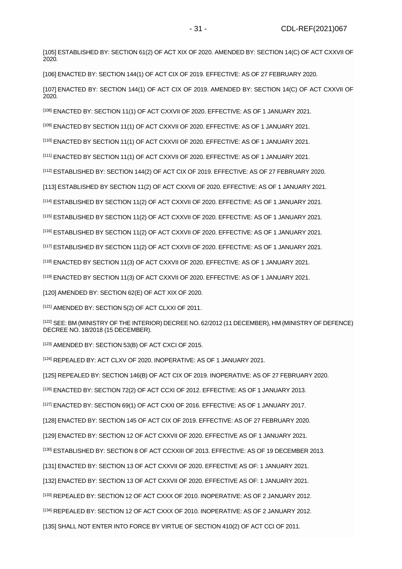[\[105\]](file://///obh/dfs/AJBH_NTK_Foosztaly/NemzetkÃ¶zi%20OsztÃ¡ly/HÃ¡tterek,%20tÃ¡jÃ©koztatÃ³%20anyagok,Ã¶sszefoglalÃ³k/TÃ¶rvÃ©nyek,szabÃ¡lyzatok-EN/The%20Ombudsman%20Act_EN_20210223%20(002).docx%23_ftnref105) ESTABLISHED BY: SECTION 61(2) OF ACT XIX OF 2020. AMENDED BY: SECTION 14(C) OF ACT CXXVII OF 2020.

[\[106\]](file://///obh/dfs/AJBH_NTK_Foosztaly/NemzetkÃ¶zi%20OsztÃ¡ly/HÃ¡tterek,%20tÃ¡jÃ©koztatÃ³%20anyagok,Ã¶sszefoglalÃ³k/TÃ¶rvÃ©nyek,szabÃ¡lyzatok-EN/The%20Ombudsman%20Act_EN_20210223%20(002).docx%23_ftnref106) ENACTED BY: SECTION 144(1) OF ACT CIX OF 2019. EFFECTIVE: AS OF 27 FEBRUARY 2020.

[\[107\]](file://///obh/dfs/AJBH_NTK_Foosztaly/NemzetkÃ¶zi%20OsztÃ¡ly/HÃ¡tterek,%20tÃ¡jÃ©koztatÃ³%20anyagok,Ã¶sszefoglalÃ³k/TÃ¶rvÃ©nyek,szabÃ¡lyzatok-EN/The%20Ombudsman%20Act_EN_20210223%20(002).docx%23_ftnref107) ENACTED BY: SECTION 144(1) OF ACT CIX OF 2019. AMENDED BY: SECTION 14(C) OF ACT CXXVII OF 2020.

[\[108\]](file://///obh/dfs/AJBH_NTK_Foosztaly/NemzetkÃ¶zi%20OsztÃ¡ly/HÃ¡tterek,%20tÃ¡jÃ©koztatÃ³%20anyagok,Ã¶sszefoglalÃ³k/TÃ¶rvÃ©nyek,szabÃ¡lyzatok-EN/The%20Ombudsman%20Act_EN_20210223%20(002).docx%23_ftnref108) ENACTED BY: SECTION 11(1) OF ACT CXXVII OF 2020. EFFECTIVE: AS OF 1 JANUARY 2021.

[\[109\]](file://///obh/dfs/AJBH_NTK_Foosztaly/NemzetkÃ¶zi%20OsztÃ¡ly/HÃ¡tterek,%20tÃ¡jÃ©koztatÃ³%20anyagok,Ã¶sszefoglalÃ³k/TÃ¶rvÃ©nyek,szabÃ¡lyzatok-EN/The%20Ombudsman%20Act_EN_20210223%20(002).docx%23_ftnref109) ENACTED BY SECTION 11(1) OF ACT CXXVII OF 2020. EFFECTIVE: AS OF 1 JANUARY 2021.

[\[110\]](file://///obh/dfs/AJBH_NTK_Foosztaly/NemzetkÃ¶zi%20OsztÃ¡ly/HÃ¡tterek,%20tÃ¡jÃ©koztatÃ³%20anyagok,Ã¶sszefoglalÃ³k/TÃ¶rvÃ©nyek,szabÃ¡lyzatok-EN/The%20Ombudsman%20Act_EN_20210223%20(002).docx%23_ftnref110) ENACTED BY SECTION 11(1) OF ACT CXXVII OF 2020. EFFECTIVE: AS OF 1 JANUARY 2021.

[\[111\]](file://///obh/dfs/AJBH_NTK_Foosztaly/NemzetkÃ¶zi%20OsztÃ¡ly/HÃ¡tterek,%20tÃ¡jÃ©koztatÃ³%20anyagok,Ã¶sszefoglalÃ³k/TÃ¶rvÃ©nyek,szabÃ¡lyzatok-EN/The%20Ombudsman%20Act_EN_20210223%20(002).docx%23_ftnref111) ENACTED BY SECTION 11(1) OF ACT CXXVII OF 2020. EFFECTIVE: AS OF 1 JANUARY 2021.

[\[112\]](file://///obh/dfs/AJBH_NTK_Foosztaly/NemzetkÃ¶zi%20OsztÃ¡ly/HÃ¡tterek,%20tÃ¡jÃ©koztatÃ³%20anyagok,Ã¶sszefoglalÃ³k/TÃ¶rvÃ©nyek,szabÃ¡lyzatok-EN/The%20Ombudsman%20Act_EN_20210223%20(002).docx%23_ftnref112) ESTABLISHED BY: SECTION 144(2) OF ACT CIX OF 2019. EFFECTIVE: AS OF 27 FEBRUARY 2020.

[\[113\]](file://///obh/dfs/AJBH_NTK_Foosztaly/NemzetkÃ¶zi%20OsztÃ¡ly/HÃ¡tterek,%20tÃ¡jÃ©koztatÃ³%20anyagok,Ã¶sszefoglalÃ³k/TÃ¶rvÃ©nyek,szabÃ¡lyzatok-EN/The%20Ombudsman%20Act_EN_20210223%20(002).docx%23_ftnref113) ESTABLISHED BY SECTION 11(2) OF ACT CXXVII OF 2020. EFFECTIVE: AS OF 1 JANUARY 2021.

[\[114\]](file://///obh/dfs/AJBH_NTK_Foosztaly/NemzetkÃ¶zi%20OsztÃ¡ly/HÃ¡tterek,%20tÃ¡jÃ©koztatÃ³%20anyagok,Ã¶sszefoglalÃ³k/TÃ¶rvÃ©nyek,szabÃ¡lyzatok-EN/The%20Ombudsman%20Act_EN_20210223%20(002).docx%23_ftnref114) ESTABLISHED BY SECTION 11(2) OF ACT CXXVII OF 2020. EFFECTIVE: AS OF 1 JANUARY 2021.

[\[115\]](file://///obh/dfs/AJBH_NTK_Foosztaly/NemzetkÃ¶zi%20OsztÃ¡ly/HÃ¡tterek,%20tÃ¡jÃ©koztatÃ³%20anyagok,Ã¶sszefoglalÃ³k/TÃ¶rvÃ©nyek,szabÃ¡lyzatok-EN/The%20Ombudsman%20Act_EN_20210223%20(002).docx%23_ftnref115) ESTABLISHED BY SECTION 11(2) OF ACT CXXVII OF 2020. EFFECTIVE: AS OF 1 JANUARY 2021.

[\[116\]](file://///obh/dfs/AJBH_NTK_Foosztaly/NemzetkÃ¶zi%20OsztÃ¡ly/HÃ¡tterek,%20tÃ¡jÃ©koztatÃ³%20anyagok,Ã¶sszefoglalÃ³k/TÃ¶rvÃ©nyek,szabÃ¡lyzatok-EN/The%20Ombudsman%20Act_EN_20210223%20(002).docx%23_ftnref116) ESTABLISHED BY SECTION 11(2) OF ACT CXXVII OF 2020. EFFECTIVE: AS OF 1 JANUARY 2021.

[\[117\]](file://///obh/dfs/AJBH_NTK_Foosztaly/NemzetkÃ¶zi%20OsztÃ¡ly/HÃ¡tterek,%20tÃ¡jÃ©koztatÃ³%20anyagok,Ã¶sszefoglalÃ³k/TÃ¶rvÃ©nyek,szabÃ¡lyzatok-EN/The%20Ombudsman%20Act_EN_20210223%20(002).docx%23_ftnref117) ESTABLISHED BY SECTION 11(2) OF ACT CXXVII OF 2020. EFFECTIVE: AS OF 1 JANUARY 2021.

[\[118\]](file://///obh/dfs/AJBH_NTK_Foosztaly/NemzetkÃ¶zi%20OsztÃ¡ly/HÃ¡tterek,%20tÃ¡jÃ©koztatÃ³%20anyagok,Ã¶sszefoglalÃ³k/TÃ¶rvÃ©nyek,szabÃ¡lyzatok-EN/The%20Ombudsman%20Act_EN_20210223%20(002).docx%23_ftnref118) ENACTED BY SECTION 11(3) OF ACT CXXVII OF 2020. EFFECTIVE: AS OF 1 JANUARY 2021.

[\[119\]](file://///obh/dfs/AJBH_NTK_Foosztaly/NemzetkÃ¶zi%20OsztÃ¡ly/HÃ¡tterek,%20tÃ¡jÃ©koztatÃ³%20anyagok,Ã¶sszefoglalÃ³k/TÃ¶rvÃ©nyek,szabÃ¡lyzatok-EN/The%20Ombudsman%20Act_EN_20210223%20(002).docx%23_ftnref119) ENACTED BY SECTION 11(3) OF ACT CXXVII OF 2020. EFFECTIVE: AS OF 1 JANUARY 2021.

[\[120\]](file://///obh/dfs/AJBH_NTK_Foosztaly/NemzetkÃ¶zi%20OsztÃ¡ly/HÃ¡tterek,%20tÃ¡jÃ©koztatÃ³%20anyagok,Ã¶sszefoglalÃ³k/TÃ¶rvÃ©nyek,szabÃ¡lyzatok-EN/The%20Ombudsman%20Act_EN_20210223%20(002).docx%23_ftnref120) AMENDED BY: SECTION 62(E) OF ACT XIX OF 2020.

[\[121\]](file://///obh/dfs/AJBH_NTK_Foosztaly/NemzetkÃ¶zi%20OsztÃ¡ly/HÃ¡tterek,%20tÃ¡jÃ©koztatÃ³%20anyagok,Ã¶sszefoglalÃ³k/TÃ¶rvÃ©nyek,szabÃ¡lyzatok-EN/The%20Ombudsman%20Act_EN_20210223%20(002).docx%23_ftnref121) AMENDED BY: SECTION 5(2) OF ACT CLXXI OF 2011.

[\[122\]](file://///obh/dfs/AJBH_NTK_Foosztaly/NemzetkÃ¶zi%20OsztÃ¡ly/HÃ¡tterek,%20tÃ¡jÃ©koztatÃ³%20anyagok,Ã¶sszefoglalÃ³k/TÃ¶rvÃ©nyek,szabÃ¡lyzatok-EN/The%20Ombudsman%20Act_EN_20210223%20(002).docx%23_ftnref122) SEE: BM (MINISTRY OF THE INTERIOR) DECREE NO. 62/2012 (11 DECEMBER), HM (MINISTRY OF DEFENCE) DECREE NO. 18/2018 (15 DECEMBER).

[\[123\]](file://///obh/dfs/AJBH_NTK_Foosztaly/NemzetkÃ¶zi%20OsztÃ¡ly/HÃ¡tterek,%20tÃ¡jÃ©koztatÃ³%20anyagok,Ã¶sszefoglalÃ³k/TÃ¶rvÃ©nyek,szabÃ¡lyzatok-EN/The%20Ombudsman%20Act_EN_20210223%20(002).docx%23_ftnref123) AMENDED BY: SECTION 53(B) OF ACT CXCI OF 2015.

[\[124\]](file://///obh/dfs/AJBH_NTK_Foosztaly/NemzetkÃ¶zi%20OsztÃ¡ly/HÃ¡tterek,%20tÃ¡jÃ©koztatÃ³%20anyagok,Ã¶sszefoglalÃ³k/TÃ¶rvÃ©nyek,szabÃ¡lyzatok-EN/The%20Ombudsman%20Act_EN_20210223%20(002).docx%23_ftnref124) REPEALED BY: ACT CLXV OF 2020. INOPERATIVE: AS OF 1 JANUARY 2021.

[\[125\]](file://///obh/dfs/AJBH_NTK_Foosztaly/NemzetkÃ¶zi%20OsztÃ¡ly/HÃ¡tterek,%20tÃ¡jÃ©koztatÃ³%20anyagok,Ã¶sszefoglalÃ³k/TÃ¶rvÃ©nyek,szabÃ¡lyzatok-EN/The%20Ombudsman%20Act_EN_20210223%20(002).docx%23_ftnref125) REPEALED BY: SECTION 146(B) OF ACT CIX OF 2019. INOPERATIVE: AS OF 27 FEBRUARY 2020.

[\[126\]](file://///obh/dfs/AJBH_NTK_Foosztaly/NemzetkÃ¶zi%20OsztÃ¡ly/HÃ¡tterek,%20tÃ¡jÃ©koztatÃ³%20anyagok,Ã¶sszefoglalÃ³k/TÃ¶rvÃ©nyek,szabÃ¡lyzatok-EN/The%20Ombudsman%20Act_EN_20210223%20(002).docx%23_ftnref126) ENACTED BY: SECTION 72(2) OF ACT CCXI OF 2012. EFFECTIVE: AS OF 1 JANUARY 2013.

[\[127\]](file://///obh/dfs/AJBH_NTK_Foosztaly/NemzetkÃ¶zi%20OsztÃ¡ly/HÃ¡tterek,%20tÃ¡jÃ©koztatÃ³%20anyagok,Ã¶sszefoglalÃ³k/TÃ¶rvÃ©nyek,szabÃ¡lyzatok-EN/The%20Ombudsman%20Act_EN_20210223%20(002).docx%23_ftnref127) ENACTED BY: SECTION 69(1) OF ACT CXXI OF 2016. EFFECTIVE: AS OF 1 JANUARY 2017.

[\[128\]](file://///obh/dfs/AJBH_NTK_Foosztaly/NemzetkÃ¶zi%20OsztÃ¡ly/HÃ¡tterek,%20tÃ¡jÃ©koztatÃ³%20anyagok,Ã¶sszefoglalÃ³k/TÃ¶rvÃ©nyek,szabÃ¡lyzatok-EN/The%20Ombudsman%20Act_EN_20210223%20(002).docx%23_ftnref128) ENACTED BY: SECTION 145 OF ACT CIX OF 2019. EFFECTIVE: AS OF 27 FEBRUARY 2020.

[\[129\]](file://///obh/dfs/AJBH_NTK_Foosztaly/NemzetkÃ¶zi%20OsztÃ¡ly/HÃ¡tterek,%20tÃ¡jÃ©koztatÃ³%20anyagok,Ã¶sszefoglalÃ³k/TÃ¶rvÃ©nyek,szabÃ¡lyzatok-EN/The%20Ombudsman%20Act_EN_20210223%20(002).docx%23_ftnref129) ENACTED BY: SECTION 12 OF ACT CXXVII OF 2020. EFFECTIVE AS OF 1 JANUARY 2021.

[\[130\]](file://///obh/dfs/AJBH_NTK_Foosztaly/NemzetkÃ¶zi%20OsztÃ¡ly/HÃ¡tterek,%20tÃ¡jÃ©koztatÃ³%20anyagok,Ã¶sszefoglalÃ³k/TÃ¶rvÃ©nyek,szabÃ¡lyzatok-EN/The%20Ombudsman%20Act_EN_20210223%20(002).docx%23_ftnref130) ESTABLISHED BY: SECTION 8 OF ACT CCXXIII OF 2013. EFFECTIVE: AS OF 19 DECEMBER 2013.

[\[131\]](file://///obh/dfs/AJBH_NTK_Foosztaly/NemzetkÃ¶zi%20OsztÃ¡ly/HÃ¡tterek,%20tÃ¡jÃ©koztatÃ³%20anyagok,Ã¶sszefoglalÃ³k/TÃ¶rvÃ©nyek,szabÃ¡lyzatok-EN/The%20Ombudsman%20Act_EN_20210223%20(002).docx%23_ftnref131) ENACTED BY: SECTION 13 OF ACT CXXVII OF 2020. EFFECTIVE AS OF: 1 JANUARY 2021.

[\[132\]](file://///obh/dfs/AJBH_NTK_Foosztaly/NemzetkÃ¶zi%20OsztÃ¡ly/HÃ¡tterek,%20tÃ¡jÃ©koztatÃ³%20anyagok,Ã¶sszefoglalÃ³k/TÃ¶rvÃ©nyek,szabÃ¡lyzatok-EN/The%20Ombudsman%20Act_EN_20210223%20(002).docx%23_ftnref132) ENACTED BY: SECTION 13 OF ACT CXXVII OF 2020. EFFECTIVE AS OF: 1 JANUARY 2021.

[\[133\]](file://///obh/dfs/AJBH_NTK_Foosztaly/NemzetkÃ¶zi%20OsztÃ¡ly/HÃ¡tterek,%20tÃ¡jÃ©koztatÃ³%20anyagok,Ã¶sszefoglalÃ³k/TÃ¶rvÃ©nyek,szabÃ¡lyzatok-EN/The%20Ombudsman%20Act_EN_20210223%20(002).docx%23_ftnref133) REPEALED BY: SECTION 12 OF ACT CXXX OF 2010. INOPERATIVE: AS OF 2 JANUARY 2012.

[\[134\]](file://///obh/dfs/AJBH_NTK_Foosztaly/NemzetkÃ¶zi%20OsztÃ¡ly/HÃ¡tterek,%20tÃ¡jÃ©koztatÃ³%20anyagok,Ã¶sszefoglalÃ³k/TÃ¶rvÃ©nyek,szabÃ¡lyzatok-EN/The%20Ombudsman%20Act_EN_20210223%20(002).docx%23_ftnref134) REPEALED BY: SECTION 12 OF ACT CXXX OF 2010. INOPERATIVE: AS OF 2 JANUARY 2012.

[\[135\]](file://///obh/dfs/AJBH_NTK_Foosztaly/NemzetkÃ¶zi%20OsztÃ¡ly/HÃ¡tterek,%20tÃ¡jÃ©koztatÃ³%20anyagok,Ã¶sszefoglalÃ³k/TÃ¶rvÃ©nyek,szabÃ¡lyzatok-EN/The%20Ombudsman%20Act_EN_20210223%20(002).docx%23_ftnref135) SHALL NOT ENTER INTO FORCE BY VIRTUE OF SECTION 410(2) OF ACT CCI OF 2011.